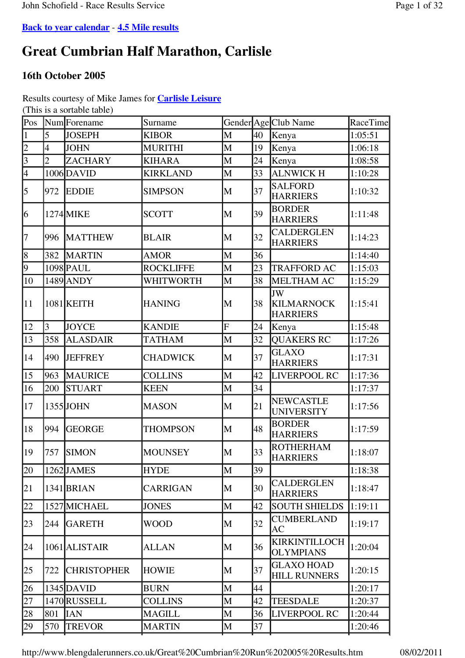# **Great Cumbrian Half Marathon, Carlisle**

## **16th October 2005**

Results courtesy of Mike James for **Carlisle Leisure**

(This is a sortable table)

| Pos                      |                | Num Forename       | Surname          |                |    | Gender Age Club Name                       | RaceTime |
|--------------------------|----------------|--------------------|------------------|----------------|----|--------------------------------------------|----------|
|                          | 5              | <b>JOSEPH</b>      | <b>KIBOR</b>     | M              | 40 | Kenya                                      | 1:05:51  |
| $\overline{c}$           | $\overline{4}$ | <b>JOHN</b>        | <b>MURITHI</b>   | M              | 19 | Kenya                                      | 1:06:18  |
| $\overline{3}$           | $\overline{2}$ | <b>ZACHARY</b>     | <b>KIHARA</b>    | M              | 24 | Kenya                                      | 1:08:58  |
| $\overline{\mathcal{A}}$ |                | $1006$ DAVID       | <b>KIRKLAND</b>  | M              | 33 | <b>ALNWICK H</b>                           | 1:10:28  |
| 5                        | 972            | <b>EDDIE</b>       | <b>SIMPSON</b>   | M              | 37 | <b>SALFORD</b><br><b>HARRIERS</b>          | 1:10:32  |
| 6                        |                | 1274 MIKE          | <b>SCOTT</b>     | M              | 39 | <b>BORDER</b><br><b>HARRIERS</b>           | 1:11:48  |
| 7                        | 996            | <b>MATTHEW</b>     | <b>BLAIR</b>     | M              | 32 | <b>CALDERGLEN</b><br><b>HARRIERS</b>       | 1:14:23  |
| 8                        | 382            | <b>MARTIN</b>      | <b>AMOR</b>      | M              | 36 |                                            | 1:14:40  |
| 9                        |                | 1098 PAUL          | <b>ROCKLIFFE</b> | M              | 23 | <b>TRAFFORD AC</b>                         | 1:15:03  |
| 10                       |                | 1489 ANDY          | WHITWORTH        | M              | 38 | <b>MELTHAM AC</b>                          | 1:15:29  |
| 11                       |                | 1081 KEITH         | <b>HANING</b>    | M              | 38 | JW<br><b>KILMARNOCK</b><br><b>HARRIERS</b> | 1:15:41  |
| 12                       | $\overline{3}$ | <b>JOYCE</b>       | <b>KANDIE</b>    | $\overline{F}$ | 24 | Kenya                                      | 1:15:48  |
| 13                       | 358            | <b>ALASDAIR</b>    | <b>TATHAM</b>    | M              | 32 | <b>QUAKERS RC</b>                          | 1:17:26  |
| 14                       | 490            | <b>JEFFREY</b>     | <b>CHADWICK</b>  | M              | 37 | <b>GLAXO</b><br><b>HARRIERS</b>            | 1:17:31  |
| 15                       | 963            | <b>MAURICE</b>     | <b>COLLINS</b>   | M              | 42 | LIVERPOOL RC                               | 1:17:36  |
| 16                       | 200            | <b>STUART</b>      | <b>KEEN</b>      | $\mathbf{M}$   | 34 |                                            | 1:17:37  |
| 17                       |                | 1355 JOHN          | <b>MASON</b>     | M              | 21 | <b>NEWCASTLE</b><br><b>UNIVERSITY</b>      | 1:17:56  |
| 18                       | 994            | <b>GEORGE</b>      | <b>THOMPSON</b>  | M              | 48 | <b>BORDER</b><br><b>HARRIERS</b>           | 1:17:59  |
| 19                       | 757            | <b>SIMON</b>       | <b>MOUNSEY</b>   | M              | 33 | <b>ROTHERHAM</b><br><b>HARRIERS</b>        | 1:18:07  |
| 20                       |                | $1262$ JAMES       | <b>HYDE</b>      | M              | 39 |                                            | 1:18:38  |
| 21                       |                | 1341 BRIAN         | <b>CARRIGAN</b>  | M              | 30 | CALDERGLEN<br><b>HARRIERS</b>              | 1:18:47  |
| 22                       |                | 1527 MICHAEL       | <b>JONES</b>     | M              | 42 | <b>SOUTH SHIELDS</b>                       | 1:19:11  |
| 23                       | 244            | <b>GARETH</b>      | WOOD             | M              | 32 | <b>CUMBERLAND</b><br>AC                    | 1:19:17  |
| 24                       |                | 1061 ALISTAIR      | <b>ALLAN</b>     | M              | 36 | <b>KIRKINTILLOCH</b><br><b>OLYMPIANS</b>   | 1:20:04  |
| 25                       | 722            | <b>CHRISTOPHER</b> | <b>HOWIE</b>     | M              | 37 | <b>GLAXO HOAD</b><br><b>HILL RUNNERS</b>   | 1:20:15  |
| 26                       |                | $1345$ DAVID       | <b>BURN</b>      | M              | 44 |                                            | 1:20:17  |
| 27                       |                | 1470 RUSSELL       | <b>COLLINS</b>   | M              | 42 | <b>TEESDALE</b>                            | 1:20:37  |
| 28                       | 801            | <b>IAN</b>         | <b>MAGILL</b>    | M              | 36 | LIVERPOOL RC                               | 1:20:44  |
| 29                       | 570            | <b>TREVOR</b>      | <b>MARTIN</b>    | M              | 37 |                                            | 1:20:46  |
|                          |                |                    |                  |                |    |                                            |          |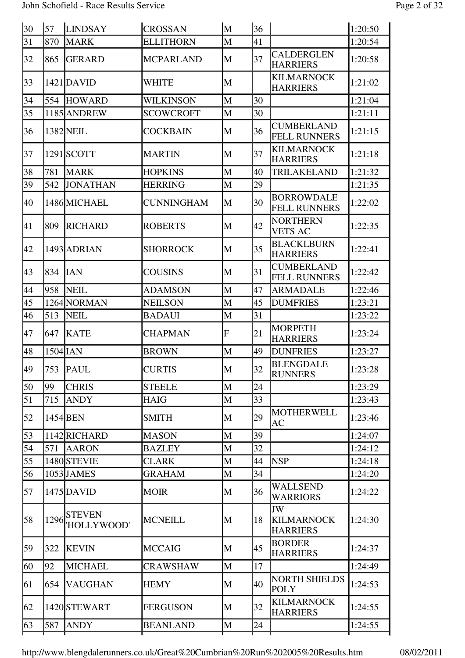| 30 | 57  | <b>LINDSAY</b>               | <b>CROSSAN</b>    | M              | 36           |                                            | 1:20:50 |
|----|-----|------------------------------|-------------------|----------------|--------------|--------------------------------------------|---------|
| 31 | 870 | <b>MARK</b>                  | <b>ELLITHORN</b>  | M              | 41           |                                            | 1:20:54 |
| 32 | 865 | <b>GERARD</b>                | <b>MCPARLAND</b>  | M              | 37           | CALDERGLEN<br><b>HARRIERS</b>              | 1:20:58 |
| 33 |     | $1421$ DAVID                 | <b>WHITE</b>      | M              |              | <b>KILMARNOCK</b><br><b>HARRIERS</b>       | 1:21:02 |
| 34 | 554 | <b>HOWARD</b>                | <b>WILKINSON</b>  | M              | 30           |                                            | 1:21:04 |
| 35 |     | 1185 ANDREW                  | <b>SCOWCROFT</b>  | M              | 30           |                                            | 1:21:11 |
| 36 |     | 1382 NEIL                    | <b>COCKBAIN</b>   | M              | 36           | <b>CUMBERLAND</b><br><b>FELL RUNNERS</b>   | 1:21:15 |
| 37 |     | 1291SCOTT                    | <b>MARTIN</b>     | M              | 37           | <b>KILMARNOCK</b><br><b>HARRIERS</b>       | 1:21:18 |
| 38 | 781 | <b>MARK</b>                  | <b>HOPKINS</b>    | M              | 40           | TRILAKELAND                                | 1:21:32 |
| 39 | 542 | <b>JONATHAN</b>              | <b>HERRING</b>    | M              | 29           |                                            | 1:21:35 |
| 40 |     | 1486 MICHAEL                 | <b>CUNNINGHAM</b> | M              | 30           | <b>BORROWDALE</b><br><b>FELL RUNNERS</b>   | 1:22:02 |
| 41 | 809 | <b>RICHARD</b>               | <b>ROBERTS</b>    | M              | 42           | <b>NORTHERN</b><br><b>VETS AC</b>          | 1:22:35 |
| 42 |     | 1493 ADRIAN                  | <b>SHORROCK</b>   | M              | 35           | <b>BLACKLBURN</b><br><b>HARRIERS</b>       | 1:22:41 |
| 43 | 834 | <b>IAN</b>                   | <b>COUSINS</b>    | M              | 31           | <b>CUMBERLAND</b><br><b>FELL RUNNERS</b>   | 1:22:42 |
| 44 | 958 | <b>NEIL</b>                  | <b>ADAMSON</b>    | M              | 47           | <b>ARMADALE</b>                            | 1:22:46 |
| 45 |     | 1264 NORMAN                  | <b>NEILSON</b>    | M              | 45           | <b>DUMFRIES</b>                            | 1:23:21 |
| 46 | 513 | <b>NEIL</b>                  | <b>BADAUI</b>     | M              | 31           |                                            | 1:23:22 |
| 47 | 647 | <b>KATE</b>                  | <b>CHAPMAN</b>    | $\overline{F}$ | 21           | <b>MORPETH</b><br><b>HARRIERS</b>          | 1:23:24 |
| 48 |     | $1504$ IAN                   | <b>BROWN</b>      | M              | 49           | <b>DUNFRIES</b>                            | 1:23:27 |
| 49 |     | 753 PAUL                     | <b>CURTIS</b>     | M              | $ 32\rangle$ | <b>BLENGDALE</b><br><b>RUNNERS</b>         | 1:23:28 |
| 50 | 99  | <b>CHRIS</b>                 | <b>STEELE</b>     | M              | 24           |                                            | 1:23:29 |
| 51 | 715 | <b>ANDY</b>                  | <b>HAIG</b>       | M              | 33           |                                            | 1:23:43 |
| 52 |     | 1454 BEN                     | <b>SMITH</b>      | M              | 29           | <b>MOTHERWELL</b><br>AC                    | 1:23:46 |
| 53 |     | 1142RICHARD                  | <b>MASON</b>      | M              | 39           |                                            | 1:24:07 |
| 54 | 571 | <b>AARON</b>                 | <b>BAZLEY</b>     | M              | 32           |                                            | 1:24:12 |
| 55 |     | 1480 STEVIE                  | <b>CLARK</b>      | M              | 44           | <b>NSP</b>                                 | 1:24:18 |
| 56 |     | 1053JJAMES                   | <b>GRAHAM</b>     | M              | 34           |                                            | 1:24:20 |
| 57 |     | $1475$ DAVID                 | <b>MOIR</b>       | M              | 36           | WALLSEND<br><b>WARRIORS</b>                | 1:24:22 |
| 58 |     | $1296$ STEVEN<br>'HOLLYWOOD' | <b>MCNEILL</b>    | M              | 18           | JW<br><b>KILMARNOCK</b><br><b>HARRIERS</b> | 1:24:30 |
| 59 | 322 | <b>KEVIN</b>                 | <b>MCCAIG</b>     | M              | 45           | <b>BORDER</b><br><b>HARRIERS</b>           | 1:24:37 |
| 60 | 92  | <b>MICHAEL</b>               | <b>CRAWSHAW</b>   | M              | 17           |                                            | 1:24:49 |
| 61 | 654 | <b>VAUGHAN</b>               | <b>HEMY</b>       | M              | 40           | <b>NORTH SHIELDS</b><br><b>POLY</b>        | 1:24:53 |
| 62 |     | 1420STEWART                  | <b>FERGUSON</b>   | M              | 32           | <b>KILMARNOCK</b><br><b>HARRIERS</b>       | 1:24:55 |
| 63 | 587 | <b>ANDY</b>                  | <b>BEANLAND</b>   | M              | 24           |                                            | 1:24:55 |
|    |     |                              |                   |                |              |                                            |         |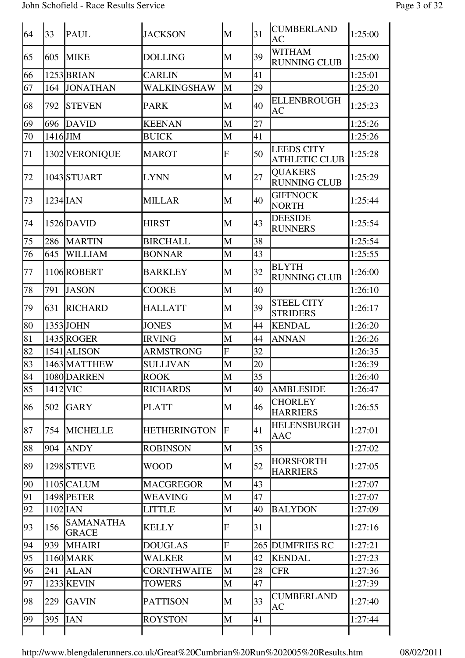### John Schofield - Race Results Service Page 3 of 32

| 64 | 33         | <b>PAUL</b>                      | <b>JACKSON</b>      | M              | 31 | <b>CUMBERLAND</b><br>AC                   | 1:25:00 |
|----|------------|----------------------------------|---------------------|----------------|----|-------------------------------------------|---------|
| 65 | 605        | <b>MIKE</b>                      | <b>DOLLING</b>      | M              | 39 | <b>WITHAM</b><br><b>RUNNING CLUB</b>      | 1:25:00 |
| 66 |            | 1253 BRIAN                       | <b>CARLIN</b>       | M              | 41 |                                           | 1:25:01 |
| 67 | 164        | <b>JONATHAN</b>                  | WALKINGSHAW         | M              | 29 |                                           | 1:25:20 |
| 68 | 792        | <b>STEVEN</b>                    | <b>PARK</b>         | M              | 40 | <b>ELLENBROUGH</b><br><b>AC</b>           | 1:25:23 |
| 69 | 696        | <b>DAVID</b>                     | <b>KEENAN</b>       | M              | 27 |                                           | 1:25:26 |
| 70 | $1416$ JIM |                                  | <b>BUICK</b>        | M              | 41 |                                           | 1:25:26 |
| 71 |            | 1302 VERONIQUE                   | <b>MAROT</b>        | $\overline{F}$ | 50 | <b>LEEDS CITY</b><br><b>ATHLETIC CLUB</b> | 1:25:28 |
| 72 |            | 1043STUART                       | <b>LYNN</b>         | M              | 27 | <b>QUAKERS</b><br><b>RUNNING CLUB</b>     | 1:25:29 |
| 73 |            | $1234$ IAN                       | <b>MILLAR</b>       | M              | 40 | <b>GIFFNOCK</b><br><b>NORTH</b>           | 1:25:44 |
| 74 |            | 1526 DAVID                       | <b>HIRST</b>        | M              | 43 | <b>DEESIDE</b><br><b>RUNNERS</b>          | 1:25:54 |
| 75 | 286        | <b>MARTIN</b>                    | <b>BIRCHALL</b>     | M              | 38 |                                           | 1:25:54 |
| 76 | 645        | <b>WILLIAM</b>                   | <b>BONNAR</b>       | M              | 43 |                                           | 1:25:55 |
| 77 |            | 1106ROBERT                       | <b>BARKLEY</b>      | M              | 32 | <b>BLYTH</b><br><b>RUNNING CLUB</b>       | 1:26:00 |
| 78 | 791        | <b>JASON</b>                     | COOKE               | M              | 40 |                                           | 1:26:10 |
| 79 | 631        | <b>RICHARD</b>                   | <b>HALLATT</b>      | M              | 39 | <b>STEEL CITY</b><br><b>STRIDERS</b>      | 1:26:17 |
| 80 |            | $1353$ JOHN                      | <b>JONES</b>        | M              | 44 | <b>KENDAL</b>                             | 1:26:20 |
| 81 |            | 1435 ROGER                       | <b>IRVING</b>       | M              | 44 | <b>ANNAN</b>                              | 1:26:26 |
| 82 |            | 1541 ALISON                      | <b>ARMSTRONG</b>    | $\overline{F}$ | 32 |                                           | 1:26:35 |
| 83 |            | 1463 MATTHEW                     | <b>SULLIVAN</b>     | M              | 20 |                                           | 1:26:39 |
| 84 |            | 1080 DARREN                      | <b>ROOK</b>         | M              | 35 |                                           | 1:26:40 |
| 85 |            | 1412 VIC                         | <b>RICHARDS</b>     | M              | 40 | <b>AMBLESIDE</b>                          | 1:26:47 |
| 86 | 502        | <b>GARY</b>                      | <b>PLATT</b>        | M              | 46 | <b>CHORLEY</b><br><b>HARRIERS</b>         | 1:26:55 |
| 87 | 754        | <b>MICHELLE</b>                  | <b>HETHERINGTON</b> | F              | 41 | <b>HELENSBURGH</b><br><b>AAC</b>          | 1:27:01 |
| 88 | 904        | <b>ANDY</b>                      | <b>ROBINSON</b>     | M              | 35 |                                           | 1:27:02 |
| 89 |            | 1298 STEVE                       | <b>WOOD</b>         | M              | 52 | <b>HORSFORTH</b><br><b>HARRIERS</b>       | 1:27:05 |
| 90 |            | 1105CALUM                        | <b>MACGREGOR</b>    | M              | 43 |                                           | 1:27:07 |
| 91 |            | 1498 PETER                       | <b>WEAVING</b>      | M              | 47 |                                           | 1:27:07 |
| 92 |            | $1102$ IAN                       | LITTLE              | M              | 40 | <b>BALYDON</b>                            | 1:27:09 |
| 93 | 156        | <b>SAMANATHA</b><br><b>GRACE</b> | <b>KELLY</b>        | F              | 31 |                                           | 1:27:16 |
| 94 | 939        | <b>MHAIRI</b>                    | <b>DOUGLAS</b>      | F              |    | <b>265 DUMFRIES RC</b>                    | 1:27:21 |
| 95 |            | 1160 MARK                        | WALKER              | M              | 42 | <b>KENDAL</b>                             | 1:27:23 |
| 96 | 241        | <b>ALAN</b>                      | <b>CORNTHWAITE</b>  | M              | 28 | <b>CFR</b>                                | 1:27:36 |
| 97 |            | 1233 KEVIN                       | <b>TOWERS</b>       | M              | 47 |                                           | 1:27:39 |
| 98 | 229        | <b>GAVIN</b>                     | <b>PATTISON</b>     | M              | 33 | <b>CUMBERLAND</b><br>AC                   | 1:27:40 |
| 99 | 395        | <b>IAN</b>                       | <b>ROYSTON</b>      | M              | 41 |                                           | 1:27:44 |
|    |            |                                  |                     |                |    |                                           |         |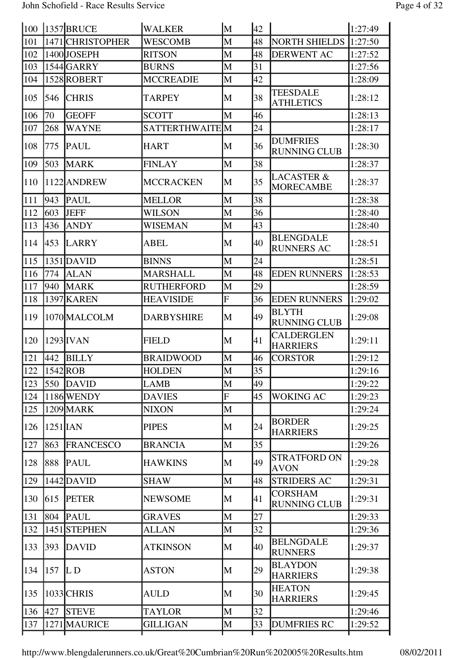| 100 |             | 1357 BRUCE       | <b>WALKER</b>         | M              | 42           |                                           | 1:27:49 |
|-----|-------------|------------------|-----------------------|----------------|--------------|-------------------------------------------|---------|
| 101 |             | 1471 CHRISTOPHER | <b>WESCOMB</b>        | M              | 48           | <b>NORTH SHIELDS</b>                      | 1:27:50 |
| 102 |             | 1400JJOSEPH      | <b>RITSON</b>         | M              | 48           | <b>DERWENT AC</b>                         | 1:27:52 |
| 103 |             | $1544$ GARRY     | <b>BURNS</b>          | M              | 31           |                                           | 1:27:56 |
| 104 |             | 1528 ROBERT      | <b>MCCREADIE</b>      | M              | 42           |                                           | 1:28:09 |
| 105 | 546         | <b>CHRIS</b>     | <b>TARPEY</b>         | M              | 38           | <b>TEESDALE</b><br><b>ATHLETICS</b>       | 1:28:12 |
| 106 | 70          | <b>GEOFF</b>     | <b>SCOTT</b>          | M              | 46           |                                           | 1:28:13 |
| 107 | 268         | <b>WAYNE</b>     | <b>SATTERTHWAITEM</b> |                | 24           |                                           | 1:28:17 |
| 108 | 775         | <b>PAUL</b>      | <b>HART</b>           | M              | 36           | <b>DUMFRIES</b><br><b>RUNNING CLUB</b>    | 1:28:30 |
| 109 | 503         | <b>MARK</b>      | <b>FINLAY</b>         | M              | 38           |                                           | 1:28:37 |
| 110 |             | 1122 ANDREW      | <b>MCCRACKEN</b>      | M              | 35           | <b>LACASTER &amp;</b><br><b>MORECAMBE</b> | 1:28:37 |
| 111 | 943         | <b>PAUL</b>      | <b>MELLOR</b>         | M              | 38           |                                           | 1:28:38 |
| 112 | 603         | <b>JEFF</b>      | <b>WILSON</b>         | M              | 36           |                                           | 1:28:40 |
| 113 | 436         | <b>ANDY</b>      | WISEMAN               | M              | 43           |                                           | 1:28:40 |
| 114 | 453         | <b>LARRY</b>     | ABEL                  | M              | 40           | <b>BLENGDALE</b><br><b>RUNNERS AC</b>     | 1:28:51 |
| 115 |             | $ 1351 $ DAVID   | <b>BINNS</b>          | M              | 24           |                                           | 1:28:51 |
| 116 | 774         | <b>ALAN</b>      | <b>MARSHALL</b>       | M              | 48           | <b>EDEN RUNNERS</b>                       | 1:28:53 |
| 117 | 940         | <b>MARK</b>      | <b>RUTHERFORD</b>     | M              | 29           |                                           | 1:28:59 |
| 118 |             | 1397 KAREN       | <b>HEAVISIDE</b>      | $\overline{F}$ | 36           | <b>EDEN RUNNERS</b>                       | 1:29:02 |
| 119 |             | 1070 MALCOLM     | <b>DARBYSHIRE</b>     | M              | 49           | <b>BLYTH</b><br><b>RUNNING CLUB</b>       | 1:29:08 |
| 120 |             | 1293 IVAN        | <b>FIELD</b>          | M              | 41           | <b>CALDERGLEN</b><br><b>HARRIERS</b>      | 1:29:11 |
| 121 | 442         | <b>BILLY</b>     | <b>BRAIDWOOD</b>      | M              | 46           | <b>CORSTOR</b>                            | 1:29:12 |
| 122 | $1542$ ROB  |                  | <b>HOLDEN</b>         | lМ             | 35           |                                           | 1:29:16 |
| 123 | 550         | <b>DAVID</b>     | LAMB                  | M              | 49           |                                           | 1:29:22 |
| 124 |             | 1186 WENDY       | <b>DAVIES</b>         | $\overline{F}$ | 45           | <b>WOKING AC</b>                          | 1:29:23 |
| 125 |             | 1209 MARK        | <b>NIXON</b>          | M              |              |                                           | 1:29:24 |
| 126 | $1251$ IJAN |                  | <b>PIPES</b>          | M              | 24           | <b>BORDER</b><br><b>HARRIERS</b>          | 1:29:25 |
| 127 | 863         | <b>FRANCESCO</b> | <b>BRANCIA</b>        | M              | 35           |                                           | 1:29:26 |
| 128 | 888         | <b>PAUL</b>      | <b>HAWKINS</b>        | M              | 49           | <b>STRATFORD ON</b><br><b>AVON</b>        | 1:29:28 |
| 129 |             | $1442$ DAVID     | <b>SHAW</b>           | M              | 48           | <b>STRIDERS AC</b>                        | 1:29:31 |
| 130 | 615         | <b>PETER</b>     | <b>NEWSOME</b>        | M              | 41           | <b>CORSHAM</b><br><b>RUNNING CLUB</b>     | 1:29:31 |
| 131 | 804         | <b>PAUL</b>      | <b>GRAVES</b>         | M              | 27           |                                           | 1:29:33 |
| 132 |             | 1451 STEPHEN     | ALLAN                 | M              | 32           |                                           | 1:29:36 |
| 133 | 393         | <b>DAVID</b>     | <b>ATKINSON</b>       | M              | 40           | <b>BELNGDALE</b><br><b>RUNNERS</b>        | 1:29:37 |
| 134 | 157         | LD               | <b>ASTON</b>          | M              | 29           | <b>BLAYDON</b><br><b>HARRIERS</b>         | 1:29:38 |
| 135 |             | 1033 CHRIS       | AULD                  | M              | 30           | <b>HEATON</b><br><b>HARRIERS</b>          | 1:29:45 |
| 136 | 427         | <b>STEVE</b>     | TAYLOR                | M              | 32           |                                           | 1:29:46 |
| 137 |             | 1271 MAURICE     | <b>GILLIGAN</b>       | M              | $ 33\rangle$ | <b>DUMFRIES RC</b>                        | 1:29:52 |
|     |             |                  |                       |                |              |                                           |         |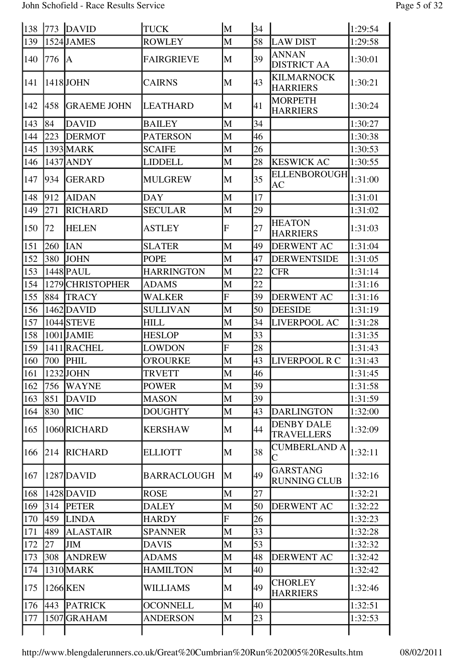### John Schofield - Race Results Service Page 5 of 32

| 138 |     | $773$ DAVID        | <b>TUCK</b>        | M              | 34 |                                        | 1:29:54 |
|-----|-----|--------------------|--------------------|----------------|----|----------------------------------------|---------|
| 139 |     | 1524 JAMES         | <b>ROWLEY</b>      | M              | 58 | <b>LAW DIST</b>                        | 1:29:58 |
| 140 | 776 | IA.                | <b>FAIRGRIEVE</b>  | M              | 39 | <b>ANNAN</b><br><b>DISTRICT AA</b>     | 1:30:01 |
| 141 |     | 1418JOHN           | <b>CAIRNS</b>      | M              | 43 | <b>KILMARNOCK</b><br><b>HARRIERS</b>   | 1:30:21 |
| 142 | 458 | <b>GRAEME JOHN</b> | LEATHARD           | M              | 41 | <b>MORPETH</b><br><b>HARRIERS</b>      | 1:30:24 |
| 143 | 84  | <b>DAVID</b>       | <b>BAILEY</b>      | M              | 34 |                                        | 1:30:27 |
| 144 | 223 | <b>DERMOT</b>      | <b>PATERSON</b>    | M              | 46 |                                        | 1:30:38 |
| 145 |     | 1393 MARK          | <b>SCAIFE</b>      | M              | 26 |                                        | 1:30:53 |
| 146 |     | 1437 ANDY          | <b>LIDDELL</b>     | M              | 28 | <b>KESWICK AC</b>                      | 1:30:55 |
| 147 | 934 | <b>GERARD</b>      | <b>MULGREW</b>     | M              | 35 | ELLENBOROUGH<br>AC                     | 1:31:00 |
| 148 | 912 | <b>AIDAN</b>       | <b>DAY</b>         | M              | 17 |                                        | 1:31:01 |
| 149 | 271 | <b>RICHARD</b>     | <b>SECULAR</b>     | M              | 29 |                                        | 1:31:02 |
| 150 | 72  | <b>HELEN</b>       | <b>ASTLEY</b>      | F              | 27 | <b>HEATON</b><br><b>HARRIERS</b>       | 1:31:03 |
| 151 | 260 | <b>IAN</b>         | <b>SLATER</b>      | M              | 49 | <b>DERWENT AC</b>                      | 1:31:04 |
| 152 | 380 | <b>JOHN</b>        | <b>POPE</b>        | M              | 47 | <b>DERWENTSIDE</b>                     | 1:31:05 |
| 153 |     | 1448 PAUL          | <b>HARRINGTON</b>  | M              | 22 | <b>CFR</b>                             | 1:31:14 |
| 154 |     | 1279 CHRISTOPHER   | <b>ADAMS</b>       | M              | 22 |                                        | 1:31:16 |
| 155 | 884 | <b>TRACY</b>       | <b>WALKER</b>      | $\overline{F}$ | 39 | <b>DERWENT AC</b>                      | 1:31:16 |
| 156 |     | $1462$ DAVID       | <b>SULLIVAN</b>    | M              | 50 | <b>DEESIDE</b>                         | 1:31:19 |
| 157 |     | 1044 STEVE         | <b>HILL</b>        | M              | 34 | LIVERPOOL AC                           | 1:31:28 |
| 158 |     | 1001 JAMIE         | <b>HESLOP</b>      | M              | 33 |                                        | 1:31:35 |
| 159 |     | 1411 RACHEL        | <b>LOWDON</b>      | $\overline{F}$ | 28 |                                        | 1:31:43 |
| 160 | 700 | <b>PHIL</b>        | O'ROURKE           | M              | 43 | LIVERPOOL R C                          | 1:31:43 |
| 161 |     | 1232JJOHN          | TRVETT             | $\mathbf{M}$   | 46 |                                        | 1:31:45 |
| 162 | 756 | <b>WAYNE</b>       | <b>POWER</b>       | M              | 39 |                                        | 1:31:58 |
| 163 | 851 | DAVID              | <b>MASON</b>       | M              | 39 |                                        | 1:31:59 |
| 164 | 830 | <b>MIC</b>         | <b>DOUGHTY</b>     | M              | 43 | <b>DARLINGTON</b>                      | 1:32:00 |
| 165 |     | 1060RICHARD        | <b>KERSHAW</b>     | M              | 44 | <b>DENBY DALE</b><br><b>TRAVELLERS</b> | 1:32:09 |
| 166 | 214 | <b>RICHARD</b>     | <b>ELLIOTT</b>     | M              | 38 | <b>CUMBERLAND A</b><br>Ċ               | 1:32:11 |
| 167 |     | $1287$ DAVID       | <b>BARRACLOUGH</b> | M              | 49 | <b>GARSTANG</b><br><b>RUNNING CLUB</b> | 1:32:16 |
| 168 |     | $1428$ DAVID       | <b>ROSE</b>        | M              | 27 |                                        | 1:32:21 |
| 169 | 314 | <b>PETER</b>       | <b>DALEY</b>       | M              | 50 | <b>DERWENT AC</b>                      | 1:32:22 |
| 170 | 459 | <b>LINDA</b>       | <b>HARDY</b>       | $\overline{F}$ | 26 |                                        | 1:32:23 |
| 171 | 489 | <b>ALASTAIR</b>    | <b>SPANNER</b>     | M              | 33 |                                        | 1:32:28 |
| 172 | 27  | <b>JIM</b>         | <b>DAVIS</b>       | M              | 53 |                                        | 1:32:32 |
| 173 | 308 | <b>ANDREW</b>      | <b>ADAMS</b>       | M              | 48 | DERWENT AC                             | 1:32:42 |
| 174 |     | 1310 MARK          | <b>HAMILTON</b>    | M              | 40 |                                        | 1:32:42 |
| 175 |     | 1266 KEN           | <b>WILLIAMS</b>    | M              | 49 | <b>CHORLEY</b><br><b>HARRIERS</b>      | 1:32:46 |
| 176 | 443 | <b>PATRICK</b>     | <b>OCONNELL</b>    | M              | 40 |                                        | 1:32:51 |
| 177 |     | 1507 GRAHAM        | <b>ANDERSON</b>    | M              | 23 |                                        | 1:32:53 |
|     |     |                    |                    |                |    |                                        |         |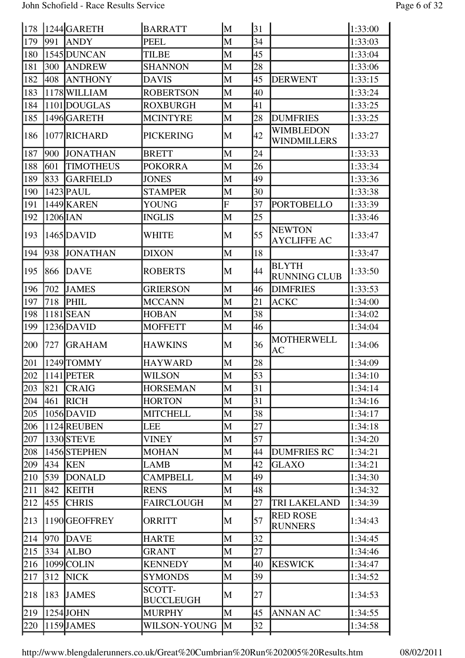| 178 |     | $1244$ GARETH    | <b>BARRATT</b>                    | M                       | 31 |                                     | 1:33:00 |
|-----|-----|------------------|-----------------------------------|-------------------------|----|-------------------------------------|---------|
| 179 | 991 | <b>ANDY</b>      | <b>PEEL</b>                       | M                       | 34 |                                     | 1:33:03 |
| 180 |     | 1545 DUNCAN      | TILBE                             | M                       | 45 |                                     | 1:33:04 |
| 181 | 300 | <b>ANDREW</b>    | <b>SHANNON</b>                    | M                       | 28 |                                     | 1:33:06 |
| 182 | 408 | <b>ANTHONY</b>   | <b>DAVIS</b>                      | M                       | 45 | <b>DERWENT</b>                      | 1:33:15 |
| 183 |     | 1178 WILLIAM     | <b>ROBERTSON</b>                  | M                       | 40 |                                     | 1:33:24 |
| 184 |     | 1101DOUGLAS      | <b>ROXBURGH</b>                   | M                       | 41 |                                     | 1:33:25 |
| 185 |     | 1496GARETH       | <b>MCINTYRE</b>                   | M                       | 28 | <b>DUMFRIES</b>                     | 1:33:25 |
| 186 |     | 1077 RICHARD     | <b>PICKERING</b>                  | M                       | 42 | <b>WIMBLEDON</b><br>WINDMILLERS     | 1:33:27 |
| 187 | 900 | <b>JONATHAN</b>  | <b>BRETT</b>                      | M                       | 24 |                                     | 1:33:33 |
| 188 | 601 | <b>TIMOTHEUS</b> | <b>POKORRA</b>                    | M                       | 26 |                                     | 1:33:34 |
| 189 | 833 | <b>GARFIELD</b>  | <b>JONES</b>                      | M                       | 49 |                                     | 1:33:36 |
| 190 |     | $1423$ PAUL      | <b>STAMPER</b>                    | M                       | 30 |                                     | 1:33:38 |
| 191 |     | 1449 KAREN       | YOUNG                             | $\overline{\mathrm{F}}$ | 37 | <b>PORTOBELLO</b>                   | 1:33:39 |
| 192 |     | 1206 IAN         | <b>INGLIS</b>                     | M                       | 25 |                                     | 1:33:46 |
| 193 |     | $1465$ DAVID     | WHITE                             | M                       | 55 | <b>NEWTON</b><br><b>AYCLIFFE AC</b> | 1:33:47 |
| 194 | 938 | <b>JONATHAN</b>  | <b>DIXON</b>                      | M                       | 18 |                                     | 1:33:47 |
| 195 | 866 | <b>DAVE</b>      | <b>ROBERTS</b>                    | M                       | 44 | <b>BLYTH</b><br><b>RUNNING CLUB</b> | 1:33:50 |
| 196 | 702 | <b>JAMES</b>     | <b>GRIERSON</b>                   | M                       | 46 | <b>DIMFRIES</b>                     | 1:33:53 |
| 197 | 718 | PHIL             | <b>MCCANN</b>                     | M                       | 21 | <b>ACKC</b>                         | 1:34:00 |
| 198 |     | 1181 SEAN        | <b>HOBAN</b>                      | M                       | 38 |                                     | 1:34:02 |
| 199 |     | $1236$ DAVID     | <b>MOFFETT</b>                    | M                       | 46 |                                     | 1:34:04 |
| 200 | 727 | <b>GRAHAM</b>    | <b>HAWKINS</b>                    | M                       | 36 | <b>MOTHERWELL</b><br><b>AC</b>      | 1:34:06 |
| 201 |     | 1249 TOMMY       | <b>HAYWARD</b>                    | M                       | 28 |                                     | 1:34:09 |
| 202 |     | $ 1141 $ PETER   | <b>WILSON</b>                     | M                       | 53 |                                     | 1:34:10 |
| 203 | 821 | <b>CRAIG</b>     | <b>HORSEMAN</b>                   | M                       | 31 |                                     | 1:34:14 |
| 204 | 461 | <b>RICH</b>      | <b>HORTON</b>                     | M                       | 31 |                                     | 1:34:16 |
| 205 |     | $1056$ DAVID     | <b>MITCHELL</b>                   | M                       | 38 |                                     | 1:34:17 |
| 206 |     | 1124REUBEN       | LEE                               | M                       | 27 |                                     | 1:34:18 |
| 207 |     | 1330 STEVE       | VINEY                             | M                       | 57 |                                     | 1:34:20 |
| 208 |     | 1456STEPHEN      | <b>MOHAN</b>                      | M                       | 44 | <b>DUMFRIES RC</b>                  | 1:34:21 |
| 209 | 434 | <b>KEN</b>       | LAMB                              | M                       | 42 | GLAXO                               | 1:34:21 |
| 210 | 539 | <b>DONALD</b>    | CAMPBELL                          | M                       | 49 |                                     | 1:34:30 |
| 211 | 842 | <b>KEITH</b>     | <b>RENS</b>                       | M                       | 48 |                                     | 1:34:32 |
| 212 | 455 | <b>CHRIS</b>     | <b>FAIRCLOUGH</b>                 | M                       | 27 | <b>TRI LAKELAND</b>                 | 1:34:39 |
| 213 |     | 1190GEOFFREY     | <b>ORRITT</b>                     | M                       | 57 | <b>RED ROSE</b><br><b>RUNNERS</b>   | 1:34:43 |
| 214 | 970 | <b>DAVE</b>      | <b>HARTE</b>                      | M                       | 32 |                                     | 1:34:45 |
| 215 | 334 | <b>ALBO</b>      | <b>GRANT</b>                      | M                       | 27 |                                     | 1:34:46 |
| 216 |     | 1099 COLIN       | <b>KENNEDY</b>                    | M                       | 40 | <b>KESWICK</b>                      | 1:34:47 |
| 217 | 312 | <b>NICK</b>      | <b>SYMONDS</b>                    | M                       | 39 |                                     | 1:34:52 |
| 218 | 183 | <b>JAMES</b>     | <b>SCOTT-</b><br><b>BUCCLEUGH</b> | M                       | 27 |                                     | 1:34:53 |
| 219 |     | 1254JJOHN        | <b>MURPHY</b>                     | M                       | 45 | <b>ANNAN AC</b>                     | 1:34:55 |
| 220 |     | $1159$ JAMES     | WILSON-YOUNG                      | M                       | 32 |                                     | 1:34:58 |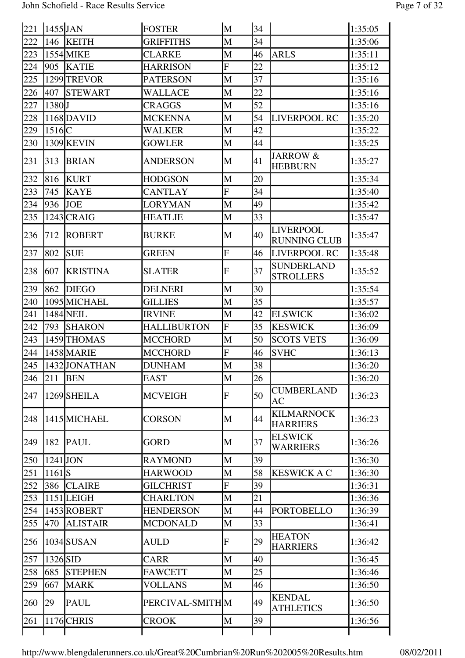| 221 |               | 1455JJAN        | <b>FOSTER</b>      | M | 34 |                                         | 1:35:05 |
|-----|---------------|-----------------|--------------------|---|----|-----------------------------------------|---------|
| 222 | 146           | <b>KEITH</b>    | <b>GRIFFITHS</b>   | M | 34 |                                         | 1:35:06 |
| 223 |               | 1554 MIKE       | <b>CLARKE</b>      | M | 46 | <b>ARLS</b>                             | 1:35:11 |
| 224 | 905           | <b>KATIE</b>    | <b>HARRISON</b>    | F | 22 |                                         | 1:35:12 |
| 225 |               | 1299 TREVOR     | <b>PATERSON</b>    | M | 37 |                                         | 1:35:16 |
| 226 | 407           | <b>STEWART</b>  | WALLACE            | M | 22 |                                         | 1:35:16 |
| 227 | 1380J         |                 | CRAGGS             | M | 52 |                                         | 1:35:16 |
| 228 |               | $1168$ DAVID    | <b>MCKENNA</b>     | M | 54 | <b>LIVERPOOL RC</b>                     | 1:35:20 |
| 229 | $1516$ C      |                 | WALKER             | M | 42 |                                         | 1:35:22 |
| 230 |               | 1309 KEVIN      | <b>GOWLER</b>      | M | 44 |                                         | 1:35:25 |
| 231 | 313           | <b>BRIAN</b>    | <b>ANDERSON</b>    | M | 41 | <b>JARROW &amp;</b><br><b>HEBBURN</b>   | 1:35:27 |
| 232 | 816           | <b>KURT</b>     | <b>HODGSON</b>     | M | 20 |                                         | 1:35:34 |
| 233 | 745           | <b>KAYE</b>     | <b>CANTLAY</b>     | F | 34 |                                         | 1:35:40 |
| 234 | 936           | <b>JOE</b>      | <b>LORYMAN</b>     | M | 49 |                                         | 1:35:42 |
| 235 |               | 1243 CRAIG      | <b>HEATLIE</b>     | M | 33 |                                         | 1:35:47 |
| 236 | 712           | <b>ROBERT</b>   | <b>BURKE</b>       | M | 40 | <b>LIVERPOOL</b><br><b>RUNNING CLUB</b> | 1:35:47 |
| 237 | 802           | <b>SUE</b>      | <b>GREEN</b>       | F | 46 | LIVERPOOL RC                            | 1:35:48 |
| 238 | 607           | <b>KRISTINA</b> | <b>SLATER</b>      | F | 37 | <b>SUNDERLAND</b><br><b>STROLLERS</b>   | 1:35:52 |
| 239 | 862           | <b>DIEGO</b>    | <b>DELNERI</b>     | M | 30 |                                         | 1:35:54 |
| 240 |               | 1095 MICHAEL    | GILLIES            | M | 35 |                                         | 1:35:57 |
| 241 |               | 1484 NEIL       | <b>IRVINE</b>      | M | 42 | <b>ELSWICK</b>                          | 1:36:02 |
| 242 | 793           | <b>SHARON</b>   | <b>HALLIBURTON</b> | F | 35 | <b>KESWICK</b>                          | 1:36:09 |
| 243 |               | 1459 THOMAS     | <b>MCCHORD</b>     | M | 50 | <b>SCOTS VETS</b>                       | 1:36:09 |
| 244 |               | 1458 MARIE      | <b>MCCHORD</b>     | F | 46 | <b>SVHC</b>                             | 1:36:13 |
| 245 |               | 1432JJONATHAN   | <b>DUNHAM</b>      | M | 38 |                                         | 1:36:20 |
| 246 | $ 211\rangle$ | <b>BEN</b>      | <b>EAST</b>        | M | 26 |                                         | 1:36:20 |
| 247 |               | 1269 SHEILA     | <b>MCVEIGH</b>     | F | 50 | <b>CUMBERLAND</b><br>AC                 | 1:36:23 |
| 248 |               | 1415 MICHAEL    | <b>CORSON</b>      | M | 44 | <b>KILMARNOCK</b><br><b>HARRIERS</b>    | 1:36:23 |
| 249 | 182           | <b>PAUL</b>     | <b>GORD</b>        | M | 37 | <b>ELSWICK</b><br><b>WARRIERS</b>       | 1:36:26 |
| 250 |               | $1241$ JON      | <b>RAYMOND</b>     | M | 39 |                                         | 1:36:30 |
| 251 | $1161$ S      |                 | <b>HARWOOD</b>     | M | 58 | <b>KESWICK A C</b>                      | 1:36:30 |
| 252 | 386           | <b>CLAIRE</b>   | <b>GILCHRIST</b>   | F | 39 |                                         | 1:36:31 |
| 253 |               | 1151LEIGH       | <b>CHARLTON</b>    | M | 21 |                                         | 1:36:36 |
| 254 |               | 1453 ROBERT     | <b>HENDERSON</b>   | M | 44 | <b>PORTOBELLO</b>                       | 1:36:39 |
| 255 | 470           | <b>ALISTAIR</b> | <b>MCDONALD</b>    | M | 33 |                                         | 1:36:41 |
| 256 |               | 1034 SUSAN      | AULD               | F | 29 | <b>HEATON</b><br><b>HARRIERS</b>        | 1:36:42 |
| 257 | 1326 SID      |                 | <b>CARR</b>        | M | 40 |                                         | 1:36:45 |
| 258 | 685           | <b>STEPHEN</b>  | <b>FAWCETT</b>     | M | 25 |                                         | 1:36:46 |
| 259 | 667           | <b>MARK</b>     | <b>VOLLANS</b>     | M | 46 |                                         | 1:36:50 |
| 260 | 29            | <b>PAUL</b>     | PERCIVAL-SMITHM    |   | 49 | <b>KENDAL</b><br><b>ATHLETICS</b>       | 1:36:50 |
| 261 |               | 1176 CHRIS      | CROOK              | M | 39 |                                         | 1:36:56 |
|     |               |                 |                    |   |    |                                         |         |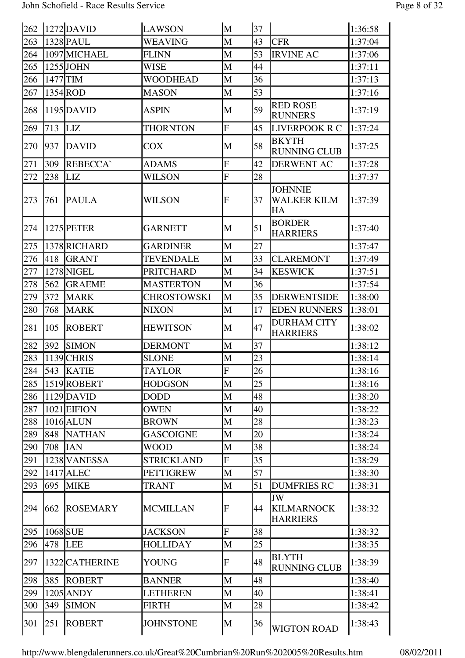| 262 |     | $1272$ DAVID          | <b>LAWSON</b>     | M                         | 37 |                                       | 1:36:58 |
|-----|-----|-----------------------|-------------------|---------------------------|----|---------------------------------------|---------|
| 263 |     | $1328$ PAUL           | <b>WEAVING</b>    | M                         | 43 | <b>CFR</b>                            | 1:37:04 |
| 264 |     | 1097 MICHAEL          | <b>FLINN</b>      | M                         | 53 | <b>IRVINE AC</b>                      | 1:37:06 |
| 265 |     | $1255$ JOHN           | WISE              | M                         | 44 |                                       | 1:37:11 |
| 266 |     | $1477$ TIM            | <b>WOODHEAD</b>   | M                         | 36 |                                       | 1:37:13 |
| 267 |     | $1354$ <sub>ROD</sub> | <b>MASON</b>      | M                         | 53 |                                       | 1:37:16 |
| 268 |     | $1195$ DAVID          | <b>ASPIN</b>      | M                         | 59 | <b>RED ROSE</b><br><b>RUNNERS</b>     | 1:37:19 |
| 269 | 713 | <b>LIZ</b>            | THORNTON          | $\overline{F}$            | 45 | LIVERPOOK R C                         | 1:37:24 |
| 270 | 937 | <b>DAVID</b>          | COX               | M                         | 58 | BKYTH<br><b>RUNNING CLUB</b>          | 1:37:25 |
| 271 | 309 | <b>REBECCA</b>        | <b>ADAMS</b>      | $\overline{F}$            | 42 | <b>DERWENT AC</b>                     | 1:37:28 |
| 272 | 238 | LIZ                   | WILSON            | $\overline{F}$            | 28 |                                       | 1:37:37 |
| 273 | 761 | <b>PAULA</b>          | WILSON            | $\overline{\mathrm{F}}$   | 37 | <b>JOHNNIE</b><br>WALKER KILM<br>HA   | 1:37:39 |
| 274 |     | 1275 PETER            | <b>GARNETT</b>    | M                         | 51 | <b>BORDER</b><br><b>HARRIERS</b>      | 1:37:40 |
| 275 |     | 1378RICHARD           | <b>GARDINER</b>   | M                         | 27 |                                       | 1:37:47 |
| 276 | 418 | <b>GRANT</b>          | TEVENDALE         | M                         | 33 | <b>CLAREMONT</b>                      | 1:37:49 |
| 277 |     | 1278 NIGEL            | <b>PRITCHARD</b>  | M                         | 34 | <b>KESWICK</b>                        | 1:37:51 |
| 278 | 562 | <b>GRAEME</b>         | <b>MASTERTON</b>  | M                         | 36 |                                       | 1:37:54 |
| 279 | 372 | <b>MARK</b>           | CHROSTOWSKI       | M                         | 35 | <b>DERWENTSIDE</b>                    | 1:38:00 |
| 280 | 768 | <b>MARK</b>           | <b>NIXON</b>      | M                         | 17 | <b>EDEN RUNNERS</b>                   | 1:38:01 |
| 281 | 105 | <b>ROBERT</b>         | <b>HEWITSON</b>   | M                         | 47 | <b>DURHAM CITY</b><br><b>HARRIERS</b> | 1:38:02 |
| 282 | 392 | <b>SIMON</b>          | <b>DERMONT</b>    | M                         | 37 |                                       | 1:38:12 |
| 283 |     | 1139 CHRIS            | <b>SLONE</b>      | M                         | 23 |                                       | 1:38:14 |
| 284 | 543 | <b>KATIE</b>          | <b>TAYLOR</b>     | $\overline{\mathrm{F}}$   | 26 |                                       | 1:38:16 |
| 285 |     | 1519ROBERT            | <b>HODGSON</b>    | M                         | 25 |                                       | 1:38:16 |
| 286 |     | $1129$ DAVID          | <b>DODD</b>       | M                         | 48 |                                       | 1:38:20 |
| 287 |     | 1021 EIFION           | OWEN              | M                         | 40 |                                       | 1:38:22 |
| 288 |     | 1016 ALUN             | <b>BROWN</b>      | M                         | 28 |                                       | 1:38:23 |
| 289 | 848 | <b>NATHAN</b>         | <b>GASCOIGNE</b>  | M                         | 20 |                                       | 1:38:24 |
| 290 | 708 | <b>IAN</b>            | <b>WOOD</b>       | M                         | 38 |                                       | 1:38:24 |
| 291 |     | 1238 VANESSA          | <b>STRICKLAND</b> | $\overline{\mathrm{F}}$   | 35 |                                       | 1:38:29 |
| 292 |     | $1417$ ALEC           | <b>PETTIGREW</b>  | M                         | 57 |                                       | 1:38:30 |
| 293 | 695 | <b>MIKE</b>           | <b>TRANT</b>      | M                         | 51 | <b>DUMFRIES RC</b>                    | 1:38:31 |
| 294 | 662 | <b>ROSEMARY</b>       | <b>MCMILLAN</b>   | $\boldsymbol{\mathrm{F}}$ | 44 | JW<br><b>KILMARNOCK</b><br>HARRIERS   | 1:38:32 |
| 295 |     | 1068 SUE              | <b>JACKSON</b>    | $\mathbf F$               | 38 |                                       | 1:38:32 |
| 296 | 478 | <b>LEE</b>            | <b>HOLLIDAY</b>   | M                         | 25 |                                       | 1:38:35 |
| 297 |     | 1322 CATHERINE        | <b>YOUNG</b>      | $\mathbf F$               | 48 | <b>BLYTH</b><br><b>RUNNING CLUB</b>   | 1:38:39 |
| 298 | 385 | ROBERT                | <b>BANNER</b>     | M                         | 48 |                                       | 1:38:40 |
| 299 |     | $1205$ ANDY           | <b>LETHEREN</b>   | M                         | 40 |                                       | 1:38:41 |
| 300 | 349 | <b>SIMON</b>          | <b>FIRTH</b>      | M                         | 28 |                                       | 1:38:42 |
| 301 | 251 | <b>ROBERT</b>         | <b>JOHNSTONE</b>  | M                         | 36 | <b>WIGTON ROAD</b>                    | 1:38:43 |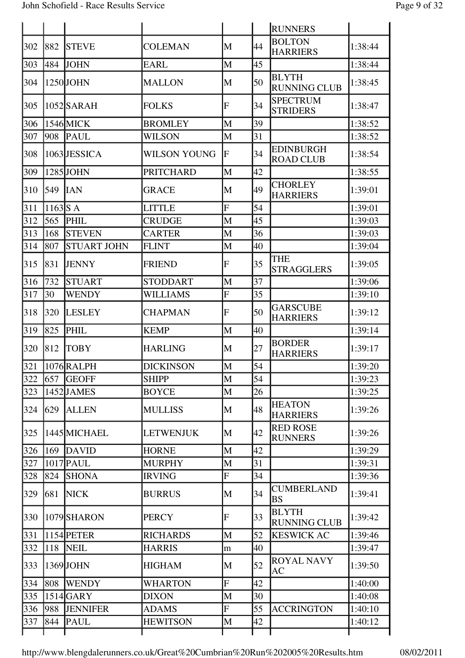|     |           |                    |                     |                |    | <b>RUNNERS</b>                       |         |
|-----|-----------|--------------------|---------------------|----------------|----|--------------------------------------|---------|
| 302 | 882       | <b>STEVE</b>       | <b>COLEMAN</b>      | M              | 44 | <b>BOLTON</b><br><b>HARRIERS</b>     | 1:38:44 |
| 303 | 484       | <b>JOHN</b>        | <b>EARL</b>         | M              | 45 |                                      | 1:38:44 |
| 304 |           | $1250$ JOHN        | <b>MALLON</b>       | M              | 50 | <b>BLYTH</b><br><b>RUNNING CLUB</b>  | 1:38:45 |
| 305 |           | 1052 SARAH         | <b>FOLKS</b>        | $\overline{F}$ | 34 | <b>SPECTRUM</b><br><b>STRIDERS</b>   | 1:38:47 |
| 306 |           | 1546 MICK          | <b>BROMLEY</b>      | M              | 39 |                                      | 1:38:52 |
| 307 | 908       | <b>PAUL</b>        | <b>WILSON</b>       | M              | 31 |                                      | 1:38:52 |
| 308 |           | 1063JESSICA        | <b>WILSON YOUNG</b> | F              | 34 | <b>EDINBURGH</b><br><b>ROAD CLUB</b> | 1:38:54 |
| 309 |           | $1285$ JOHN        | <b>PRITCHARD</b>    | M              | 42 |                                      | 1:38:55 |
| 310 | 549       | <b>IAN</b>         | <b>GRACE</b>        | M              | 49 | <b>CHORLEY</b><br><b>HARRIERS</b>    | 1:39:01 |
| 311 | $1163$ SA |                    | <b>LITTLE</b>       | F              | 54 |                                      | 1:39:01 |
| 312 | 565       | PHIL               | <b>CRUDGE</b>       | M              | 45 |                                      | 1:39:03 |
| 313 | 168       | <b>STEVEN</b>      | <b>CARTER</b>       | M              | 36 |                                      | 1:39:03 |
| 314 | 807       | <b>STUART JOHN</b> | <b>FLINT</b>        | M              | 40 |                                      | 1:39:04 |
| 315 | 831       | <b>JENNY</b>       | <b>FRIEND</b>       | F              | 35 | THE<br><b>STRAGGLERS</b>             | 1:39:05 |
| 316 | 732       | <b>STUART</b>      | <b>STODDART</b>     | M              | 37 |                                      | 1:39:06 |
| 317 | 30        | <b>WENDY</b>       | <b>WILLIAMS</b>     | $\overline{F}$ | 35 |                                      | 1:39:10 |
| 318 | 320       | <b>LESLEY</b>      | <b>CHAPMAN</b>      | F              | 50 | <b>GARSCUBE</b><br><b>HARRIERS</b>   | 1:39:12 |
| 319 | 825       | PHIL               | <b>KEMP</b>         | M              | 40 |                                      | 1:39:14 |
| 320 | 812       | <b>TOBY</b>        | <b>HARLING</b>      | M              | 27 | <b>BORDER</b><br><b>HARRIERS</b>     | 1:39:17 |
| 321 |           | 1076RALPH          | <b>DICKINSON</b>    | M              | 54 |                                      | 1:39:20 |
| 322 | 657       | <b>GEOFF</b>       | <b>SHIPP</b>        | M              | 54 |                                      | 1:39:23 |
| 323 |           | 1452JJAMES         | <b>BOYCE</b>        | M              | 26 |                                      | 1:39:25 |
| 324 | 629       | <b>ALLEN</b>       | <b>MULLISS</b>      | M              | 48 | <b>HEATON</b><br><b>HARRIERS</b>     | 1:39:26 |
| 325 |           | 1445 MICHAEL       | <b>LETWENJUK</b>    | M              | 42 | <b>RED ROSE</b><br><b>RUNNERS</b>    | 1:39:26 |
| 326 | 169       | <b>DAVID</b>       | <b>HORNE</b>        | M              | 42 |                                      | 1:39:29 |
| 327 |           | $1017$ PAUL        | <b>MURPHY</b>       | M              | 31 |                                      | 1:39:31 |
| 328 | 824       | <b>SHONA</b>       | <b>IRVING</b>       | $\mathbf F$    | 34 |                                      | 1:39:36 |
| 329 | 681       | <b>NICK</b>        | <b>BURRUS</b>       | M              | 34 | <b>CUMBERLAND</b><br><b>BS</b>       | 1:39:41 |
| 330 |           | 1079SHARON         | <b>PERCY</b>        | $\overline{F}$ | 33 | <b>BLYTH</b><br><b>RUNNING CLUB</b>  | 1:39:42 |
| 331 |           | 1154 PETER         | <b>RICHARDS</b>     | M              | 52 | <b>KESWICK AC</b>                    | 1:39:46 |
| 332 | 118       | <b>NEIL</b>        | <b>HARRIS</b>       | m              | 40 |                                      | 1:39:47 |
| 333 |           | 1369JJOHN          | <b>HIGHAM</b>       | M              | 52 | <b>ROYAL NAVY</b><br><b>AC</b>       | 1:39:50 |
| 334 | 808       | <b>WENDY</b>       | <b>WHARTON</b>      | $\overline{F}$ | 42 |                                      | 1:40:00 |
| 335 |           | $1514$ GARY        | <b>DIXON</b>        | M              | 30 |                                      | 1:40:08 |
| 336 | 988       | <b>JENNIFER</b>    | <b>ADAMS</b>        | $\overline{F}$ | 55 | <b>ACCRINGTON</b>                    | 1:40:10 |
| 337 | 844       | <b>PAUL</b>        | <b>HEWITSON</b>     | M              | 42 |                                      | 1:40:12 |
|     |           |                    |                     |                |    |                                      |         |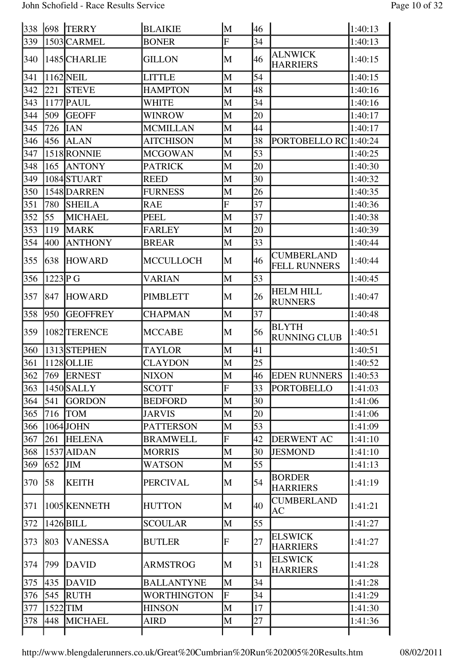| 338 | 698       | <b>TERRY</b>    | <b>BLAIKIE</b>    | M | 46 |                                          | 1:40:13 |
|-----|-----------|-----------------|-------------------|---|----|------------------------------------------|---------|
| 339 |           | 1503 CARMEL     | <b>BONER</b>      | F | 34 |                                          | 1:40:13 |
| 340 |           | 1485 CHARLIE    | <b>GILLON</b>     | M | 46 | <b>ALNWICK</b><br><b>HARRIERS</b>        | 1:40:15 |
| 341 |           | 1162 NEIL       | <b>LITTLE</b>     | M | 54 |                                          | 1:40:15 |
| 342 | 221       | <b>STEVE</b>    | <b>HAMPTON</b>    | M | 48 |                                          | 1:40:16 |
| 343 | 1177      | PAUL            | WHITE             | M | 34 |                                          | 1:40:16 |
| 344 | 509       | <b>GEOFF</b>    | WINROW            | M | 20 |                                          | 1:40:17 |
| 345 | 726       | <b>IAN</b>      | <b>MCMILLAN</b>   | M | 44 |                                          | 1:40:17 |
| 346 | 456       | <b>ALAN</b>     | <b>AITCHISON</b>  | M | 38 | PORTOBELLO RC 1:40:24                    |         |
| 347 |           | 1518 RONNIE     | <b>MCGOWAN</b>    | M | 53 |                                          | 1:40:25 |
| 348 | 165       | <b>ANTONY</b>   | <b>PATRICK</b>    | M | 20 |                                          | 1:40:30 |
| 349 |           | 1084STUART      | <b>REED</b>       | M | 30 |                                          | 1:40:32 |
| 350 |           | 1548 DARREN     | <b>FURNESS</b>    | M | 26 |                                          | 1:40:35 |
| 351 | 780       | <b>SHEILA</b>   | <b>RAE</b>        | F | 37 |                                          | 1:40:36 |
| 352 | 55        | <b>MICHAEL</b>  | <b>PEEL</b>       | M | 37 |                                          | 1:40:38 |
| 353 | 119       | <b>MARK</b>     | <b>FARLEY</b>     | M | 20 |                                          | 1:40:39 |
| 354 | 400       | <b>ANTHONY</b>  | <b>BREAR</b>      | M | 33 |                                          | 1:40:44 |
| 355 | 638       | <b>HOWARD</b>   | <b>MCCULLOCH</b>  | M | 46 | <b>CUMBERLAND</b><br><b>FELL RUNNERS</b> | 1:40:44 |
| 356 | $1223$ PG |                 | <b>VARIAN</b>     | M | 53 |                                          | 1:40:45 |
| 357 | 847       | <b>HOWARD</b>   | <b>PIMBLETT</b>   | M | 26 | <b>HELM HILL</b><br><b>RUNNERS</b>       | 1:40:47 |
| 358 | 950       | <b>GEOFFREY</b> | <b>CHAPMAN</b>    | M | 37 |                                          | 1:40:48 |
| 359 |           | 1082 TERENCE    | <b>MCCABE</b>     | M | 56 | <b>BLYTH</b><br><b>RUNNING CLUB</b>      | 1:40:51 |
| 360 |           | 1313STEPHEN     | TAYLOR            | M | 41 |                                          | 1:40:51 |
| 361 |           | 1128 OLLIE      | <b>CLAYDON</b>    | M | 25 |                                          | 1:40:52 |
| 362 |           | $769$ ERNEST    | NIXON             | M | 46 | <b>EDEN RUNNERS</b>                      | 1:40:53 |
| 363 |           | 1450 SALLY      | <b>SCOTT</b>      | F | 33 | <b>PORTOBELLO</b>                        | 1:41:03 |
| 364 | 541       | <b>GORDON</b>   | <b>BEDFORD</b>    | M | 30 |                                          | 1:41:06 |
| 365 | 716       | <b>TOM</b>      | <b>JARVIS</b>     | M | 20 |                                          | 1:41:06 |
| 366 |           | $1064$ JOHN     | <b>PATTERSON</b>  | M | 53 |                                          | 1:41:09 |
| 367 | 261       | <b>HELENA</b>   | <b>BRAMWELL</b>   | F | 42 | <b>DERWENT AC</b>                        | 1:41:10 |
| 368 |           | $1537$ AIDAN    | <b>MORRIS</b>     | M | 30 | <b>JESMOND</b>                           | 1:41:10 |
| 369 | 652       | JIM             | <b>WATSON</b>     | M | 55 |                                          | 1:41:13 |
| 370 | 58        | <b>KEITH</b>    | <b>PERCIVAL</b>   | M | 54 | <b>BORDER</b><br><b>HARRIERS</b>         | 1:41:19 |
| 371 |           | 1005 KENNETH    | <b>HUTTON</b>     | M | 40 | <b>CUMBERLAND</b><br>AC                  | 1:41:21 |
| 372 |           | $1426$ BILL     | <b>SCOULAR</b>    | M | 55 |                                          | 1:41:27 |
| 373 | 803       | <b>VANESSA</b>  | <b>BUTLER</b>     | F | 27 | <b>ELSWICK</b><br><b>HARRIERS</b>        | 1:41:27 |
| 374 | 799       | <b>DAVID</b>    | <b>ARMSTROG</b>   | M | 31 | <b>ELSWICK</b><br><b>HARRIERS</b>        | 1:41:28 |
| 375 | 435       | <b>DAVID</b>    | <b>BALLANTYNE</b> | M | 34 |                                          | 1:41:28 |
| 376 | 545       | <b>RUTH</b>     | WORTHINGTON       | F | 34 |                                          | 1:41:29 |
| 377 |           | $1522$ TIM      | <b>HINSON</b>     | M | 17 |                                          | 1:41:30 |
| 378 | 448       | <b>MICHAEL</b>  | AIRD              | M | 27 |                                          | 1:41:36 |
|     |           |                 |                   |   |    |                                          |         |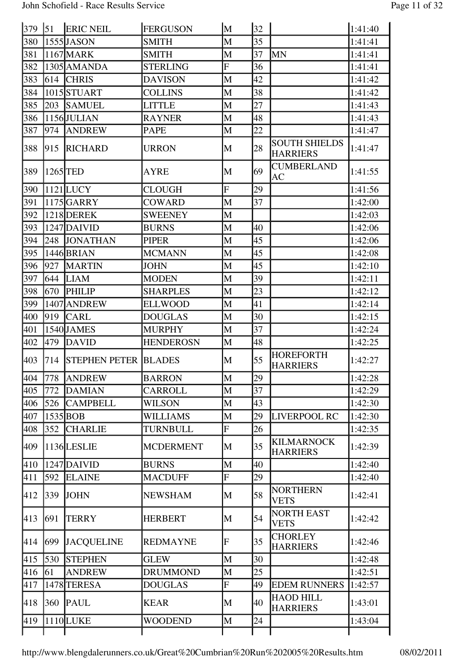| 379 | 51  | <b>ERIC NEIL</b>            | <b>FERGUSON</b>  | M                       | 32 |                                         | 1:41:40 |
|-----|-----|-----------------------------|------------------|-------------------------|----|-----------------------------------------|---------|
| 380 |     | 1555 JASON                  | <b>SMITH</b>     | M                       | 35 |                                         | 1:41:41 |
| 381 |     | 1167 MARK                   | <b>SMITH</b>     | M                       | 37 | <b>MN</b>                               | 1:41:41 |
| 382 |     | 1305 AMANDA                 | <b>STERLING</b>  | $\overline{F}$          | 36 |                                         | 1:41:41 |
| 383 | 614 | <b>CHRIS</b>                | <b>DAVISON</b>   | M                       | 42 |                                         | 1:41:42 |
| 384 |     | 1015STUART                  | <b>COLLINS</b>   | M                       | 38 |                                         | 1:41:42 |
| 385 | 203 | <b>SAMUEL</b>               | <b>LITTLE</b>    | M                       | 27 |                                         | 1:41:43 |
| 386 |     | 1156JJULIAN                 | <b>RAYNER</b>    | M                       | 48 |                                         | 1:41:43 |
| 387 | 974 | <b>ANDREW</b>               | <b>PAPE</b>      | M                       | 22 |                                         | 1:41:47 |
| 388 | 915 | <b>RICHARD</b>              | <b>URRON</b>     | M                       | 28 | <b>SOUTH SHIELDS</b><br><b>HARRIERS</b> | 1:41:47 |
| 389 |     | $1265$ TED                  | <b>AYRE</b>      | M                       | 69 | <b>CUMBERLAND</b><br>AC                 | 1:41:55 |
| 390 |     | $1121$ LUCY                 | <b>CLOUGH</b>    | $\overline{\mathrm{F}}$ | 29 |                                         | 1:41:56 |
| 391 |     | $1175$ GARRY                | <b>COWARD</b>    | M                       | 37 |                                         | 1:42:00 |
| 392 |     | 1218 DEREK                  | <b>SWEENEY</b>   | M                       |    |                                         | 1:42:03 |
| 393 |     | 1247 DAIVID                 | <b>BURNS</b>     | M                       | 40 |                                         | 1:42:06 |
| 394 | 248 | <b>JONATHAN</b>             | <b>PIPER</b>     | M                       | 45 |                                         | 1:42:06 |
| 395 |     | 1446 BRIAN                  | <b>MCMANN</b>    | M                       | 45 |                                         | 1:42:08 |
| 396 | 927 | <b>MARTIN</b>               | <b>JOHN</b>      | M                       | 45 |                                         | 1:42:10 |
| 397 | 644 | <b>LIAM</b>                 | <b>MODEN</b>     | M                       | 39 |                                         | 1:42:11 |
| 398 | 670 | <b>PHILIP</b>               | <b>SHARPLES</b>  | M                       | 23 |                                         | 1:42:12 |
| 399 |     | 1407 ANDREW                 | <b>ELLWOOD</b>   | M                       | 41 |                                         | 1:42:14 |
| 400 | 919 | <b>CARL</b>                 | <b>DOUGLAS</b>   | M                       | 30 |                                         | 1:42:15 |
| 401 |     | 1540 JAMES                  | <b>MURPHY</b>    | M                       | 37 |                                         | 1:42:24 |
| 402 | 479 | <b>DAVID</b>                | <b>HENDEROSN</b> | M                       | 48 |                                         | 1:42:25 |
| 403 | 714 | <b>STEPHEN PETER BLADES</b> |                  | M                       | 55 | <b>HOREFORTH</b><br><b>HARRIERS</b>     | 1:42:27 |
| 404 | 778 | <b>ANDREW</b>               | <b>BARRON</b>    | M                       | 29 |                                         | 1:42:28 |
| 405 | 772 | <b>DAMIAN</b>               | CARROLL          | M                       | 37 |                                         | 1:42:29 |
| 406 | 526 | <b>CAMPBELL</b>             | <b>WILSON</b>    | M                       | 43 |                                         | 1:42:30 |
| 407 |     | $1535$ BOB                  | <b>WILLIAMS</b>  | M                       | 29 | LIVERPOOL RC                            | 1:42:30 |
| 408 | 352 | <b>CHARLIE</b>              | TURNBULL         | $\mathbf F$             | 26 |                                         | 1:42:35 |
| 409 |     | 1136LESLIE                  | <b>MCDERMENT</b> | M                       | 35 | <b>KILMARNOCK</b><br><b>HARRIERS</b>    | 1:42:39 |
| 410 |     | 1247 DAIVID                 | <b>BURNS</b>     | M                       | 40 |                                         | 1:42:40 |
| 411 | 592 | <b>ELAINE</b>               | <b>MACDUFF</b>   | $\overline{\mathrm{F}}$ | 29 |                                         | 1:42:40 |
| 412 | 339 | <b>JOHN</b>                 | <b>NEWSHAM</b>   | M                       | 58 | NORTHERN<br><b>VETS</b>                 | 1:42:41 |
| 413 | 691 | <b>TERRY</b>                | <b>HERBERT</b>   | M                       | 54 | <b>NORTH EAST</b><br><b>VETS</b>        | 1:42:42 |
| 414 | 699 | <b>JACQUELINE</b>           | <b>REDMAYNE</b>  | $\overline{\mathrm{F}}$ | 35 | <b>CHORLEY</b><br><b>HARRIERS</b>       | 1:42:46 |
| 415 | 530 | <b>STEPHEN</b>              | <b>GLEW</b>      | M                       | 30 |                                         | 1:42:48 |
| 416 | 61  | ANDREW                      | <b>DRUMMOND</b>  | M                       | 25 |                                         | 1:42:51 |
| 417 |     | 1478 TERESA                 | <b>DOUGLAS</b>   | $\overline{\mathrm{F}}$ | 49 | <b>EDEM RUNNERS</b>                     | 1:42:57 |
| 418 | 360 | <b>PAUL</b>                 | <b>KEAR</b>      | M                       | 40 | HAOD HILL<br><b>HARRIERS</b>            | 1:43:01 |
| 419 |     | 1110LUKE                    | <b>WOODEND</b>   | M                       | 24 |                                         | 1:43:04 |
|     |     |                             |                  |                         |    |                                         |         |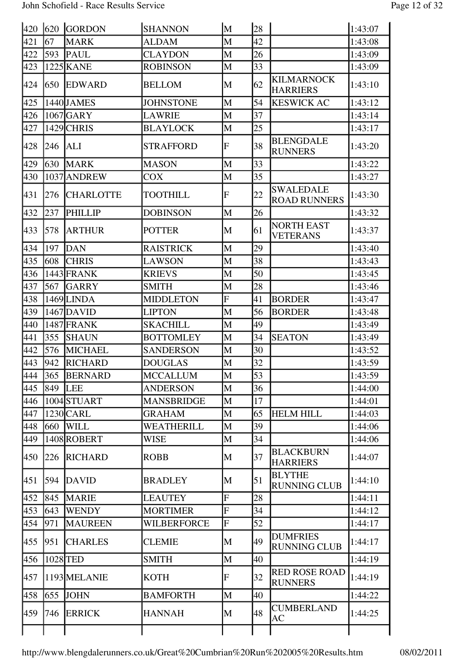| 420 | 620 | <b>GORDON</b>    | <b>SHANNON</b>   | M | 28 |                                         | 1:43:07 |
|-----|-----|------------------|------------------|---|----|-----------------------------------------|---------|
| 421 | 67  | <b>MARK</b>      | ALDAM            | M | 42 |                                         | 1:43:08 |
| 422 | 593 | <b>PAUL</b>      | CLAYDON          | M | 26 |                                         | 1:43:09 |
| 423 |     | 1225 KANE        | <b>ROBINSON</b>  | M | 33 |                                         | 1:43:09 |
| 424 | 650 | <b>EDWARD</b>    | <b>BELLOM</b>    | M | 62 | <b>KILMARNOCK</b><br><b>HARRIERS</b>    | 1:43:10 |
| 425 |     | 1440 JAMES       | <b>JOHNSTONE</b> | M | 54 | <b>KESWICK AC</b>                       | 1:43:12 |
| 426 |     | $1067$ GARY      | <b>LAWRIE</b>    | M | 37 |                                         | 1:43:14 |
| 427 |     | 1429 CHRIS       | <b>BLAYLOCK</b>  | M | 25 |                                         | 1:43:17 |
| 428 | 246 | <b>ALI</b>       | <b>STRAFFORD</b> | F | 38 | <b>BLENGDALE</b><br><b>RUNNERS</b>      | 1:43:20 |
| 429 | 630 | <b>MARK</b>      | <b>MASON</b>     | M | 33 |                                         | 1:43:22 |
| 430 |     | 1037 ANDREW      | COX              | M | 35 |                                         | 1:43:27 |
| 431 | 276 | <b>CHARLOTTE</b> | <b>TOOTHILL</b>  | F | 22 | <b>SWALEDALE</b><br><b>ROAD RUNNERS</b> | 1:43:30 |
| 432 | 237 | <b>PHILLIP</b>   | <b>DOBINSON</b>  | M | 26 |                                         | 1:43:32 |
| 433 | 578 | <b>ARTHUR</b>    | <b>POTTER</b>    | M | 61 | <b>NORTH EAST</b><br><b>VETERANS</b>    | 1:43:37 |
| 434 | 197 | DAN              | <b>RAISTRICK</b> | M | 29 |                                         | 1:43:40 |
| 435 | 608 | <b>CHRIS</b>     | <b>LAWSON</b>    | M | 38 |                                         | 1:43:43 |
| 436 |     | 1443 FRANK       | <b>KRIEVS</b>    | M | 50 |                                         | 1:43:45 |
| 437 | 567 | <b>GARRY</b>     | <b>SMITH</b>     | M | 28 |                                         | 1:43:46 |
| 438 |     | 1469LINDA        | <b>MIDDLETON</b> | F | 41 | <b>BORDER</b>                           | 1:43:47 |
| 439 |     | $1467$ DAVID     | <b>LIPTON</b>    | M | 56 | <b>BORDER</b>                           | 1:43:48 |
| 440 |     | 1487 FRANK       | <b>SKACHILL</b>  | M | 49 |                                         | 1:43:49 |
| 441 | 355 | <b>SHAUN</b>     | <b>BOTTOMLEY</b> | M | 34 | <b>SEATON</b>                           | 1:43:49 |
| 442 | 576 | <b>MICHAEL</b>   | SANDERSON        | M | 30 |                                         | 1:43:52 |
| 443 | 942 | <b>RICHARD</b>   | <b>DOUGLAS</b>   | M | 32 |                                         | 1:43:59 |
| 444 | 365 | <b>BERNARD</b>   | <b>MCCALLUM</b>  | M | 53 |                                         | 1:43:59 |
| 445 | 849 | <b>LEE</b>       | <b>ANDERSON</b>  | M | 36 |                                         | 1:44:00 |
| 446 |     | 1004STUART       | MANSBRIDGE       | M | 17 |                                         | 1:44:01 |
| 447 |     | 1230 CARL        | <b>GRAHAM</b>    | M | 65 | <b>HELM HILL</b>                        | 1:44:03 |
| 448 | 660 | <b>WILL</b>      | WEATHERILL       | M | 39 |                                         | 1:44:06 |
| 449 |     | 1408 ROBERT      | WISE             | M | 34 |                                         | 1:44:06 |
| 450 | 226 | <b>RICHARD</b>   | <b>ROBB</b>      | M | 37 | <b>BLACKBURN</b><br><b>HARRIERS</b>     | 1:44:07 |
| 451 | 594 | DAVID            | <b>BRADLEY</b>   | M | 51 | <b>BLYTHE</b><br><b>RUNNING CLUB</b>    | 1:44:10 |
| 452 | 845 | <b>MARIE</b>     | <b>LEAUTEY</b>   | F | 28 |                                         | 1:44:11 |
| 453 | 643 | <b>WENDY</b>     | <b>MORTIMER</b>  | F | 34 |                                         | 1:44:12 |
| 454 | 971 | <b>MAUREEN</b>   | WILBERFORCE      | F | 52 |                                         | 1:44:17 |
| 455 | 951 | <b>CHARLES</b>   | <b>CLEMIE</b>    | M | 49 | <b>DUMFRIES</b><br><b>RUNNING CLUB</b>  | 1:44:17 |
| 456 |     | 1028 TED         | <b>SMITH</b>     | M | 40 |                                         | 1:44:19 |
| 457 |     | 1193 MELANIE     | <b>KOTH</b>      | F | 32 | <b>RED ROSE ROAD</b><br><b>RUNNERS</b>  | 1:44:19 |
| 458 | 655 | <b>JOHN</b>      | <b>BAMFORTH</b>  | M | 40 |                                         | 1:44:22 |
| 459 | 746 | <b>ERRICK</b>    | <b>HANNAH</b>    | M | 48 | <b>CUMBERLAND</b><br>AC                 | 1:44:25 |
|     |     |                  |                  |   |    |                                         |         |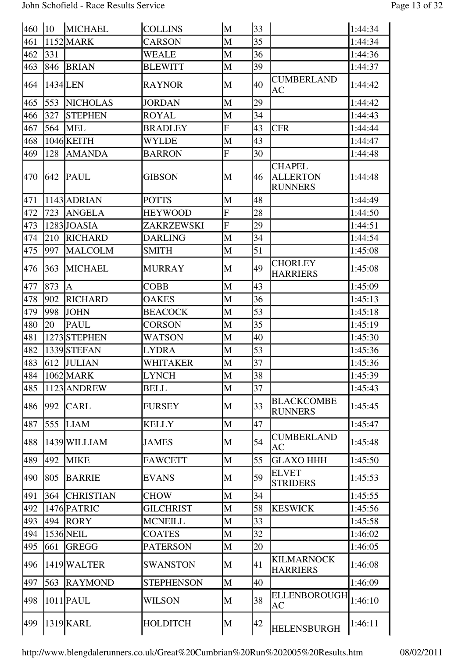| 460 | 10  | <b>MICHAEL</b>   | <b>COLLINS</b>    | M                       | 33 |                                                    | 1:44:34          |
|-----|-----|------------------|-------------------|-------------------------|----|----------------------------------------------------|------------------|
| 461 |     | 1152 MARK        | <b>CARSON</b>     | M                       | 35 |                                                    | 1:44:34          |
| 462 | 331 |                  | WEALE             | M                       | 36 |                                                    | 1:44:36          |
| 463 | 846 | <b>BRIAN</b>     | <b>BLEWITT</b>    | M                       | 39 |                                                    | 1:44:37          |
| 464 |     | 1434 LEN         | <b>RAYNOR</b>     | M                       | 40 | <b>CUMBERLAND</b><br>AC                            | 1:44:42          |
| 465 | 553 | <b>NICHOLAS</b>  | <b>JORDAN</b>     | M                       | 29 |                                                    | 1:44:42          |
| 466 | 327 | <b>STEPHEN</b>   | <b>ROYAL</b>      | M                       | 34 |                                                    | 1:44:43          |
| 467 | 564 | <b>MEL</b>       | <b>BRADLEY</b>    | $\mathbf F$             | 43 | <b>CFR</b>                                         | 1:44:44          |
| 468 |     | 1046 KEITH       | WYLDE             | M                       | 43 |                                                    | 1:44:47          |
| 469 | 128 | <b>AMANDA</b>    | <b>BARRON</b>     | $\overline{\mathrm{F}}$ | 30 |                                                    | 1:44:48          |
| 470 | 642 | <b>PAUL</b>      | <b>GIBSON</b>     | M                       | 46 | <b>CHAPEL</b><br><b>ALLERTON</b><br><b>RUNNERS</b> | 1:44:48          |
| 471 |     | 1143 ADRIAN      | <b>POTTS</b>      | M                       | 48 |                                                    | 1:44:49          |
| 472 | 723 | <b>ANGELA</b>    | <b>HEYWOOD</b>    | $\mathbf F$             | 28 |                                                    | 1:44:50          |
| 473 |     | 1283JJOASIA      | ZAKRZEWSKI        | $\overline{\mathrm{F}}$ | 29 |                                                    | 1:44:51          |
| 474 | 210 | <b>RICHARD</b>   | <b>DARLING</b>    | M                       | 34 |                                                    | 1:44:54          |
| 475 | 997 | <b>MALCOLM</b>   | <b>SMITH</b>      | M                       | 51 |                                                    | 1:45:08          |
| 476 | 363 | <b>MICHAEL</b>   | <b>MURRAY</b>     | M                       | 49 | <b>CHORLEY</b><br><b>HARRIERS</b>                  | 1:45:08          |
| 477 | 873 | $\overline{A}$   | <b>COBB</b>       | M                       | 43 |                                                    | 1:45:09          |
| 478 | 902 | <b>RICHARD</b>   | OAKES             | M                       | 36 |                                                    | 1:45:13          |
| 479 | 998 | <b>JOHN</b>      | <b>BEACOCK</b>    | M                       | 53 |                                                    | 1:45:18          |
| 480 | 20  | <b>PAUL</b>      | <b>CORSON</b>     | M                       | 35 |                                                    | 1:45:19          |
| 481 |     | 1273 STEPHEN     | <b>WATSON</b>     | M                       | 40 |                                                    | 1:45:30          |
| 482 |     | 1339 STEFAN      | <b>LYDRA</b>      | M                       | 53 |                                                    | 1:45:36          |
| 483 | 612 | <b>JULIAN</b>    | WHITAKER          | M                       | 37 |                                                    | 1:45:36          |
| 484 |     | 1062 MARK        | LYNCH             | $\overline{\mathbf{M}}$ | 38 |                                                    | $\sqrt{1:45:39}$ |
| 485 |     | 1123 ANDREW      | <b>BELL</b>       | M                       | 37 |                                                    | 1:45:43          |
| 486 | 992 | <b>CARL</b>      | <b>FURSEY</b>     | M                       | 33 | BLACKCOMBE<br><b>RUNNERS</b>                       | 1:45:45          |
| 487 | 555 | <b>LIAM</b>      | <b>KELLY</b>      | M                       | 47 |                                                    | 1:45:47          |
| 488 |     | 1439 WILLIAM     | <b>JAMES</b>      | M                       | 54 | <b>CUMBERLAND</b><br>AC                            | 1:45:48          |
| 489 | 492 | <b>MIKE</b>      | <b>FAWCETT</b>    | M                       | 55 | GLAXO HHH                                          | 1:45:50          |
| 490 | 805 | <b>BARRIE</b>    | <b>EVANS</b>      | M                       | 59 | ELVET<br>STRIDERS                                  | 1:45:53          |
| 491 | 364 | <b>CHRISTIAN</b> | <b>CHOW</b>       | M                       | 34 |                                                    | 1:45:55          |
| 492 |     | 1476 PATRIC      | <b>GILCHRIST</b>  | M                       | 58 | <b>KESWICK</b>                                     | 1:45:56          |
| 493 | 494 | RORY             | <b>MCNEILL</b>    | M                       | 33 |                                                    | 1:45:58          |
| 494 |     | 1536 NEIL        | COATES            | M                       | 32 |                                                    | 1:46:02          |
| 495 | 661 | <b>GREGG</b>     | <b>PATERSON</b>   | M                       | 20 |                                                    | 1:46:05          |
| 496 |     | 1419 WALTER      | <b>SWANSTON</b>   | M                       | 41 | KILMARNOCK<br><b>HARRIERS</b>                      | 1:46:08          |
| 497 | 563 | <b>RAYMOND</b>   | <b>STEPHENSON</b> | M                       | 40 |                                                    | 1:46:09          |
| 498 |     | $1011$ PAUL      | WILSON            | M                       | 38 | ELLENBOROUGH<br>AC                                 | 1:46:10          |
| 499 |     | 1319 KARL        | <b>HOLDITCH</b>   | M                       | 42 | <b>HELENSBURGH</b>                                 | 1:46:11          |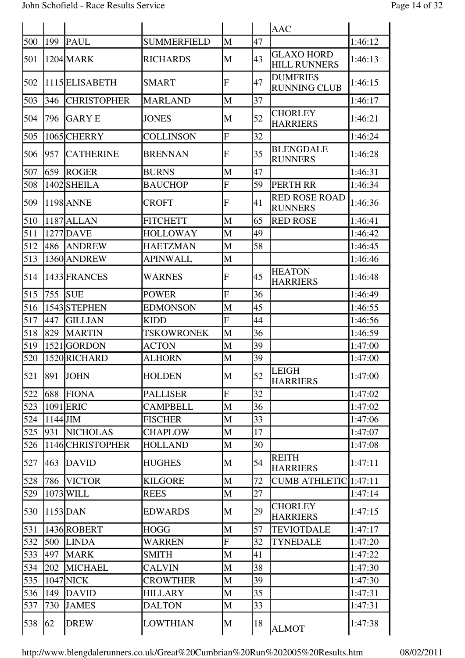|     |            |                    |                    |   |    | <b>AAC</b>                               |         |
|-----|------------|--------------------|--------------------|---|----|------------------------------------------|---------|
| 500 | 199        | <b>PAUL</b>        | <b>SUMMERFIELD</b> | M | 47 |                                          | 1:46:12 |
| 501 |            | 1204 MARK          | <b>RICHARDS</b>    | М | 43 | <b>GLAXO HORD</b><br><b>HILL RUNNERS</b> | 1:46:13 |
| 502 |            | 1115 ELISABETH     | <b>SMART</b>       | F | 47 | <b>DUMFRIES</b><br><b>RUNNING CLUB</b>   | 1:46:15 |
| 503 | 346        | <b>CHRISTOPHER</b> | <b>MARLAND</b>     | M | 37 |                                          | 1:46:17 |
| 504 | 796        | <b>GARY E</b>      | <b>JONES</b>       | M | 52 | <b>CHORLEY</b><br><b>HARRIERS</b>        | 1:46:21 |
| 505 |            | 1065 CHERRY        | <b>COLLINSON</b>   | F | 32 |                                          | 1:46:24 |
| 506 | 957        | <b>CATHERINE</b>   | <b>BRENNAN</b>     | F | 35 | <b>BLENGDALE</b><br><b>RUNNERS</b>       | 1:46:28 |
| 507 | 659        | ROGER              | <b>BURNS</b>       | M | 47 |                                          | 1:46:31 |
| 508 | 1402       | <b>SHEILA</b>      | <b>BAUCHOP</b>     | F | 59 | <b>PERTH RR</b>                          | 1:46:34 |
| 509 |            | 1198 ANNE          | <b>CROFT</b>       | F | 41 | <b>RED ROSE ROAD</b><br><b>RUNNERS</b>   | 1:46:36 |
| 510 |            | 1187 ALLAN         | <b>FITCHETT</b>    | M | 65 | <b>RED ROSE</b>                          | 1:46:41 |
| 511 |            | 1277 DAVE          | <b>HOLLOWAY</b>    | M | 49 |                                          | 1:46:42 |
| 512 | 486        | <b>ANDREW</b>      | <b>HAETZMAN</b>    | M | 58 |                                          | 1:46:45 |
| 513 |            | 1360 ANDREW        | <b>APINWALL</b>    | M |    |                                          | 1:46:46 |
| 514 |            | 1433 FRANCES       | <b>WARNES</b>      | F | 45 | <b>HEATON</b><br><b>HARRIERS</b>         | 1:46:48 |
| 515 | 755        | <b>SUE</b>         | <b>POWER</b>       | F | 36 |                                          | 1:46:49 |
| 516 |            | 1543 STEPHEN       | <b>EDMONSON</b>    | M | 45 |                                          | 1:46:55 |
| 517 | 447        | <b>GILLIAN</b>     | <b>KIDD</b>        | F | 44 |                                          | 1:46:56 |
| 518 | 829        | <b>MARTIN</b>      | TSKOWRONEK         | M | 36 |                                          | 1:46:59 |
| 519 |            | 1521 GORDON        | <b>ACTON</b>       | M | 39 |                                          | 1:47:00 |
| 520 |            | 1520RICHARD        | <b>ALHORN</b>      | M | 39 |                                          | 1:47:00 |
| 521 | 891        | <b>JOHN</b>        | <b>HOLDEN</b>      | M | 52 | <b>LEIGH</b><br><b>HARRIERS</b>          | 1:47:00 |
| 522 | 688        | <b>FIONA</b>       | <b>PALLISER</b>    | F | 32 |                                          | 1:47:02 |
| 523 |            | 1091 ERIC          | <b>CAMPBELL</b>    | M | 36 |                                          | 1:47:02 |
| 524 | $1144$ JIM |                    | <b>FISCHER</b>     | M | 33 |                                          | 1:47:06 |
| 525 | 931        | <b>NICHOLAS</b>    | <b>CHAPLOW</b>     | M | 17 |                                          | 1:47:07 |
| 526 |            | 1146 CHRISTOPHER   | <b>HOLLAND</b>     | M | 30 |                                          | 1:47:08 |
| 527 | 463        | <b>DAVID</b>       | <b>HUGHES</b>      | M | 54 | <b>REITH</b><br><b>HARRIERS</b>          | 1:47:11 |
| 528 | 786        | <b>VICTOR</b>      | <b>KILGORE</b>     | M | 72 | CUMB ATHLETIC 1:47:11                    |         |
| 529 |            | 1073 WILL          | <b>REES</b>        | M | 27 |                                          | 1:47:14 |
| 530 |            | 1153 DAN           | <b>EDWARDS</b>     | М | 29 | <b>CHORLEY</b><br><b>HARRIERS</b>        | 1:47:15 |
| 531 |            | 1436ROBERT         | <b>HOGG</b>        | M | 57 | TEVIOTDALE                               | 1:47:17 |
| 532 | 500        | <b>LINDA</b>       | <b>WARREN</b>      | F | 32 | TYNEDALE                                 | 1:47:20 |
| 533 | 497        | <b>MARK</b>        | <b>SMITH</b>       | M | 41 |                                          | 1:47:22 |
| 534 | 202        | <b>MICHAEL</b>     | <b>CALVIN</b>      | M | 38 |                                          | 1:47:30 |
| 535 |            | 1047 NICK          | <b>CROWTHER</b>    | M | 39 |                                          | 1:47:30 |
| 536 | 149        | <b>DAVID</b>       | <b>HILLARY</b>     | M | 35 |                                          | 1:47:31 |
| 537 | 730        | <b>JAMES</b>       | <b>DALTON</b>      | M | 33 |                                          | 1:47:31 |
| 538 | 62         | <b>DREW</b>        | <b>LOWTHIAN</b>    | M | 18 | <b>ALMOT</b>                             | 1:47:38 |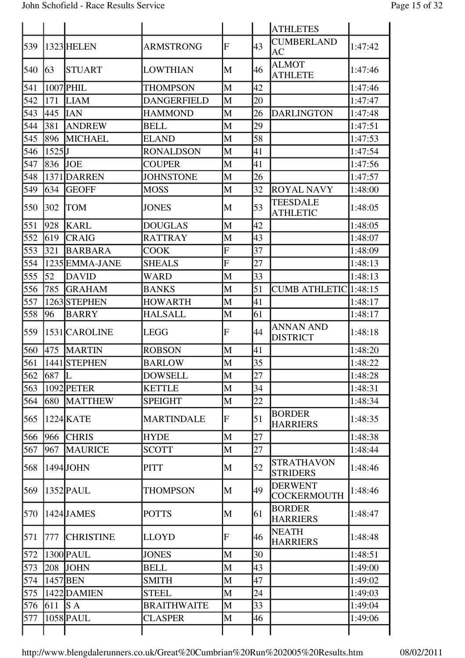|     |          |                    |                    |                |                 | <b>ATHLETES</b>                      |         |
|-----|----------|--------------------|--------------------|----------------|-----------------|--------------------------------------|---------|
| 539 |          | 1323 HELEN         | <b>ARMSTRONG</b>   | F              | 43              | <b>CUMBERLAND</b><br><b>AC</b>       | 1:47:42 |
| 540 | 163      | <b>STUART</b>      | <b>LOWTHIAN</b>    | M              | 46              | <b>ALMOT</b><br><b>ATHLETE</b>       | 1:47:46 |
| 541 |          | 1007 PHIL          | THOMPSON           | M              | 42              |                                      | 1:47:46 |
| 542 | 171      | LIAM               | <b>DANGERFIELD</b> | M              | 20              |                                      | 1:47:47 |
| 543 | 445      | <b>IAN</b>         | <b>HAMMOND</b>     | M              | 26              | <b>DARLINGTON</b>                    | 1:47:48 |
| 544 | 381      | <b>ANDREW</b>      | <b>BELL</b>        | M              | 29              |                                      | 1:47:51 |
| 545 | 896      | MICHAEL            | <b>ELAND</b>       | M              | 58              |                                      | 1:47:53 |
| 546 | $1525$ J |                    | <b>RONALDSON</b>   | M              | 41              |                                      | 1:47:54 |
| 547 | 836      | <b>JOE</b>         | COUPER             | M              | 41              |                                      | 1:47:56 |
| 548 |          | 1371 DARREN        | <b>JOHNSTONE</b>   | M              | 26              |                                      | 1:47:57 |
| 549 | 634      | <b>GEOFF</b>       | <b>MOSS</b>        | M              | 32              | <b>ROYAL NAVY</b>                    | 1:48:00 |
| 550 | 302      | <b>TOM</b>         | <b>JONES</b>       | M              | 53              | <b>TEESDALE</b><br><b>ATHLETIC</b>   | 1:48:05 |
| 551 | 928      | <b>KARL</b>        | <b>DOUGLAS</b>     | M              | 42              |                                      | 1:48:05 |
| 552 | 619      | <b>CRAIG</b>       | <b>RATTRAY</b>     | M              | 43              |                                      | 1:48:07 |
| 553 | 321      | <b>BARBARA</b>     | <b>COOK</b>        | F              | 37              |                                      | 1:48:09 |
| 554 |          | 1235 EMMA-JANE     | <b>SHEALS</b>      | $\overline{F}$ | 27              |                                      | 1:48:13 |
| 555 | 52       | <b>DAVID</b>       | WARD               | M              | 33              |                                      | 1:48:13 |
| 556 | 785      | <b>GRAHAM</b>      | <b>BANKS</b>       | M              | $\overline{51}$ | CUMB ATHLETIC 1:48:15                |         |
| 557 |          | 1263 STEPHEN       | <b>HOWARTH</b>     | M              | 41              |                                      | 1:48:17 |
| 558 | 96       | <b>BARRY</b>       | <b>HALSALL</b>     | M              | 61              |                                      | 1:48:17 |
| 559 |          | 1531 CAROLINE      | <b>LEGG</b>        | F              | 44              | ANNAN AND<br><b>DISTRICT</b>         | 1:48:18 |
| 560 | 475      | <b>MARTIN</b>      | <b>ROBSON</b>      | M              | 41              |                                      | 1:48:20 |
| 561 |          | 1441 STEPHEN       | <b>BARLOW</b>      | M              | 35              |                                      | 1:48:22 |
| 562 | 1687     | L                  | <b>DOWSELL</b>     | M              | 27              |                                      | 1:48:28 |
| 563 |          | 1092 PETER         | <b>KETTLE</b>      | M              | 34              |                                      | 1:48:31 |
| 564 | 680      | <b>MATTHEW</b>     | <b>SPEIGHT</b>     | M              | 22              |                                      | 1:48:34 |
| 565 |          | $1224$ KATE        | <b>MARTINDALE</b>  | $\overline{F}$ | $\overline{51}$ | <b>BORDER</b><br><b>HARRIERS</b>     | 1:48:35 |
| 566 | 966      | <b>CHRIS</b>       | <b>HYDE</b>        | M              | 27              |                                      | 1:48:38 |
| 567 | 967      | <b>MAURICE</b>     | <b>SCOTT</b>       | M              | 27              |                                      | 1:48:44 |
| 568 |          | 1494 <b> J</b> OHN | PITT               | M              | 52              | <b>STRATHAVON</b><br><b>STRIDERS</b> | 1:48:46 |
| 569 |          | $ 1352 $ PAUL      | THOMPSON           | M              | 49              | <b>DERWENT</b><br>COCKERMOUTH        | 1:48:46 |
| 570 |          | $1424$ JAMES       | <b>POTTS</b>       | M              | 61              | <b>BORDER</b><br><b>HARRIERS</b>     | 1:48:47 |
| 571 | 777      | <b>CHRISTINE</b>   | LLOYD              | F              | 46              | <b>NEATH</b><br><b>HARRIERS</b>      | 1:48:48 |
| 572 |          | $1300$ PAUL        | <b>JONES</b>       | M              | 30              |                                      | 1:48:51 |
| 573 | 208      | <b>JOHN</b>        | <b>BELL</b>        | M              | 43              |                                      | 1:49:00 |
| 574 |          | 1457 BEN           | SMITH              | M              | 47              |                                      | 1:49:02 |
| 575 |          | 1422 DAMIEN        | <b>STEEL</b>       | M              | 24              |                                      | 1:49:03 |
| 576 | 611      | IS A               | <b>BRAITHWAITE</b> | M              | 33              |                                      | 1:49:04 |
| 577 |          | $1058$ PAUL        | <b>CLASPER</b>     | M              | 46              |                                      | 1:49:06 |
|     |          |                    |                    |                |                 |                                      |         |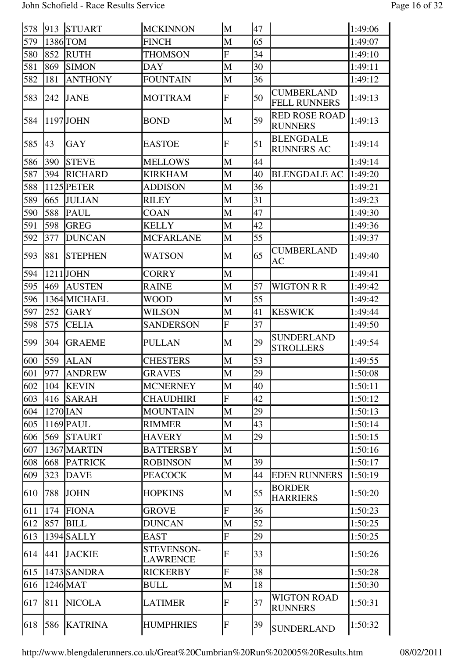| 578 | 913 | <b>STUART</b>  | <b>MCKINNON</b>               | M                         | 47 |                                          | 1:49:06 |
|-----|-----|----------------|-------------------------------|---------------------------|----|------------------------------------------|---------|
| 579 |     | 1386 TOM       | <b>FINCH</b>                  | M                         | 65 |                                          | 1:49:07 |
| 580 | 852 | <b>RUTH</b>    | <b>THOMSON</b>                | F                         | 34 |                                          | 1:49:10 |
| 581 | 869 | <b>SIMON</b>   | <b>DAY</b>                    | M                         | 30 |                                          | 1:49:11 |
| 582 | 181 | <b>ANTHONY</b> | <b>FOUNTAIN</b>               | M                         | 36 |                                          | 1:49:12 |
| 583 | 242 | <b>JANE</b>    | <b>MOTTRAM</b>                | F                         | 50 | <b>CUMBERLAND</b><br><b>FELL RUNNERS</b> | 1:49:13 |
| 584 |     | 1197JJOHN      | <b>BOND</b>                   | M                         | 59 | <b>RED ROSE ROAD</b><br><b>RUNNERS</b>   | 1:49:13 |
| 585 | 43  | GAY            | <b>EASTOE</b>                 | F                         | 51 | <b>BLENGDALE</b><br><b>RUNNERS AC</b>    | 1:49:14 |
| 586 | 390 | <b>STEVE</b>   | <b>MELLOWS</b>                | M                         | 44 |                                          | 1:49:14 |
| 587 | 394 | <b>RICHARD</b> | <b>KIRKHAM</b>                | M                         | 40 | <b>BLENGDALE AC</b>                      | 1:49:20 |
| 588 |     | 1125 PETER     | <b>ADDISON</b>                | M                         | 36 |                                          | 1:49:21 |
| 589 | 665 | <b>JULIAN</b>  | <b>RILEY</b>                  | M                         | 31 |                                          | 1:49:23 |
| 590 | 588 | PAUL           | <b>COAN</b>                   | M                         | 47 |                                          | 1:49:30 |
| 591 | 598 | <b>GREG</b>    | <b>KELLY</b>                  | M                         | 42 |                                          | 1:49:36 |
| 592 | 377 | <b>DUNCAN</b>  | <b>MCFARLANE</b>              | M                         | 55 |                                          | 1:49:37 |
| 593 | 881 | <b>STEPHEN</b> | <b>WATSON</b>                 | M                         | 65 | <b>CUMBERLAND</b><br>AC                  | 1:49:40 |
| 594 |     | $1211$ JOHN    | <b>CORRY</b>                  | M                         |    |                                          | 1:49:41 |
| 595 | 469 | <b>AUSTEN</b>  | <b>RAINE</b>                  | M                         | 57 | <b>WIGTON R R</b>                        | 1:49:42 |
| 596 |     | 1364 MICHAEL   | <b>WOOD</b>                   | M                         | 55 |                                          | 1:49:42 |
| 597 | 252 | <b>GARY</b>    | <b>WILSON</b>                 | M                         | 41 | <b>KESWICK</b>                           | 1:49:44 |
| 598 | 575 | <b>CELIA</b>   | <b>SANDERSON</b>              | $\overline{F}$            | 37 |                                          | 1:49:50 |
| 599 | 304 | <b>GRAEME</b>  | <b>PULLAN</b>                 | M                         | 29 | <b>SUNDERLAND</b><br><b>STROLLERS</b>    | 1:49:54 |
| 600 | 559 | <b>ALAN</b>    | <b>CHESTERS</b>               | M                         | 53 |                                          | 1:49:55 |
| 601 | 977 | <b>ANDREW</b>  | <b>GRAVES</b>                 | M                         | 29 |                                          | 1:50:08 |
| 602 | 104 | <b>KEVIN</b>   | <b>MCNERNEY</b>               | M                         | 40 |                                          | 1:50:11 |
| 603 | 416 | <b>SARAH</b>   | <b>CHAUDHIRI</b>              | $\boldsymbol{\mathrm{F}}$ | 42 |                                          | 1:50:12 |
| 604 |     | 1270 IAN       | <b>MOUNTAIN</b>               | M                         | 29 |                                          | 1:50:13 |
| 605 |     | $1169$ PAUL    | <b>RIMMER</b>                 | M                         | 43 |                                          | 1:50:14 |
| 606 | 569 | <b>STAURT</b>  | <b>HAVERY</b>                 | M                         | 29 |                                          | 1:50:15 |
| 607 |     | 1367 MARTIN    | <b>BATTERSBY</b>              | M                         |    |                                          | 1:50:16 |
| 608 | 668 | <b>PATRICK</b> | <b>ROBINSON</b>               | M                         | 39 |                                          | 1:50:17 |
| 609 | 323 | <b>DAVE</b>    | <b>PEACOCK</b>                | M                         | 44 | <b>EDEN RUNNERS</b>                      | 1:50:19 |
| 610 | 788 | <b>JOHN</b>    | <b>HOPKINS</b>                | M                         | 55 | <b>BORDER</b><br><b>HARRIERS</b>         | 1:50:20 |
| 611 | 174 | <b>FIONA</b>   | <b>GROVE</b>                  | $\overline{F}$            | 36 |                                          | 1:50:23 |
| 612 | 857 | <b>BILL</b>    | <b>DUNCAN</b>                 | M                         | 52 |                                          | 1:50:25 |
| 613 |     | $1394$ SALLY   | <b>EAST</b>                   | $\overline{F}$            | 29 |                                          | 1:50:25 |
| 614 | 441 | <b>JACKIE</b>  | STEVENSON-<br><b>LAWRENCE</b> | F                         | 33 |                                          | 1:50:26 |
| 615 |     | 1473 SANDRA    | <b>RICKERBY</b>               | $\overline{F}$            | 38 |                                          | 1:50:28 |
| 616 |     | 1246 MAT       | <b>BULL</b>                   | M                         | 18 |                                          | 1:50:30 |
| 617 | 811 | <b>NICOLA</b>  | <b>LATIMER</b>                | $\overline{F}$            | 37 | <b>WIGTON ROAD</b><br><b>RUNNERS</b>     | 1:50:31 |
| 618 | 586 | <b>KATRINA</b> | <b>HUMPHRIES</b>              | F                         | 39 | <b>SUNDERLAND</b>                        | 1:50:32 |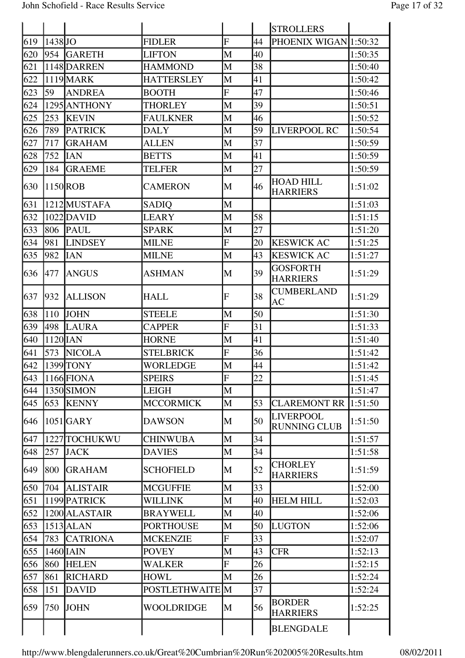|     |            |                 |                   |                         |    | <b>STROLLERS</b>                    |         |
|-----|------------|-----------------|-------------------|-------------------------|----|-------------------------------------|---------|
| 619 | $1438$ JO  |                 | <b>FIDLER</b>     | $\overline{F}$          | 44 | PHOENIX WIGAN 1:50:32               |         |
| 620 | 954        | <b>GARETH</b>   | LIFTON            | M                       | 40 |                                     | 1:50:35 |
| 621 |            | 1148 DARREN     | <b>HAMMOND</b>    | M                       | 38 |                                     | 1:50:40 |
| 622 |            | 1119 MARK       | <b>HATTERSLEY</b> | M                       | 41 |                                     | 1:50:42 |
| 623 | 59         | <b>ANDREA</b>   | <b>BOOTH</b>      | $\overline{F}$          | 47 |                                     | 1:50:46 |
| 624 |            | 1295 ANTHONY    | <b>THORLEY</b>    | M                       | 39 |                                     | 1:50:51 |
| 625 | 253        | <b>KEVIN</b>    | <b>FAULKNER</b>   | M                       | 46 |                                     | 1:50:52 |
| 626 | 789        | <b>PATRICK</b>  | <b>DALY</b>       | M                       | 59 | LIVERPOOL RC                        | 1:50:54 |
| 627 | 717        | <b>GRAHAM</b>   | <b>ALLEN</b>      | M                       | 37 |                                     | 1:50:59 |
| 628 | 752        | <b>IAN</b>      | <b>BETTS</b>      | M                       | 41 |                                     | 1:50:59 |
| 629 | 184        | <b>GRAEME</b>   | <b>TELFER</b>     | M                       | 27 |                                     | 1:50:59 |
| 630 |            | 1150ROB         | <b>CAMERON</b>    | M                       | 46 | <b>HOAD HILL</b><br><b>HARRIERS</b> | 1:51:02 |
| 631 |            | 1212 MUSTAFA    | <b>SADIQ</b>      | M                       |    |                                     | 1:51:03 |
| 632 |            | $1022$ DAVID    | <b>LEARY</b>      | M                       | 58 |                                     | 1:51:15 |
| 633 | 806        | <b>PAUL</b>     | <b>SPARK</b>      | M                       | 27 |                                     | 1:51:20 |
| 634 | 981        | <b>LINDSEY</b>  | <b>MILNE</b>      | $\overline{\mathrm{F}}$ | 20 | <b>KESWICK AC</b>                   | 1:51:25 |
| 635 | 982        | <b>IAN</b>      | <b>MILNE</b>      | M                       | 43 | <b>KESWICK AC</b>                   | 1:51:27 |
| 636 | 477        | <b>ANGUS</b>    | <b>ASHMAN</b>     | M                       | 39 | <b>GOSFORTH</b><br><b>HARRIERS</b>  | 1:51:29 |
| 637 | 932        | <b>ALLISON</b>  | <b>HALL</b>       | F                       | 38 | CUMBERLAND<br><b>AC</b>             | 1:51:29 |
| 638 | 110        | <b>JOHN</b>     | <b>STEELE</b>     | M                       | 50 |                                     | 1:51:30 |
| 639 | 498        | <b>LAURA</b>    | <b>CAPPER</b>     | $\overline{\mathrm{F}}$ | 31 |                                     | 1:51:33 |
| 640 | $1120$ IAN |                 | <b>HORNE</b>      | M                       | 41 |                                     | 1:51:40 |
| 641 | 573        | <b>NICOLA</b>   | <b>STELBRICK</b>  | $\mathbf F$             | 36 |                                     | 1:51:42 |
| 642 |            | 1399 TONY       | <b>WORLEDGE</b>   | M                       | 44 |                                     | 1:51:42 |
| 643 |            | 1166 FIONA      | <b>SPEIRS</b>     | $\overline{\mathrm{F}}$ | 22 |                                     | 1:51:45 |
| 644 |            | 1350 SIMON      | LEIGH             | M                       |    |                                     | 1:51:47 |
| 645 | 653        | <b>KENNY</b>    | <b>MCCORMICK</b>  | M                       | 53 | <b>CLAREMONT RR</b>                 | 1:51:50 |
| 646 |            | $1051$ GARY     | <b>DAWSON</b>     | M                       | 50 | LIVERPOOL<br><b>RUNNING CLUB</b>    | 1:51:50 |
| 647 |            | 1227 TOCHUKWU   | <b>CHINWUBA</b>   | M                       | 34 |                                     | 1:51:57 |
| 648 | 257        | <b>JACK</b>     | <b>DAVIES</b>     | M                       | 34 |                                     | 1:51:58 |
| 649 | 800        | <b>GRAHAM</b>   | <b>SCHOFIELD</b>  | M                       | 52 | <b>CHORLEY</b><br><b>HARRIERS</b>   | 1:51:59 |
| 650 | 704        | <b>ALISTAIR</b> | <b>MCGUFFIE</b>   | M                       | 33 |                                     | 1:52:00 |
| 651 |            | 1199 PATRICK    | WILLINK           | M                       | 40 | <b>HELM HILL</b>                    | 1:52:03 |
| 652 |            | 1200 ALASTAIR   | <b>BRAYWELL</b>   | M                       | 40 |                                     | 1:52:06 |
| 653 |            | $1513$ ALAN     | <b>PORTHOUSE</b>  | M                       | 50 | <b>LUGTON</b>                       | 1:52:06 |
| 654 | 783        | <b>CATRIONA</b> | <b>MCKENZIE</b>   | $\overline{F}$          | 33 |                                     | 1:52:07 |
| 655 |            | 1460 IAIN       | <b>POVEY</b>      | M                       | 43 | <b>CFR</b>                          | 1:52:13 |
| 656 | 860        | <b>HELEN</b>    | <b>WALKER</b>     | $\overline{F}$          | 26 |                                     | 1:52:15 |
| 657 | 861        | <b>RICHARD</b>  | <b>HOWL</b>       | M                       | 26 |                                     | 1:52:24 |
| 658 | 151        | <b>DAVID</b>    | POSTLETHWAITE M   |                         | 37 |                                     | 1:52:24 |
| 659 | 750        | <b>JOHN</b>     | WOOLDRIDGE        | M                       | 56 | <b>BORDER</b><br><b>HARRIERS</b>    | 1:52:25 |
|     |            |                 |                   |                         |    | <b>BLENGDALE</b>                    |         |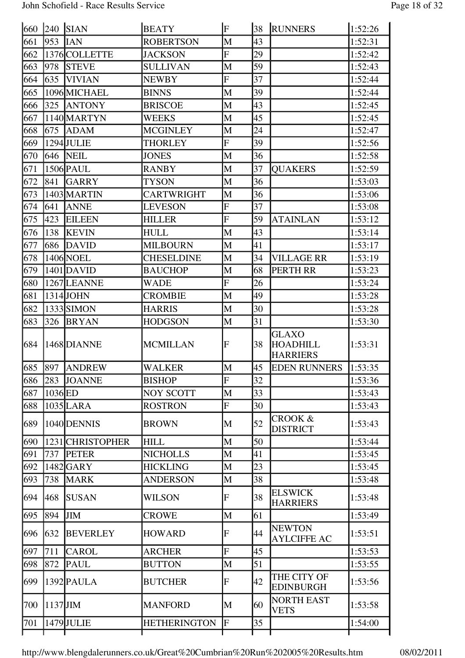| 660 | $ 240\rangle$ | <b>SIAN</b>      | <b>BEATY</b>        | F                        | 38           | <b>RUNNERS</b>                                     | 1:52:26 |
|-----|---------------|------------------|---------------------|--------------------------|--------------|----------------------------------------------------|---------|
| 661 | 953           | <b>IAN</b>       | <b>ROBERTSON</b>    | M                        | 43           |                                                    | 1:52:31 |
| 662 |               | 1376 COLLETTE    | <b>JACKSON</b>      | $\overline{F}$           | 29           |                                                    | 1:52:42 |
| 663 | 978           | <b>STEVE</b>     | <b>SULLIVAN</b>     | M                        | 59           |                                                    | 1:52:43 |
| 664 | 635           | <b>VIVIAN</b>    | <b>NEWBY</b>        | $\overline{F}$           | 37           |                                                    | 1:52:44 |
| 665 |               | 1096 MICHAEL     | <b>BINNS</b>        | M                        | 39           |                                                    | 1:52:44 |
| 666 | 325           | <b>ANTONY</b>    | <b>BRISCOE</b>      | M                        | 43           |                                                    | 1:52:45 |
| 667 |               | 1140 MARTYN      | WEEKS               | M                        | 45           |                                                    | 1:52:45 |
| 668 | 675           | <b>ADAM</b>      | MCGINLEY            | M                        | 24           |                                                    | 1:52:47 |
| 669 |               | $1294$ JULIE     | <b>THORLEY</b>      | $\overline{F}$           | 39           |                                                    | 1:52:56 |
| 670 | 646           | <b>NEIL</b>      | <b>JONES</b>        | M                        | 36           |                                                    | 1:52:58 |
| 671 |               | 1506 PAUL        | RANBY               | M                        | 37           | <b>QUAKERS</b>                                     | 1:52:59 |
| 672 | 841           | <b>GARRY</b>     | TYSON               | M                        | 36           |                                                    | 1:53:03 |
| 673 |               | 1403 MARTIN      | CARTWRIGHT          | M                        | 36           |                                                    | 1:53:06 |
| 674 | 641           | <b>ANNE</b>      | <b>LEVESON</b>      | $\overline{\mathrm{F}}$  | 37           |                                                    | 1:53:08 |
| 675 | 423           | <b>EILEEN</b>    | <b>HILLER</b>       | $\mathbf F$              | 59           | ATAINLAN                                           | 1:53:12 |
| 676 | 138           | <b>KEVIN</b>     | <b>HULL</b>         | M                        | 43           |                                                    | 1:53:14 |
| 677 | 686           | <b>DAVID</b>     | <b>MILBOURN</b>     | M                        | 41           |                                                    | 1:53:17 |
| 678 |               | 1406 NOEL        | <b>CHESELDINE</b>   | M                        | 34           | <b>VILLAGE RR</b>                                  | 1:53:19 |
| 679 |               | $1401$ DAVID     | <b>BAUCHOP</b>      | M                        | 68           | PERTH RR                                           | 1:53:23 |
| 680 |               | 1267 LEANNE      | WADE                | $\overline{F}$           | 26           |                                                    | 1:53:24 |
| 681 |               | $1314$ JOHN      | <b>CROMBIE</b>      | M                        | 49           |                                                    | 1:53:28 |
| 682 |               | 1333 SIMON       | <b>HARRIS</b>       | M                        | 30           |                                                    | 1:53:28 |
| 683 | 326           | <b>BRYAN</b>     | <b>HODGSON</b>      | M                        | 31           |                                                    | 1:53:30 |
| 684 |               | 1468 DIANNE      | <b>MCMILLAN</b>     | $\overline{F}$           | 38           | <b>GLAXO</b><br><b>HOADHILL</b><br><b>HARRIERS</b> | 1:53:31 |
| 685 | 897           | <b>ANDREW</b>    | WALKER              | M                        | 45           | <b>EDEN RUNNERS</b>                                | 1:53:35 |
| 686 | 283           | <b>JOANNE</b>    | <b>BISHOP</b>       | $\overline{\mathrm{F}}$  | $ 32\rangle$ |                                                    | 1:53:36 |
| 687 | 1036ED        |                  | <b>NOY SCOTT</b>    | M                        | $ 33\rangle$ |                                                    | 1:53:43 |
| 688 |               | $1035$ LARA      | <b>ROSTRON</b>      | $\overline{F}$           | 30           |                                                    | 1:53:43 |
| 689 |               | 1040 DENNIS      | <b>BROWN</b>        | M                        | 52           | CROOK &<br><b>DISTRICT</b>                         | 1:53:43 |
| 690 |               | 1231 CHRISTOPHER | <b>HILL</b>         | M                        | 50           |                                                    | 1:53:44 |
| 691 | 737           | <b>PETER</b>     | <b>NICHOLLS</b>     | M                        | 41           |                                                    | 1:53:45 |
| 692 |               | $1482$ GARY      | <b>HICKLING</b>     | M                        | 23           |                                                    | 1:53:45 |
| 693 | 738           | <b>MARK</b>      | <b>ANDERSON</b>     | M                        | 38           |                                                    | 1:53:48 |
| 694 | 468           | <b>SUSAN</b>     | WILSON              | $\mathbf F$              | 38           | <b>ELSWICK</b><br><b>HARRIERS</b>                  | 1:53:48 |
| 695 | 894           | JIM              | CROWE               | M                        | 61           |                                                    | 1:53:49 |
| 696 | 632           | <b>BEVERLEY</b>  | <b>HOWARD</b>       | $\overline{F}$           | 44           | <b>NEWTON</b><br><b>AYLCIFFE AC</b>                | 1:53:51 |
| 697 | 711           | <b>CAROL</b>     | <b>ARCHER</b>       | $\overline{F}$           | 45           |                                                    | 1:53:53 |
| 698 | 872           | <b>PAUL</b>      | <b>BUTTON</b>       | M                        | 51           |                                                    | 1:53:55 |
| 699 |               | $ 1392 $ PAULA   | <b>BUTCHER</b>      | $\mathbf F$              | 42           | THE CITY OF<br><b>EDINBURGH</b>                    | 1:53:56 |
| 700 |               | $1137$ JIM       | <b>MANFORD</b>      | M                        | 60           | <b>NORTH EAST</b>                                  | 1:53:58 |
|     |               |                  |                     |                          |              | <b>VETS</b>                                        |         |
| 701 |               | 1479 JULIE       | <b>HETHERINGTON</b> | $\vert \mathrm{F} \vert$ | $ 35\rangle$ |                                                    | 1:54:00 |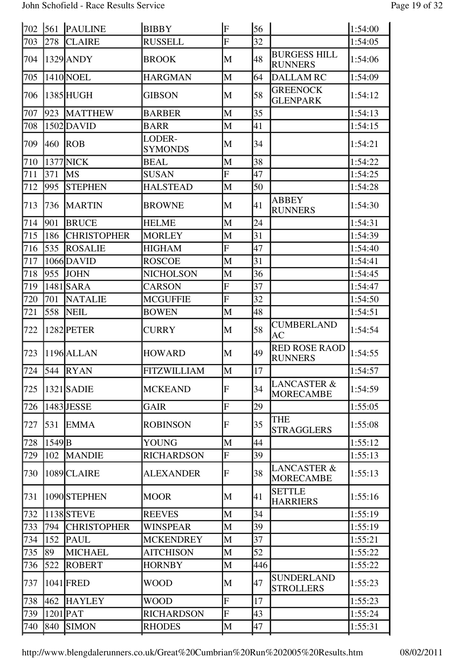| 702 | $\vert 561 \vert$   | <b>PAULINE</b>     | <b>BIBBY</b>             | $\overline{F}$ | 56  |                                            | 1:54:00 |
|-----|---------------------|--------------------|--------------------------|----------------|-----|--------------------------------------------|---------|
| 703 | 278                 | <b>CLAIRE</b>      | <b>RUSSELL</b>           | $\overline{F}$ | 32  |                                            | 1:54:05 |
| 704 |                     | $1329$ ANDY        | <b>BROOK</b>             | M              | 48  | <b>BURGESS HILL</b><br><b>RUNNERS</b>      | 1:54:06 |
| 705 |                     | 1410 NOEL          | <b>HARGMAN</b>           | M              | 64  | <b>DALLAMRC</b>                            | 1:54:09 |
| 706 |                     | 1385 HUGH          | <b>GIBSON</b>            | M              | 58  | <b>GREENOCK</b><br><b>GLENPARK</b>         | 1:54:12 |
| 707 | 923                 | <b>MATTHEW</b>     | <b>BARBER</b>            | M              | 35  |                                            | 1:54:13 |
| 708 |                     | $1502$ DAVID       | <b>BARR</b>              | $\mathbf{M}$   | 41  |                                            | 1:54:15 |
| 709 | 460                 | ROB                | LODER-<br><b>SYMONDS</b> | M              | 34  |                                            | 1:54:21 |
| 710 |                     | 1377 NICK          | <b>BEAL</b>              | M              | 38  |                                            | 1:54:22 |
| 711 | 371                 | <b>MS</b>          | <b>SUSAN</b>             | $\overline{F}$ | 47  |                                            | 1:54:25 |
| 712 | 995                 | <b>STEPHEN</b>     | <b>HALSTEAD</b>          | M              | 50  |                                            | 1:54:28 |
| 713 | 736                 | <b>MARTIN</b>      | <b>BROWNE</b>            | M              | 41  | <b>ABBEY</b><br><b>RUNNERS</b>             | 1:54:30 |
| 714 | 901                 | <b>BRUCE</b>       | <b>HELME</b>             | M              | 24  |                                            | 1:54:31 |
| 715 | 186                 | <b>CHRISTOPHER</b> | <b>MORLEY</b>            | M              | 31  |                                            | 1:54:39 |
| 716 | 535                 | <b>ROSALIE</b>     | <b>HIGHAM</b>            | $\overline{F}$ | 47  |                                            | 1:54:40 |
| 717 |                     | 1066 DAVID         | <b>ROSCOE</b>            | M              | 31  |                                            | 1:54:41 |
| 718 | 955                 | <b>JOHN</b>        | <b>NICHOLSON</b>         | M              | 36  |                                            | 1:54:45 |
| 719 |                     | $1481$ SARA        | <b>CARSON</b>            | $\overline{F}$ | 37  |                                            | 1:54:47 |
| 720 | 701                 | <b>NATALIE</b>     | <b>MCGUFFIE</b>          | $\overline{F}$ | 32  |                                            | 1:54:50 |
| 721 | 558                 | <b>NEIL</b>        | <b>BOWEN</b>             | M              | 48  |                                            | 1:54:51 |
| 722 |                     | 1282 PETER         | <b>CURRY</b>             | M              | 58  | <b>CUMBERLAND</b><br><b>AC</b>             | 1:54:54 |
| 723 |                     | 1196 ALLAN         | <b>HOWARD</b>            | M              | 49  | <b>RED ROSE RAOD</b><br><b>RUNNERS</b>     | 1:54:55 |
| 724 |                     | $544$ RYAN         | <b>FITZWILLIAM</b>       | M              | 17  |                                            | 1:54:57 |
| 725 |                     | $1321$ SADIE       | <b>MCKEAND</b>           | $\overline{F}$ | 34  | <b>LANCASTER &amp;</b><br><b>MORECAMBE</b> | 1:54:59 |
| 726 |                     | 1483 JESSE         | <b>GAIR</b>              | $\overline{F}$ | 29  |                                            | 1:55:05 |
| 727 | 531                 | <b>EMMA</b>        | <b>ROBINSON</b>          | $\overline{F}$ | 35  | <b>THE</b><br><b>STRAGGLERS</b>            | 1:55:08 |
| 728 | $1549$ <sub>B</sub> |                    | <b>YOUNG</b>             | M              | 44  |                                            | 1:55:12 |
| 729 | 102                 | <b>MANDIE</b>      | <b>RICHARDSON</b>        | $\mathbf F$    | 39  |                                            | 1:55:13 |
| 730 |                     | 1089 CLAIRE        | <b>ALEXANDER</b>         | $\overline{F}$ | 38  | <b>LANCASTER &amp;</b><br><b>MORECAMBE</b> | 1:55:13 |
| 731 |                     | 1090 STEPHEN       | <b>MOOR</b>              | M              | 41  | <b>SETTLE</b><br><b>HARRIERS</b>           | 1:55:16 |
| 732 |                     | 1138 STEVE         | <b>REEVES</b>            | M              | 34  |                                            | 1:55:19 |
| 733 | 794                 | <b>CHRISTOPHER</b> | <b>WINSPEAR</b>          | M              | 39  |                                            | 1:55:19 |
| 734 | 152                 | <b>PAUL</b>        | <b>MCKENDREY</b>         | M              | 37  |                                            | 1:55:21 |
| 735 | 89                  | <b>MICHAEL</b>     | <b>AITCHISON</b>         | M              | 52  |                                            | 1:55:22 |
| 736 | 522                 | <b>ROBERT</b>      | <b>HORNBY</b>            | $\mathbf{M}$   | 446 |                                            | 1:55:22 |
| 737 |                     | 1041 FRED          | <b>WOOD</b>              | M              | 47  | <b>SUNDERLAND</b><br><b>STROLLERS</b>      | 1:55:23 |
| 738 | 462                 | <b>HAYLEY</b>      | <b>WOOD</b>              | $\overline{F}$ | 17  |                                            | 1:55:23 |
| 739 |                     | $1201$ PAT         | <b>RICHARDSON</b>        | $\overline{F}$ | 43  |                                            | 1:55:24 |
| 740 | 840                 | <b>SIMON</b>       | <b>RHODES</b>            | M              | 47  |                                            | 1:55:31 |
|     |                     |                    |                          |                |     |                                            |         |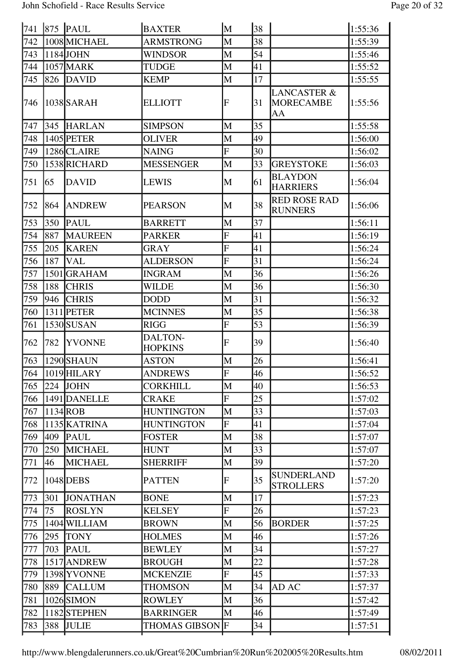| 741 |     | $ 875 $ PAUL    | <b>BAXTER</b>             | M                         | 38 |                                                  | 1:55:36 |
|-----|-----|-----------------|---------------------------|---------------------------|----|--------------------------------------------------|---------|
| 742 |     | 1008 MICHAEL    | ARMSTRONG                 | M                         | 38 |                                                  | 1:55:39 |
| 743 |     | 1184JJOHN       | <b>WINDSOR</b>            | M                         | 54 |                                                  | 1:55:46 |
| 744 |     | 1057 MARK       | TUDGE                     | M                         | 41 |                                                  | 1:55:52 |
| 745 | 826 | <b>DAVID</b>    | <b>KEMP</b>               | M                         | 17 |                                                  | 1:55:55 |
| 746 |     | 1038 SARAH      | <b>ELLIOTT</b>            | F                         | 31 | <b>LANCASTER &amp;</b><br><b>MORECAMBE</b><br>AA | 1:55:56 |
| 747 | 345 | <b>HARLAN</b>   | <b>SIMPSON</b>            | M                         | 35 |                                                  | 1:55:58 |
| 748 |     | 1405 PETER      | <b>OLIVER</b>             | M                         | 49 |                                                  | 1:56:00 |
| 749 |     | 1286 CLAIRE     | <b>NAING</b>              | $\overline{\mathrm{F}}$   | 30 |                                                  | 1:56:02 |
| 750 |     | 1538 RICHARD    | <b>MESSENGER</b>          | M                         | 33 | <b>GREYSTOKE</b>                                 | 1:56:03 |
| 751 | 65  | <b>DAVID</b>    | <b>LEWIS</b>              | M                         | 61 | <b>BLAYDON</b><br><b>HARRIERS</b>                | 1:56:04 |
| 752 | 864 | <b>ANDREW</b>   | <b>PEARSON</b>            | M                         | 38 | <b>RED ROSE RAD</b><br><b>RUNNERS</b>            | 1:56:06 |
| 753 | 350 | <b>PAUL</b>     | <b>BARRETT</b>            | M                         | 37 |                                                  | 1:56:11 |
| 754 | 887 | <b>MAUREEN</b>  | <b>PARKER</b>             | $\overline{\mathrm{F}}$   | 41 |                                                  | 1:56:19 |
| 755 | 205 | <b>KAREN</b>    | <b>GRAY</b>               | $\boldsymbol{\mathrm{F}}$ | 41 |                                                  | 1:56:24 |
| 756 | 187 | <b>VAL</b>      | <b>ALDERSON</b>           | $\overline{\mathrm{F}}$   | 31 |                                                  | 1:56:24 |
| 757 |     | 1501GRAHAM      | <b>INGRAM</b>             | M                         | 36 |                                                  | 1:56:26 |
| 758 | 188 | <b>CHRIS</b>    | <b>WILDE</b>              | M                         | 36 |                                                  | 1:56:30 |
| 759 | 946 | <b>CHRIS</b>    | <b>DODD</b>               | M                         | 31 |                                                  | 1:56:32 |
| 760 |     | 1311 PETER      | <b>MCINNES</b>            | M                         | 35 |                                                  | 1:56:38 |
| 761 |     | 1530 SUSAN      | <b>RIGG</b>               | $\mathbf F$               | 53 |                                                  | 1:56:39 |
| 762 | 782 | <b>YVONNE</b>   | DALTON-<br><b>HOPKINS</b> | F                         | 39 |                                                  | 1:56:40 |
| 763 |     | 1290 SHAUN      | <b>ASTON</b>              | M                         | 26 |                                                  | 1:56:41 |
| 764 |     | 1019 HILARY     | <b>ANDREWS</b>            | $\overline{\mathrm{F}}$   | 46 |                                                  | 1:56:52 |
| 765 | 224 | <b>JOHN</b>     | CORKHILL                  | M                         | 40 |                                                  | 1:56:53 |
| 766 |     | 1491 DANELLE    | <b>CRAKE</b>              | $\boldsymbol{\mathrm{F}}$ | 25 |                                                  | 1:57:02 |
| 767 |     | 1134ROB         | <b>HUNTINGTON</b>         | M                         | 33 |                                                  | 1:57:03 |
| 768 |     | 1135 KATRINA    | <b>HUNTINGTON</b>         | F                         | 41 |                                                  | 1:57:04 |
| 769 | 409 | <b>PAUL</b>     | <b>FOSTER</b>             | M                         | 38 |                                                  | 1:57:07 |
| 770 | 250 | <b>MICHAEL</b>  | <b>HUNT</b>               | M                         | 33 |                                                  | 1:57:07 |
| 771 | 46  | <b>MICHAEL</b>  | <b>SHERRIFF</b>           | M                         | 39 |                                                  | 1:57:20 |
| 772 |     | 1048 DEBS       | <b>PATTEN</b>             | $\overline{\mathrm{F}}$   | 35 | <b>SUNDERLAND</b><br>STROLLERS                   | 1:57:20 |
| 773 | 301 | <b>JONATHAN</b> | <b>BONE</b>               | M                         | 17 |                                                  | 1:57:23 |
| 774 | 75  | <b>ROSLYN</b>   | <b>KELSEY</b>             | F                         | 26 |                                                  | 1:57:23 |
| 775 |     | 1404 WILLIAM    | <b>BROWN</b>              | M                         | 56 | <b>BORDER</b>                                    | 1:57:25 |
| 776 | 295 | <b>TONY</b>     | <b>HOLMES</b>             | M                         | 46 |                                                  | 1:57:26 |
| 777 | 703 | <b>PAUL</b>     | <b>BEWLEY</b>             | M                         | 34 |                                                  | 1:57:27 |
| 778 |     | 1517 ANDREW     | <b>BROUGH</b>             | M                         | 22 |                                                  | 1:57:28 |
| 779 |     | 1398 YVONNE     | <b>MCKENZIE</b>           | $\boldsymbol{\mathrm{F}}$ | 45 |                                                  | 1:57:33 |
| 780 | 889 | <b>CALLUM</b>   | <b>THOMSON</b>            | M                         | 34 | AD AC                                            | 1:57:37 |
| 781 |     | 1026 SIMON      | <b>ROWLEY</b>             | M                         | 36 |                                                  | 1:57:42 |
| 782 |     | 1182STEPHEN     | <b>BARRINGER</b>          | M                         | 46 |                                                  | 1:57:49 |
| 783 | 388 | <b>JULIE</b>    | <b>THOMAS GIBSON</b>      | F                         | 34 |                                                  | 1:57:51 |
|     |     |                 |                           |                           |    |                                                  |         |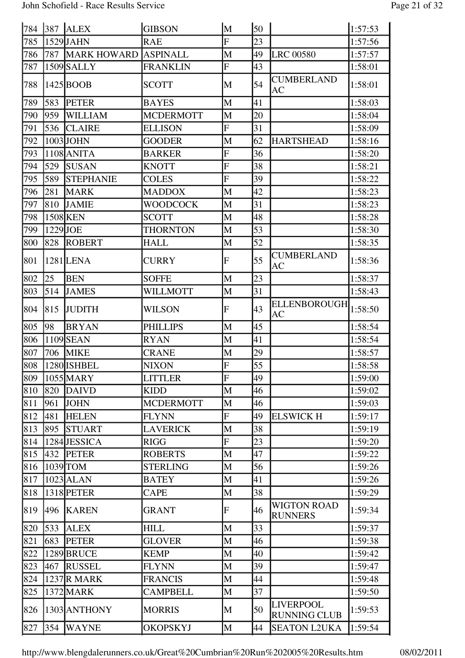| 784 | 387      | <b>ALEX</b>        | <b>GIBSON</b>    | M                         | 50 |                                      | 1:57:53 |
|-----|----------|--------------------|------------------|---------------------------|----|--------------------------------------|---------|
| 785 |          | $1529$ JAHN        | <b>RAE</b>       | ${\bf F}$                 | 23 |                                      | 1:57:56 |
| 786 | 787      | <b>MARK HOWARD</b> | <b>ASPINALL</b>  | M                         | 49 | <b>LRC 00580</b>                     | 1:57:57 |
| 787 |          | 1509 SALLY         | <b>FRANKLIN</b>  | $\boldsymbol{\mathrm{F}}$ | 43 |                                      | 1:58:01 |
| 788 |          | 1425 BOOB          | <b>SCOTT</b>     | M                         | 54 | <b>CUMBERLAND</b><br>AC              | 1:58:01 |
| 789 | 583      | <b>PETER</b>       | <b>BAYES</b>     | M                         | 41 |                                      | 1:58:03 |
| 790 | 959      | <b>WILLIAM</b>     | <b>MCDERMOTT</b> | M                         | 20 |                                      | 1:58:04 |
| 791 | 536      | <b>CLAIRE</b>      | <b>ELLISON</b>   | ${\bf F}$                 | 31 |                                      | 1:58:09 |
| 792 |          | 1003JJOHN          | GOODER           | M                         | 62 | HARTSHEAD                            | 1:58:16 |
| 793 |          | $1108$ ANITA       | <b>BARKER</b>    | ${\bf F}$                 | 36 |                                      | 1:58:20 |
| 794 | 529      | <b>SUSAN</b>       | <b>KNOTT</b>     | ${\bf F}$                 | 38 |                                      | 1:58:21 |
| 795 | 589      | <b>STEPHANIE</b>   | <b>COLES</b>     | ${\bf F}$                 | 39 |                                      | 1:58:22 |
| 796 | 281      | <b>MARK</b>        | <b>MADDOX</b>    | M                         | 42 |                                      | 1:58:23 |
| 797 | 810      | <b>JAMIE</b>       | <b>WOODCOCK</b>  | M                         | 31 |                                      | 1:58:23 |
| 798 |          | 1508 KEN           | <b>SCOTT</b>     | M                         | 48 |                                      | 1:58:28 |
| 799 | 1229JJOE |                    | THORNTON         | M                         | 53 |                                      | 1:58:30 |
| 800 | 828      | <b>ROBERT</b>      | <b>HALL</b>      | M                         | 52 |                                      | 1:58:35 |
| 801 |          | 1281LENA           | CURRY            | $\mathbf F$               | 55 | <b>CUMBERLAND</b><br>AC              | 1:58:36 |
| 802 | 25       | <b>BEN</b>         | <b>SOFFE</b>     | M                         | 23 |                                      | 1:58:37 |
| 803 | 514      | <b>JAMES</b>       | WILLMOTT         | $\mathbf M$               | 31 |                                      | 1:58:43 |
| 804 | 815      | <b>JUDITH</b>      | WILSON           | $\mathbf F$               | 43 | ELLENBOROUGH<br>AC                   | 1:58:50 |
| 805 | 98       | <b>BRYAN</b>       | <b>PHILLIPS</b>  | M                         | 45 |                                      | 1:58:54 |
| 806 |          | 1109SEAN           | <b>RYAN</b>      | M                         | 41 |                                      | 1:58:54 |
| 807 | 706      | <b>MIKE</b>        | <b>CRANE</b>     | M                         | 29 |                                      | 1:58:57 |
| 808 |          | 1280 ISHBEL        | <b>NIXON</b>     | ${\bf F}$                 | 55 |                                      | 1:58:58 |
| 809 |          | 1055 MARY          | <b>LITTLER</b>   | $\mathbf F$               | 49 |                                      | 1:59:00 |
| 810 | 820      | <b>DAIVD</b>       | <b>KIDD</b>      | M                         | 46 |                                      | 1:59:02 |
| 811 | 961      | <b>JOHN</b>        | <b>MCDERMOTT</b> | M                         | 46 |                                      | 1:59:03 |
| 812 | 481      | <b>HELEN</b>       | <b>FLYNN</b>     | $\mathbf F$               | 49 | <b>ELSWICK H</b>                     | 1:59:17 |
| 813 | 895      | <b>STUART</b>      | <b>LAVERICK</b>  | M                         | 38 |                                      | 1:59:19 |
| 814 |          | 1284 JESSICA       | <b>RIGG</b>      | $\mathbf F$               | 23 |                                      | 1:59:20 |
| 815 | 432      | <b>PETER</b>       | <b>ROBERTS</b>   | M                         | 47 |                                      | 1:59:22 |
| 816 |          | 1039 TOM           | <b>STERLING</b>  | M                         | 56 |                                      | 1:59:26 |
| 817 |          | $1023$ ALAN        | <b>BATEY</b>     | M                         | 41 |                                      | 1:59:26 |
| 818 |          | 1318 PETER         | <b>CAPE</b>      | M                         | 38 |                                      | 1:59:29 |
| 819 | 496      | <b>KAREN</b>       | <b>GRANT</b>     | $\boldsymbol{F}$          | 46 | <b>WIGTON ROAD</b><br><b>RUNNERS</b> | 1:59:34 |
| 820 | 533      | <b>ALEX</b>        | <b>HILL</b>      | M                         | 33 |                                      | 1:59:37 |
| 821 | 683      | <b>PETER</b>       | <b>GLOVER</b>    | M                         | 46 |                                      | 1:59:38 |
| 822 |          | 1289BRUCE          | <b>KEMP</b>      | M                         | 40 |                                      | 1:59:42 |
| 823 | 467      | <b>RUSSEL</b>      | <b>FLYNN</b>     | M                         | 39 |                                      | 1:59:47 |
| 824 |          | <b>1237 R MARK</b> | <b>FRANCIS</b>   | M                         | 44 |                                      | 1:59:48 |
| 825 |          | 1372 MARK          | CAMPBELL         | M                         | 37 |                                      | 1:59:50 |
| 826 |          | 1303 ANTHONY       | <b>MORRIS</b>    | M                         | 50 | LIVERPOOL<br><b>RUNNING CLUB</b>     | 1:59:53 |
| 827 | 354      | <b>WAYNE</b>       | <b>OKOPSKYJ</b>  | $\mathbf{M}$              | 44 | <b>SEATON L2UKA</b>                  | 1:59:54 |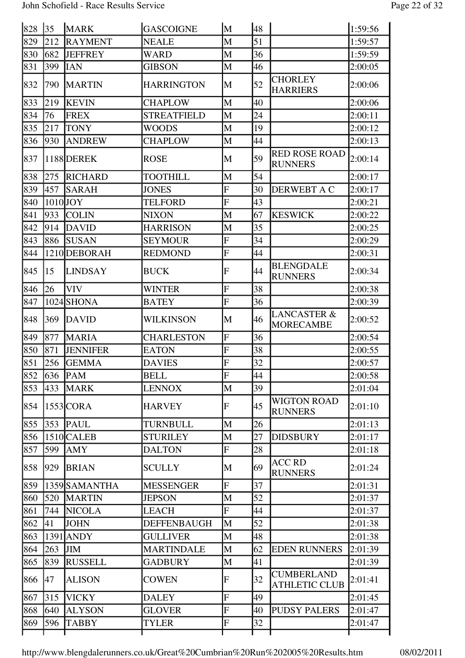| 212<br>682<br>399 | <b>RAYMENT</b><br><b>JEFFREY</b> | <b>NEALE</b>                                                                                                                                                                                                                                                                                                                                                              | M                       | 51           |                                            | 1:59:57 |
|-------------------|----------------------------------|---------------------------------------------------------------------------------------------------------------------------------------------------------------------------------------------------------------------------------------------------------------------------------------------------------------------------------------------------------------------------|-------------------------|--------------|--------------------------------------------|---------|
|                   |                                  |                                                                                                                                                                                                                                                                                                                                                                           |                         |              |                                            |         |
|                   |                                  | WARD                                                                                                                                                                                                                                                                                                                                                                      | M                       | 36           |                                            | 1:59:59 |
|                   | <b>IAN</b>                       | <b>GIBSON</b>                                                                                                                                                                                                                                                                                                                                                             | M                       | 46           |                                            | 2:00:05 |
| 790               | <b>MARTIN</b>                    | <b>HARRINGTON</b>                                                                                                                                                                                                                                                                                                                                                         | M                       | 52           | <b>CHORLEY</b><br><b>HARRIERS</b>          | 2:00:06 |
| 219               | <b>KEVIN</b>                     | CHAPLOW                                                                                                                                                                                                                                                                                                                                                                   | M                       | 40           |                                            | 2:00:06 |
| 76                | <b>FREX</b>                      | <b>STREATFIELD</b>                                                                                                                                                                                                                                                                                                                                                        | M                       | 24           |                                            | 2:00:11 |
| 217               |                                  | <b>WOODS</b>                                                                                                                                                                                                                                                                                                                                                              | M                       | 19           |                                            | 2:00:12 |
| 930               | <b>ANDREW</b>                    | <b>CHAPLOW</b>                                                                                                                                                                                                                                                                                                                                                            | M                       | 44           |                                            | 2:00:13 |
|                   |                                  | <b>ROSE</b>                                                                                                                                                                                                                                                                                                                                                               | M                       | 59           | <b>RED ROSE ROAD</b><br><b>RUNNERS</b>     | 2:00:14 |
| 275               |                                  | TOOTHILL                                                                                                                                                                                                                                                                                                                                                                  | M                       | 54           |                                            | 2:00:17 |
| 457               |                                  | <b>JONES</b>                                                                                                                                                                                                                                                                                                                                                              | F                       | 30           | <b>DERWEBT A C</b>                         | 2:00:17 |
|                   |                                  | <b>TELFORD</b>                                                                                                                                                                                                                                                                                                                                                            | $\overline{F}$          | 43           |                                            | 2:00:21 |
| 933               | <b>COLIN</b>                     | NIXON                                                                                                                                                                                                                                                                                                                                                                     | M                       | 67           | <b>KESWICK</b>                             | 2:00:22 |
| 914               | <b>DAVID</b>                     | <b>HARRISON</b>                                                                                                                                                                                                                                                                                                                                                           | M                       | 35           |                                            | 2:00:25 |
| 886               |                                  | <b>SEYMOUR</b>                                                                                                                                                                                                                                                                                                                                                            | $\mathbf F$             | 34           |                                            | 2:00:29 |
|                   |                                  | <b>REDMOND</b>                                                                                                                                                                                                                                                                                                                                                            | $\overline{F}$          | 44           |                                            | 2:00:31 |
| $ 15\rangle$      |                                  | <b>BUCK</b>                                                                                                                                                                                                                                                                                                                                                               | $\overline{F}$          | 44           | <b>BLENGDALE</b><br><b>RUNNERS</b>         | 2:00:34 |
| 26                | <b>VIV</b>                       | <b>WINTER</b>                                                                                                                                                                                                                                                                                                                                                             | $\overline{F}$          | 38           |                                            | 2:00:38 |
|                   |                                  | <b>BATEY</b>                                                                                                                                                                                                                                                                                                                                                              | $\mathbf F$             | 36           |                                            | 2:00:39 |
| 369               |                                  | WILKINSON                                                                                                                                                                                                                                                                                                                                                                 | M                       | 46           | <b>LANCASTER &amp;</b><br><b>MORECAMBE</b> | 2:00:52 |
| 877               |                                  | <b>CHARLESTON</b>                                                                                                                                                                                                                                                                                                                                                         | $\overline{F}$          | 36           |                                            | 2:00:54 |
| 871               | <b>JENNIFER</b>                  | <b>EATON</b>                                                                                                                                                                                                                                                                                                                                                              | F                       | 38           |                                            | 2:00:55 |
| 256               |                                  | <b>DAVIES</b>                                                                                                                                                                                                                                                                                                                                                             | F                       | $ 32\rangle$ |                                            | 2:00:57 |
| 636               |                                  | <b>BELL</b>                                                                                                                                                                                                                                                                                                                                                               | $\overline{F}$          | 44           |                                            | 2:00:58 |
| 433               |                                  | <b>LENNOX</b>                                                                                                                                                                                                                                                                                                                                                             | M                       | 39           |                                            | 2:01:04 |
|                   |                                  | <b>HARVEY</b>                                                                                                                                                                                                                                                                                                                                                             | F                       | 45           | <b>WIGTON ROAD</b><br><b>RUNNERS</b>       | 2:01:10 |
| 353               |                                  | TURNBULL                                                                                                                                                                                                                                                                                                                                                                  | M                       | 26           |                                            | 2:01:13 |
|                   |                                  | <b>STURILEY</b>                                                                                                                                                                                                                                                                                                                                                           | M                       | 27           | <b>DIDSBURY</b>                            | 2:01:17 |
| 599               |                                  | <b>DALTON</b>                                                                                                                                                                                                                                                                                                                                                             | $\mathbf F$             | 28           |                                            | 2:01:18 |
| 929               |                                  | <b>SCULLY</b>                                                                                                                                                                                                                                                                                                                                                             | M                       | 69           | <b>ACC RD</b><br><b>RUNNERS</b>            | 2:01:24 |
|                   |                                  | <b>MESSENGER</b>                                                                                                                                                                                                                                                                                                                                                          | $\overline{F}$          | 37           |                                            | 2:01:31 |
| 520               |                                  | <b>JEPSON</b>                                                                                                                                                                                                                                                                                                                                                             | M                       | 52           |                                            | 2:01:37 |
| 744               |                                  | <b>LEACH</b>                                                                                                                                                                                                                                                                                                                                                              | $\overline{F}$          | 44           |                                            | 2:01:37 |
| 41                | <b>JOHN</b>                      | <b>DEFFENBAUGH</b>                                                                                                                                                                                                                                                                                                                                                        | M                       | 52           |                                            | 2:01:38 |
|                   |                                  | <b>GULLIVER</b>                                                                                                                                                                                                                                                                                                                                                           | M                       | 48           |                                            | 2:01:38 |
| 263               |                                  | <b>MARTINDALE</b>                                                                                                                                                                                                                                                                                                                                                         | M                       | 62           | <b>EDEN RUNNERS</b>                        | 2:01:39 |
| 839               | <b>RUSSELL</b>                   | GADBURY                                                                                                                                                                                                                                                                                                                                                                   | M                       | 41           |                                            | 2:01:39 |
| 47                | <b>ALISON</b>                    | COWEN                                                                                                                                                                                                                                                                                                                                                                     | $\overline{\mathrm{F}}$ | 32           | <b>CUMBERLAND</b><br><b>ATHLETIC CLUB</b>  | 2:01:41 |
| 315               | <b>VICKY</b>                     | <b>DALEY</b>                                                                                                                                                                                                                                                                                                                                                              | F                       | 49           |                                            | 2:01:45 |
| 640               | <b>ALYSON</b>                    | <b>GLOVER</b>                                                                                                                                                                                                                                                                                                                                                             | $\overline{F}$          | 40           | <b>PUDSY PALERS</b>                        | 2:01:47 |
|                   |                                  | <b>TYLER</b>                                                                                                                                                                                                                                                                                                                                                              | $\overline{F}$          | 32           |                                            | 2:01:47 |
|                   |                                  | <b>TONY</b><br><b>1188 DEREK</b><br><b>RICHARD</b><br><b>SARAH</b><br>$1010$ JOY<br><b>SUSAN</b><br>1210 DEBORAH<br><b>LINDSAY</b><br>1024 SHONA<br><b>DAVID</b><br><b>MARIA</b><br><b>GEMMA</b><br><b>PAM</b><br><b>MARK</b><br>$1553$ CORA<br><b>PAUL</b><br>1510 CALEB<br>AMY<br><b>BRIAN</b><br>1359 SAMANTHA<br><b>MARTIN</b><br><b>NICOLA</b><br>$1391$ ANDY<br>JIM |                         |              |                                            |         |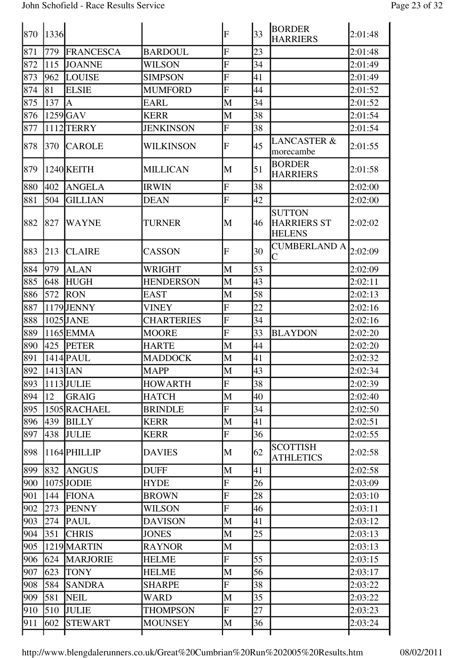| 870 | 1336         |                  |                   | $\overline{\mathrm{F}}$ | 33              | <b>BORDER</b><br><b>HARRIERS</b>                     | 2:01:48 |
|-----|--------------|------------------|-------------------|-------------------------|-----------------|------------------------------------------------------|---------|
| 871 | 779          | <b>FRANCESCA</b> | <b>BARDOUL</b>    | $\overline{F}$          | 23              |                                                      | 2:01:48 |
| 872 | 115          | <b>JOANNE</b>    | WILSON            | F                       | 34              |                                                      | 2:01:49 |
| 873 | 962          | LOUISE           | <b>SIMPSON</b>    | F                       | 41              |                                                      | 2:01:49 |
| 874 | 81           | <b>ELSIE</b>     | <b>MUMFORD</b>    | $\overline{\mathrm{F}}$ | 44              |                                                      | 2:01:52 |
| 875 | 137          | A                | <b>EARL</b>       | M                       | 34              |                                                      | 2:01:52 |
| 876 |              | $1259$ GAV       | <b>KERR</b>       | M                       | 38              |                                                      | 2:01:54 |
| 877 |              | 1112 TERRY       | <b>JENKINSON</b>  | $\overline{F}$          | 38              |                                                      | 2:01:54 |
| 878 | 370          | <b>CAROLE</b>    | WILKINSON         | F                       | 45              | <b>LANCASTER &amp;</b><br>morecambe                  | 2:01:55 |
| 879 |              | 1240 KEITH       | <b>MILLICAN</b>   | M                       | $\overline{51}$ | <b>BORDER</b><br><b>HARRIERS</b>                     | 2:01:58 |
| 880 | 402          | <b>ANGELA</b>    | <b>IRWIN</b>      | F                       | 38              |                                                      | 2:02:00 |
| 881 | 504          | <b>GILLIAN</b>   | <b>DEAN</b>       | F                       | 42              |                                                      | 2:02:00 |
| 882 | 827          | <b>WAYNE</b>     | TURNER            | M                       | 46              | <b>SUTTON</b><br><b>HARRIERS ST</b><br><b>HELENS</b> | 2:02:02 |
| 883 | 213          | <b>CLAIRE</b>    | <b>CASSON</b>     | $\overline{\mathrm{F}}$ | 30              | <b>CUMBERLAND A</b><br>С                             | 2:02:09 |
| 884 | 979          | <b>ALAN</b>      | WRIGHT            | M                       | 53              |                                                      | 2:02:09 |
| 885 | 648          | <b>HUGH</b>      | <b>HENDERSON</b>  | M                       | 43              |                                                      | 2:02:11 |
| 886 | 572          | <b>RON</b>       | EAST              | M                       | 58              |                                                      | 2:02:13 |
| 887 |              | 1179JJENNY       | VINEY             | F                       | 22              |                                                      | 2:02:16 |
| 888 |              | 1025 JANE        | <b>CHARTERIES</b> | $\overline{F}$          | 34              |                                                      | 2:02:16 |
| 889 |              | 1165 EMMA        | <b>MOORE</b>      | F                       | 33              | <b>BLAYDON</b>                                       | 2:02:20 |
| 890 | 425          | <b>PETER</b>     | <b>HARTE</b>      | M                       | 44              |                                                      | 2:02:20 |
| 891 |              | 1414 PAUL        | <b>MADDOCK</b>    | M                       | 41              |                                                      | 2:02:32 |
| 892 | $1413$ $IAN$ |                  | <b>MAPP</b>       | M                       | 43              |                                                      | 2:02:34 |
| 893 |              | $1113$ JULIE     | <b>HOWARTH</b>    | $\overline{F}$          | 38              |                                                      | 2:02:39 |
| 894 | 12           | <b>GRAIG</b>     | <b>HATCH</b>      | M                       | 40              |                                                      | 2:02:40 |
| 895 |              | 1505 RACHAEL     | <b>BRINDLE</b>    | $\overline{F}$          | 34              |                                                      | 2:02:50 |
| 896 | 439          | <b>BILLY</b>     | <b>KERR</b>       | M                       | 41              |                                                      | 2:02:51 |
| 897 | 438          | <b>JULIE</b>     | <b>KERR</b>       | $\overline{F}$          | 36              |                                                      | 2:02:55 |
| 898 |              | 1164 PHILLIP     | <b>DAVIES</b>     | M                       | 62              | <b>SCOTTISH</b><br><b>ATHLETICS</b>                  | 2:02:58 |
| 899 | 832          | <b>ANGUS</b>     | <b>DUFF</b>       | M                       | 41              |                                                      | 2:02:58 |
| 900 |              | $1075$ JODIE     | <b>HYDE</b>       | $\overline{F}$          | 26              |                                                      | 2:03:09 |
| 901 | 144          | <b>FIONA</b>     | <b>BROWN</b>      | F                       | 28              |                                                      | 2:03:10 |
| 902 | 273          | <b>PENNY</b>     | WILSON            | $\overline{F}$          | 46              |                                                      | 2:03:11 |
| 903 | 274          | <b>PAUL</b>      | <b>DAVISON</b>    | M                       | 41              |                                                      | 2:03:12 |
| 904 | 351          | <b>CHRIS</b>     | <b>JONES</b>      | M                       | 25              |                                                      | 2:03:13 |
| 905 |              | 1219 MARTIN      | <b>RAYNOR</b>     | M                       |                 |                                                      | 2:03:13 |
| 906 | 624          | <b>MARJORIE</b>  | <b>HELME</b>      | $\overline{\mathrm{F}}$ | 55              |                                                      | 2:03:15 |
| 907 | 623          | <b>TONY</b>      | <b>HELME</b>      | M                       | 56              |                                                      | 2:03:17 |
| 908 | 584          | <b>SANDRA</b>    | SHARPE            | $\overline{\mathrm{F}}$ | 38              |                                                      | 2:03:22 |
| 909 | 581          | <b>NEIL</b>      | WARD              | M                       | 35              |                                                      | 2:03:22 |
| 910 | 510          | <b>JULIE</b>     | THOMPSON          | $\mathbf F$             | 27              |                                                      | 2:03:23 |
| 911 | 602          | <b>STEWART</b>   | MOUNSEY           | M                       | 36              |                                                      | 2:03:24 |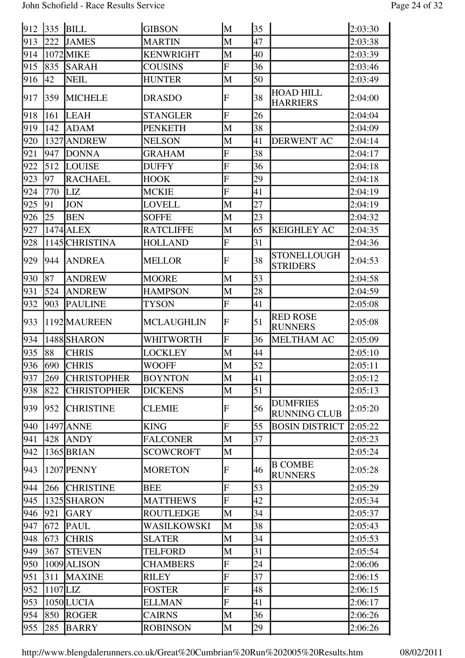| 912 | 335        | <b>BILL</b>        | <b>GIBSON</b>    | M                | 35 |                                        | 2:03:30 |
|-----|------------|--------------------|------------------|------------------|----|----------------------------------------|---------|
| 913 | 222        | <b>JAMES</b>       | <b>MARTIN</b>    | M                | 47 |                                        | 2:03:38 |
| 914 |            | 1072 MIKE          | <b>KENWRIGHT</b> | M                | 40 |                                        | 2:03:39 |
| 915 | 835        | <b>SARAH</b>       | <b>COUSINS</b>   | $\overline{F}$   | 36 |                                        | 2:03:46 |
| 916 | 42         | NEIL               | <b>HUNTER</b>    | M                | 50 |                                        | 2:03:49 |
| 917 | 359        | <b>MICHELE</b>     | <b>DRASDO</b>    | $\overline{F}$   | 38 | <b>HOAD HILL</b><br><b>HARRIERS</b>    | 2:04:00 |
| 918 | 161        | <b>LEAH</b>        | <b>STANGLER</b>  | $\overline{F}$   | 26 |                                        | 2:04:04 |
| 919 | 142        | <b>ADAM</b>        | <b>PENKETH</b>   | M                | 38 |                                        | 2:04:09 |
| 920 | 1327       | <b>ANDREW</b>      | <b>NELSON</b>    | M                | 41 | <b>DERWENT AC</b>                      | 2:04:14 |
| 921 | 947        | <b>DONNA</b>       | <b>GRAHAM</b>    | $\overline{F}$   | 38 |                                        | 2:04:17 |
| 922 | 512        | <b>LOUISE</b>      | <b>DUFFY</b>     | $\overline{F}$   | 36 |                                        | 2:04:18 |
| 923 | 97         | <b>RACHAEL</b>     | <b>HOOK</b>      | $\mathbf F$      | 29 |                                        | 2:04:18 |
| 924 | 770        | LIZ                | <b>MCKIE</b>     | $\overline{F}$   | 41 |                                        | 2:04:19 |
| 925 | 91         | <b>JON</b>         | LOVELL           | M                | 27 |                                        | 2:04:19 |
| 926 | 25         | <b>BEN</b>         | <b>SOFFE</b>     | M                | 23 |                                        | 2:04:32 |
| 927 |            | $1474$ ALEX        | <b>RATCLIFFE</b> | M                | 65 | <b>KEIGHLEY AC</b>                     | 2:04:35 |
| 928 |            | 1145 CHRISTINA     | <b>HOLLAND</b>   | $\overline{F}$   | 31 |                                        | 2:04:36 |
| 929 | 944        | <b>ANDREA</b>      | <b>MELLOR</b>    | $\overline{F}$   | 38 | <b>STONELLOUGH</b><br><b>STRIDERS</b>  | 2:04:53 |
| 930 | 87         | <b>ANDREW</b>      | <b>MOORE</b>     | M                | 53 |                                        | 2:04:58 |
| 931 | 524        | <b>ANDREW</b>      | <b>HAMPSON</b>   | M                | 28 |                                        | 2:04:59 |
| 932 | 903        | <b>PAULINE</b>     | TYSON            | $\overline{F}$   | 41 |                                        | 2:05:08 |
| 933 |            | 1192 MAUREEN       | MCLAUGHLIN       | F                | 51 | <b>RED ROSE</b><br><b>RUNNERS</b>      | 2:05:08 |
| 934 |            | 1488 SHARON        | WHITWORTH        | $\mathbf F$      | 36 | <b>MELTHAM AC</b>                      | 2:05:09 |
| 935 | 88         | <b>CHRIS</b>       | LOCKLEY          | M                | 44 |                                        | 2:05:10 |
| 936 | 690        | <b>CHRIS</b>       | <b>WOOFF</b>     | M                | 52 |                                        | 2:05:11 |
| 937 | 269        | <b>CHRISTOPHER</b> | <b>BOYNTON</b>   | M                | 41 |                                        | 2:05:12 |
| 938 | 822        | <b>CHRISTOPHER</b> | <b>DICKENS</b>   | M                | 51 |                                        | 2:05:13 |
| 939 | 952        | <b>CHRISTINE</b>   | <b>CLEMIE</b>    | $\boldsymbol{F}$ | 56 | <b>DUMFRIES</b><br><b>RUNNING CLUB</b> | 2:05:20 |
| 940 |            | 1497 ANNE          | <b>KING</b>      | $\overline{F}$   | 55 | <b>BOSIN DISTRICT</b>                  | 2:05:22 |
| 941 | 428        | <b>ANDY</b>        | <b>FALCONER</b>  | M                | 37 |                                        | 2:05:23 |
| 942 |            | 1365 BRIAN         | <b>SCOWCROFT</b> | M                |    |                                        | 2:05:24 |
| 943 |            | 1207 PENNY         | <b>MORETON</b>   | F                | 46 | <b>B COMBE</b><br><b>RUNNERS</b>       | 2:05:28 |
| 944 | 266        | <b>CHRISTINE</b>   | BEE              | $\overline{F}$   | 53 |                                        | 2:05:29 |
| 945 |            | 1325 SHARON        | <b>MATTHEWS</b>  | $\overline{F}$   | 42 |                                        | 2:05:34 |
| 946 | 921        | <b>GARY</b>        | ROUTLEDGE        | M                | 34 |                                        | 2:05:37 |
| 947 | 672        | <b>PAUL</b>        | WASILKOWSKI      | M                | 38 |                                        | 2:05:43 |
| 948 | 673        | <b>CHRIS</b>       | <b>SLATER</b>    | M                | 34 |                                        | 2:05:53 |
| 949 | 367        | <b>STEVEN</b>      | TELFORD          | M                | 31 |                                        | 2:05:54 |
| 950 |            | 1009 ALISON        | <b>CHAMBERS</b>  | $\mathbf F$      | 24 |                                        | 2:06:06 |
| 951 | 311        | <b>MAXINE</b>      | <b>RILEY</b>     | $\overline{F}$   | 37 |                                        | 2:06:15 |
| 952 | $1107$ LIZ |                    | <b>FOSTER</b>    | $\overline{F}$   | 48 |                                        | 2:06:15 |
| 953 |            | 1050 LUCIA         | <b>ELLMAN</b>    | $\overline{F}$   | 41 |                                        | 2:06:17 |
| 954 | 850        | <b>ROGER</b>       | <b>CAIRNS</b>    | M                | 36 |                                        | 2:06:26 |
| 955 | 285        | <b>BARRY</b>       | ROBINSON         | M                | 29 |                                        | 2:06:26 |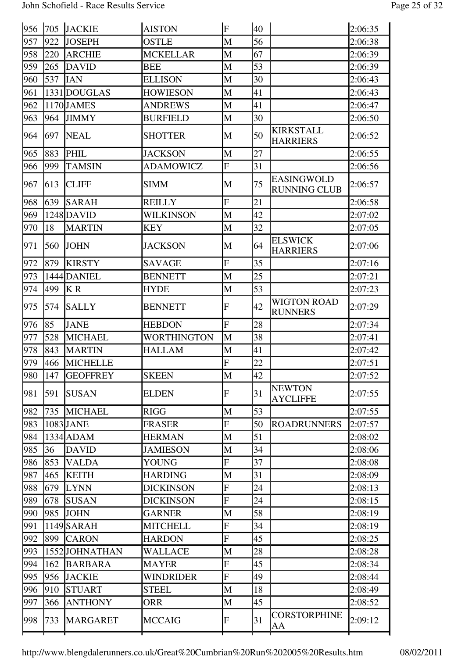| 956 | 705 | <b>JACKIE</b>   | <b>AISTON</b>    | $\mathbf F$      | 40 |                                          | 2:06:35 |
|-----|-----|-----------------|------------------|------------------|----|------------------------------------------|---------|
| 957 | 922 | <b>JOSEPH</b>   | <b>OSTLE</b>     | M                | 56 |                                          | 2:06:38 |
| 958 | 220 | <b>ARCHIE</b>   | <b>MCKELLAR</b>  | M                | 67 |                                          | 2:06:39 |
| 959 | 265 | <b>DAVID</b>    | <b>BEE</b>       | M                | 53 |                                          | 2:06:39 |
| 960 | 537 | <b>IAN</b>      | <b>ELLISON</b>   | M                | 30 |                                          | 2:06:43 |
| 961 |     | 1331 DOUGLAS    | <b>HOWIESON</b>  | M                | 41 |                                          | 2:06:43 |
| 962 |     | 1170 JAMES      | <b>ANDREWS</b>   | M                | 41 |                                          | 2:06:47 |
| 963 | 964 | <b>JIMMY</b>    | <b>BURFIELD</b>  | M                | 30 |                                          | 2:06:50 |
| 964 | 697 | <b>NEAL</b>     | <b>SHOTTER</b>   | M                | 50 | <b>KIRKSTALL</b><br><b>HARRIERS</b>      | 2:06:52 |
| 965 | 883 | PHIL            | <b>JACKSON</b>   | M                | 27 |                                          | 2:06:55 |
| 966 | 999 | <b>TAMSIN</b>   | <b>ADAMOWICZ</b> | ${\bf F}$        | 31 |                                          | 2:06:56 |
| 967 | 613 | <b>CLIFF</b>    | <b>SIMM</b>      | M                | 75 | <b>EASINGWOLD</b><br><b>RUNNING CLUB</b> | 2:06:57 |
| 968 | 639 | <b>SARAH</b>    | <b>REILLY</b>    | $\overline{F}$   | 21 |                                          | 2:06:58 |
| 969 |     | 1248 DAVID      | WILKINSON        | M                | 42 |                                          | 2:07:02 |
| 970 | 18  | <b>MARTIN</b>   | <b>KEY</b>       | $\mathbf M$      | 32 |                                          | 2:07:05 |
| 971 | 560 | <b>JOHN</b>     | <b>JACKSON</b>   | M                | 64 | <b>ELSWICK</b><br><b>HARRIERS</b>        | 2:07:06 |
| 972 | 879 | <b>KIRSTY</b>   | <b>SAVAGE</b>    | $\overline{F}$   | 35 |                                          | 2:07:16 |
| 973 |     | 1444 DANIEL     | <b>BENNETT</b>   | M                | 25 |                                          | 2:07:21 |
| 974 | 499 | KR              | <b>HYDE</b>      | M                | 53 |                                          | 2:07:23 |
| 975 | 574 | <b>SALLY</b>    | <b>BENNETT</b>   | $\mathbf F$      | 42 | <b>WIGTON ROAD</b><br><b>RUNNERS</b>     | 2:07:29 |
| 976 | 85  | <b>JANE</b>     | <b>HEBDON</b>    | $\overline{F}$   | 28 |                                          | 2:07:34 |
| 977 | 528 | <b>MICHAEL</b>  | WORTHINGTON      | M                | 38 |                                          | 2:07:41 |
| 978 | 843 | <b>MARTIN</b>   | <b>HALLAM</b>    | M                | 41 |                                          | 2:07:42 |
| 979 | 466 | MICHELLE        |                  | F                | 22 |                                          | 2:07:51 |
| 980 | 147 | <b>GEOFFREY</b> | <b>SKEEN</b>     | M                | 42 |                                          | 2:07:52 |
| 981 | 591 | <b>SUSAN</b>    | <b>ELDEN</b>     | $\boldsymbol{F}$ | 31 | <b>NEWTON</b><br><b>AYCLIFFE</b>         | 2:07:55 |
| 982 | 735 | <b>MICHAEL</b>  | <b>RIGG</b>      | M                | 53 |                                          | 2:07:55 |
| 983 |     | 1083 JANE       | <b>FRASER</b>    | ${\bf F}$        | 50 | <b>ROADRUNNERS</b>                       | 2:07:57 |
| 984 |     | 1334 ADAM       | <b>HERMAN</b>    | M                | 51 |                                          | 2:08:02 |
| 985 | 36  | <b>DAVID</b>    | <b>JAMIESON</b>  | M                | 34 |                                          | 2:08:06 |
| 986 | 853 | <b>VALDA</b>    | <b>YOUNG</b>     | ${\bf F}$        | 37 |                                          | 2:08:08 |
| 987 | 465 | <b>KEITH</b>    | <b>HARDING</b>   | M                | 31 |                                          | 2:08:09 |
| 988 | 679 | <b>LYNN</b>     | <b>DICKINSON</b> | $\mathbf F$      | 24 |                                          | 2:08:13 |
| 989 | 678 | <b>SUSAN</b>    | <b>DICKINSON</b> | $\overline{F}$   | 24 |                                          | 2:08:15 |
| 990 | 985 | <b>JOHN</b>     | <b>GARNER</b>    | M                | 58 |                                          | 2:08:19 |
| 991 |     | 1149 SARAH      | <b>MITCHELL</b>  | $\overline{F}$   | 34 |                                          | 2:08:19 |
| 992 | 899 | <b>CARON</b>    | <b>HARDON</b>    | $\overline{F}$   | 45 |                                          | 2:08:25 |
| 993 |     | 1552JJOHNATHAN  | WALLACE          | M                | 28 |                                          | 2:08:28 |
| 994 | 162 | <b>BARBARA</b>  | <b>MAYER</b>     | $\mathbf F$      | 45 |                                          | 2:08:34 |
| 995 | 956 | <b>JACKIE</b>   | <b>WINDRIDER</b> | $\overline{F}$   | 49 |                                          | 2:08:44 |
| 996 | 910 | <b>STUART</b>   | <b>STEEL</b>     | M                | 18 |                                          | 2:08:49 |
| 997 | 366 | <b>ANTHONY</b>  | <b>ORR</b>       | M                | 45 |                                          | 2:08:52 |
| 998 | 733 | <b>MARGARET</b> | <b>MCCAIG</b>    | $\mathbf F$      | 31 | <b>CORSTORPHINE</b><br>AA                | 2:09:12 |
|     |     |                 |                  |                  |    |                                          |         |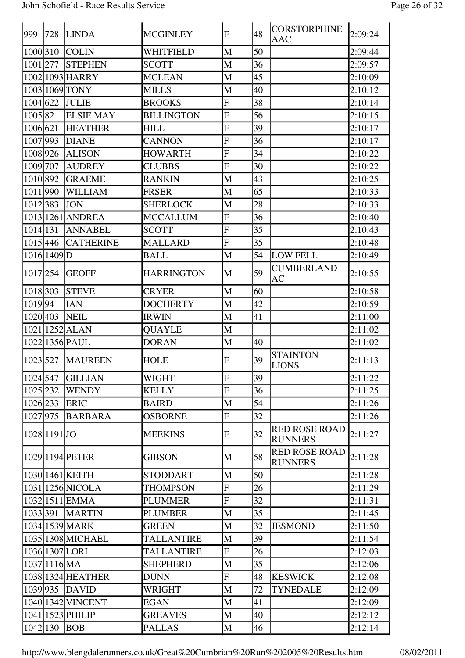| 999      | 728          | <b>LINDA</b>      | <b>MCGINLEY</b>   | $\overline{F}$            | 48 | <b>CORSTORPHINE</b><br><b>AAC</b>      | 2:09:24 |
|----------|--------------|-------------------|-------------------|---------------------------|----|----------------------------------------|---------|
| 1000 310 |              | <b>COLIN</b>      | WHITFIELD         | M                         | 50 |                                        | 2:09:44 |
| 1001 277 |              | <b>STEPHEN</b>    | <b>SCOTT</b>      | M                         | 36 |                                        | 2:09:57 |
|          |              | 1002 1093 HARRY   | <b>MCLEAN</b>     | M                         | 45 |                                        | 2:10:09 |
|          |              | 1003 1069 TONY    | <b>MILLS</b>      | M                         | 40 |                                        | 2:10:12 |
| 1004 622 |              | <b>JULIE</b>      | <b>BROOKS</b>     | $\boldsymbol{\mathrm{F}}$ | 38 |                                        | 2:10:14 |
| 1005 82  |              | <b>ELSIE MAY</b>  | <b>BILLINGTON</b> | $\overline{F}$            | 56 |                                        | 2:10:15 |
| 1006 621 |              | <b>HEATHER</b>    | <b>HILL</b>       | $\overline{F}$            | 39 |                                        | 2:10:17 |
| 1007 993 |              | <b>DIANE</b>      | <b>CANNON</b>     | $\overline{\mathrm{F}}$   | 36 |                                        | 2:10:17 |
| 1008926  |              | <b>ALISON</b>     | <b>HOWARTH</b>    | $\overline{\mathrm{F}}$   | 34 |                                        | 2:10:22 |
| 1009 707 |              | <b>AUDREY</b>     | <b>CLUBBS</b>     | F                         | 30 |                                        | 2:10:22 |
| 1010 892 |              | <b>GRAEME</b>     | <b>RANKIN</b>     | M                         | 43 |                                        | 2:10:25 |
| 1011 990 |              | <b>WILLIAM</b>    | <b>FRSER</b>      | M                         | 65 |                                        | 2:10:33 |
| 1012 383 |              | <b>JON</b>        | <b>SHERLOCK</b>   | M                         | 28 |                                        | 2:10:33 |
|          |              | 1013 1261 ANDREA  | <b>MCCALLUM</b>   | $\mathbf F$               | 36 |                                        | 2:10:40 |
| 1014 131 |              | <b>ANNABEL</b>    | <b>SCOTT</b>      | $\overline{\mathrm{F}}$   | 35 |                                        | 2:10:43 |
| 1015 446 |              | <b>CATHERINE</b>  | <b>MALLARD</b>    | $\overline{\mathrm{F}}$   | 35 |                                        | 2:10:48 |
|          | 1016 1409 D  |                   | <b>BALL</b>       | M                         | 54 | <b>LOW FELL</b>                        | 2:10:49 |
| 1017 254 |              | <b>GEOFF</b>      | <b>HARRINGTON</b> | M                         | 59 | <b>CUMBERLAND</b><br>AC                | 2:10:55 |
| 1018 303 |              | <b>STEVE</b>      | <b>CRYER</b>      | M                         | 60 |                                        | 2:10:58 |
| 101994   |              | IAN               | <b>DOCHERTY</b>   | M                         | 42 |                                        | 2:10:59 |
| 1020 403 |              | <b>NEIL</b>       | <b>IRWIN</b>      | M                         | 41 |                                        | 2:11:00 |
|          |              | 1021 1252 ALAN    | <b>QUAYLE</b>     | M                         |    |                                        | 2:11:02 |
|          |              | 1022 1356 PAUL    | <b>DORAN</b>      | M                         | 40 |                                        | 2:11:02 |
| 1023 527 |              | <b>MAUREEN</b>    | <b>HOLE</b>       | F                         | 39 | <b>STAINTON</b><br><b>LIONS</b>        | 2:11:13 |
| 1024 547 |              | <b>GILLIAN</b>    | <b>WIGHT</b>      | $\overline{\mathrm{F}}$   | 39 |                                        | 2:11:22 |
| 1025 232 |              | <b>WENDY</b>      | <b>KELLY</b>      | $\overline{F}$            | 36 |                                        | 2:11:25 |
| 1026 233 |              | <b>ERIC</b>       | <b>BAIRD</b>      | M                         | 54 |                                        | 2:11:26 |
| 1027 975 |              | <b>BARBARA</b>    | <b>OSBORNE</b>    | $\overline{\mathrm{F}}$   | 32 |                                        | 2:11:26 |
|          | 1028 1191 JO |                   | <b>MEEKINS</b>    | $\overline{F}$            | 32 | <b>RED ROSE ROAD</b><br><b>RUNNERS</b> | 2:11:27 |
|          |              | 1029 1194 PETER   | <b>GIBSON</b>     | M                         | 58 | <b>RED ROSE ROAD</b><br><b>RUNNERS</b> | 2:11:28 |
|          |              | 1030 1461 KEITH   | <b>STODDART</b>   | M                         | 50 |                                        | 2:11:28 |
|          |              | 1031 1256 NICOLA  | <b>THOMPSON</b>   | $\mathbf F$               | 26 |                                        | 2:11:29 |
|          |              | 1032 1511 EMMA    | <b>PLUMMER</b>    | $\overline{F}$            | 32 |                                        | 2:11:31 |
| 1033 391 |              | <b>MARTIN</b>     | <b>PLUMBER</b>    | M                         | 35 |                                        | 2:11:45 |
|          |              | 1034 1539 MARK    | <b>GREEN</b>      | M                         | 32 | <b>JESMOND</b>                         | 2:11:50 |
|          |              | 1035 1308 MICHAEL | TALLANTIRE        | M                         | 39 |                                        | 2:11:54 |
|          |              | 1036 1307 LORI    | TALLANTIRE        | ${\bf F}$                 | 26 |                                        | 2:12:03 |
|          | 1037 1116 MA |                   | <b>SHEPHERD</b>   | M                         | 35 |                                        | 2:12:06 |
|          |              | 1038 1324 HEATHER | <b>DUNN</b>       | $\mathbf F$               | 48 | <b>KESWICK</b>                         | 2:12:08 |
| 1039 935 |              | <b>DAVID</b>      | WRIGHT            | M                         | 72 | TYNEDALE                               | 2:12:09 |
|          |              | 1040 1342 VINCENT | <b>EGAN</b>       | M                         | 41 |                                        | 2:12:09 |
|          |              | 1041 1523 PHILIP  | <b>GREAVES</b>    | M                         | 40 |                                        | 2:12:12 |
| 1042 130 |              | <b>BOB</b>        | <b>PALLAS</b>     | M                         | 46 |                                        | 2:12:14 |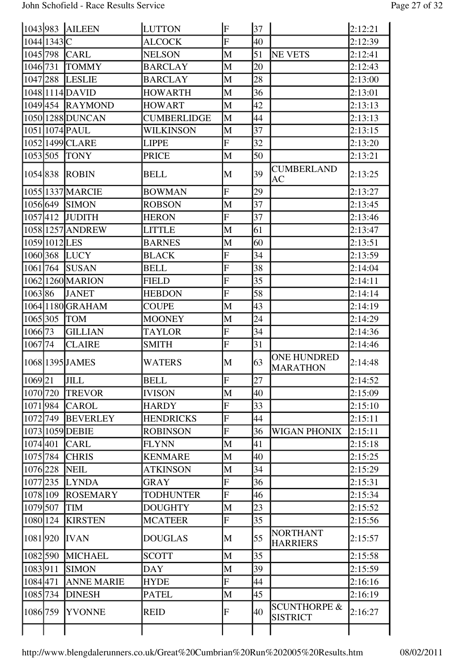| 1043 983 AILEEN   |                   | <b>LUTTON</b>      | $\overline{\mathrm{F}}$ | 37 |                                            | 2:12:21 |
|-------------------|-------------------|--------------------|-------------------------|----|--------------------------------------------|---------|
| $1044$   1343   C |                   | <b>ALCOCK</b>      | $\overline{F}$          | 40 |                                            | 2:12:39 |
| 1045 798          | <b>CARL</b>       | <b>NELSON</b>      | M                       | 51 | <b>NE VETS</b>                             | 2:12:41 |
| 1046 731          | <b>TOMMY</b>      | <b>BARCLAY</b>     | M                       | 20 |                                            | 2:12:43 |
| 1047 288          | <b>LESLIE</b>     | <b>BARCLAY</b>     | M                       | 28 |                                            | 2:13:00 |
| 1048 1114 DAVID   |                   | <b>HOWARTH</b>     | M                       | 36 |                                            | 2:13:01 |
|                   | 1049454 RAYMOND   | <b>HOWART</b>      | M                       | 42 |                                            | 2:13:13 |
|                   | 105011288DUNCAN   | <b>CUMBERLIDGE</b> | M                       | 44 |                                            | 2:13:13 |
| 1051 1074 PAUL    |                   | WILKINSON          | M                       | 37 |                                            | 2:13:15 |
| 1052 1499 CLARE   |                   | <b>LIPPE</b>       | $\overline{F}$          | 32 |                                            | 2:13:20 |
| 1053505           | <b>TONY</b>       | <b>PRICE</b>       | M                       | 50 |                                            | 2:13:21 |
| 1054 838          | <b>ROBIN</b>      | <b>BELL</b>        | M                       | 39 | <b>CUMBERLAND</b><br>AC                    | 2:13:25 |
|                   | 1055 1337 MARCIE  | <b>BOWMAN</b>      | $\overline{F}$          | 29 |                                            | 2:13:27 |
| 1056649           | <b>SIMON</b>      | <b>ROBSON</b>      | M                       | 37 |                                            | 2:13:45 |
| 1057412           | <b>JUDITH</b>     | <b>HERON</b>       | $\overline{F}$          | 37 |                                            | 2:13:46 |
|                   | 1058 1257 ANDREW  | <b>LITTLE</b>      | M                       | 61 |                                            | 2:13:47 |
| 1059 1012 LES     |                   | <b>BARNES</b>      | M                       | 60 |                                            | 2:13:51 |
| 1060 368          | <b>LUCY</b>       | <b>BLACK</b>       | $\overline{\mathrm{F}}$ | 34 |                                            | 2:13:59 |
| 1061 764          | <b>SUSAN</b>      | <b>BELL</b>        | $\mathbf F$             | 38 |                                            | 2:14:04 |
|                   | 1062 1260 MARION  | <b>FIELD</b>       | $\overline{F}$          | 35 |                                            | 2:14:11 |
| 106386            | <b>JANET</b>      | <b>HEBDON</b>      | $\overline{F}$          | 58 |                                            | 2:14:14 |
|                   | 1064 1180 GRAHAM  | <b>COUPE</b>       | M                       | 43 |                                            | 2:14:19 |
| 1065 305          | <b>TOM</b>        | <b>MOONEY</b>      | M                       | 24 |                                            | 2:14:29 |
| 1066 73           | <b>GILLIAN</b>    | <b>TAYLOR</b>      | $\overline{F}$          | 34 |                                            | 2:14:36 |
| 1067 74           | <b>CLAIRE</b>     | <b>SMITH</b>       | $\overline{\mathrm{F}}$ | 31 |                                            | 2:14:46 |
| 1068 1395 JAMES   |                   | <b>WATERS</b>      | M                       | 63 | <b>ONE HUNDRED</b><br><b>MARATHON</b>      | 2:14:48 |
| 106921            | <b>JILL</b>       | <b>BELL</b>        | $\overline{F}$          | 27 |                                            | 2:14:52 |
| 1070 720          | <b>TREVOR</b>     | <b>IVISON</b>      | M                       | 40 |                                            | 2:15:09 |
| 1071984           | <b>CAROL</b>      | <b>HARDY</b>       | $\overline{F}$          | 33 |                                            | 2:15:10 |
| 1072 749          | <b>BEVERLEY</b>   | <b>HENDRICKS</b>   | $\mathbf F$             | 44 |                                            | 2:15:11 |
| 10731059DEBIE     |                   | <b>ROBINSON</b>    | $\overline{\mathrm{F}}$ | 36 | <b>WIGAN PHONIX</b>                        | 2:15:11 |
| 1074401           | <b>CARL</b>       | <b>FLYNN</b>       | M                       | 41 |                                            | 2:15:18 |
| 1075 784          | <b>CHRIS</b>      | <b>KENMARE</b>     | M                       | 40 |                                            | 2:15:25 |
| 1076 228          | <b>NEIL</b>       | <b>ATKINSON</b>    | M                       | 34 |                                            | 2:15:29 |
| 1077 235          | <b>LYNDA</b>      | <b>GRAY</b>        | $\overline{\mathrm{F}}$ | 36 |                                            | 2:15:31 |
| 1078 109          | <b>ROSEMARY</b>   | <b>TODHUNTER</b>   | $\overline{F}$          | 46 |                                            | 2:15:34 |
| 1079 507          | <b>TIM</b>        | <b>DOUGHTY</b>     | M                       | 23 |                                            | 2:15:52 |
| 1080 124          | <b>KIRSTEN</b>    | <b>MCATEER</b>     | $\overline{F}$          | 35 |                                            | 2:15:56 |
| 1081920           | <b>IVAN</b>       | <b>DOUGLAS</b>     | M                       | 55 | <b>NORTHANT</b><br><b>HARRIERS</b>         | 2:15:57 |
| 1082 590          | <b>MICHAEL</b>    | <b>SCOTT</b>       | M                       | 35 |                                            | 2:15:58 |
| 1083911           | <b>SIMON</b>      | <b>DAY</b>         | M                       | 39 |                                            | 2:15:59 |
| 1084471           | <b>ANNE MARIE</b> | <b>HYDE</b>        | $\overline{F}$          | 44 |                                            | 2:16:16 |
| 1085 734          | <b>DINESH</b>     | <b>PATEL</b>       | M                       | 45 |                                            | 2:16:19 |
| 1086 759          | <b>YVONNE</b>     | <b>REID</b>        | $\mathbf{F}$            | 40 | <b>SCUNTHORPE &amp;</b><br><b>SISTRICT</b> | 2:16:27 |
|                   |                   |                    |                         |    |                                            |         |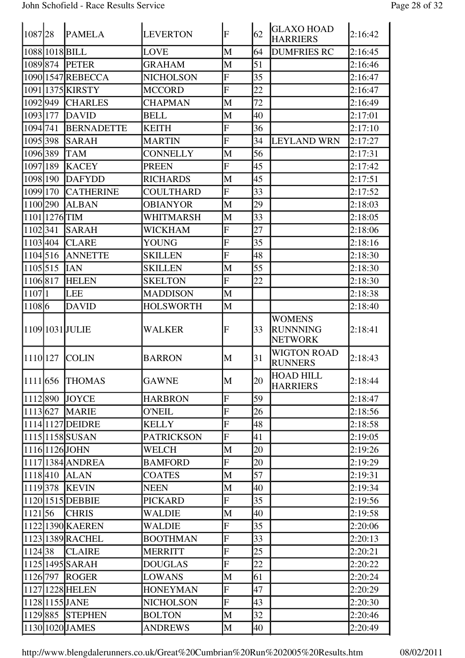| 108728   |               | <b>PAMELA</b>     | <b>LEVERTON</b>   | $\overline{F}$            | 62 | <b>GLAXO HOAD</b><br><b>HARRIERS</b>               | 2:16:42 |
|----------|---------------|-------------------|-------------------|---------------------------|----|----------------------------------------------------|---------|
|          |               | 1088 1018 BILL    | LOVE              | M                         | 64 | <b>DUMFRIES RC</b>                                 | 2:16:45 |
| 1089 874 |               | <b>PETER</b>      | <b>GRAHAM</b>     | M                         | 51 |                                                    | 2:16:46 |
|          |               | 1090 1547 REBECCA | <b>NICHOLSON</b>  | F                         | 35 |                                                    | 2:16:47 |
|          |               | 10911375 KIRSTY   | <b>MCCORD</b>     | $\overline{\mathrm{F}}$   | 22 |                                                    | 2:16:47 |
| 1092949  |               | <b>CHARLES</b>    | <b>CHAPMAN</b>    | M                         | 72 |                                                    | 2:16:49 |
| 1093 177 |               | <b>DAVID</b>      | <b>BELL</b>       | M                         | 40 |                                                    | 2:17:01 |
| 1094 741 |               | <b>BERNADETTE</b> | <b>KEITH</b>      | F                         | 36 |                                                    | 2:17:10 |
| 1095 398 |               | <b>SARAH</b>      | <b>MARTIN</b>     | $\boldsymbol{\mathrm{F}}$ | 34 | <b>LEYLAND WRN</b>                                 | 2:17:27 |
| 1096 389 |               | <b>TAM</b>        | CONNELLY          | M                         | 56 |                                                    | 2:17:31 |
| 1097 189 |               | <b>KACEY</b>      | <b>PREEN</b>      | F                         | 45 |                                                    | 2:17:42 |
| 1098 190 |               | <b>DAFYDD</b>     | <b>RICHARDS</b>   | M                         | 45 |                                                    | 2:17:51 |
| 1099 170 |               | <b>CATHERINE</b>  | COULTHARD         | F                         | 33 |                                                    | 2:17:52 |
| 1100 290 |               | <b>ALBAN</b>      | <b>OBIANYOR</b>   | M                         | 29 |                                                    | 2:18:03 |
|          | 1101 1276 TIM |                   | WHITMARSH         | M                         | 33 |                                                    | 2:18:05 |
| 1102 341 |               | <b>SARAH</b>      | WICKHAM           | F                         | 27 |                                                    | 2:18:06 |
| 1103 404 |               | <b>CLARE</b>      | YOUNG             | F                         | 35 |                                                    | 2:18:16 |
| 1104 516 |               | <b>ANNETTE</b>    | <b>SKILLEN</b>    | F                         | 48 |                                                    | 2:18:30 |
| 1105 515 |               | <b>IAN</b>        | <b>SKILLEN</b>    | M                         | 55 |                                                    | 2:18:30 |
| 1106817  |               | <b>HELEN</b>      | <b>SKELTON</b>    | F                         | 22 |                                                    | 2:18:30 |
| 11071    |               | <b>LEE</b>        | <b>MADDISON</b>   | M                         |    |                                                    | 2:18:38 |
| 11086    |               | <b>DAVID</b>      | <b>HOLSWORTH</b>  | M                         |    |                                                    | 2:18:40 |
|          |               | 1109 1031 JULIE   | <b>WALKER</b>     | F                         | 33 | <b>WOMENS</b><br><b>RUNNNING</b><br><b>NETWORK</b> | 2:18:41 |
| 1110 127 |               | <b>COLIN</b>      | <b>BARRON</b>     | M                         | 31 | <b>WIGTON ROAD</b><br><b>RUNNERS</b>               | 2:18:43 |
| 1111 656 |               | <b>THOMAS</b>     | <b>GAWNE</b>      | M                         | 20 | <b>HOAD HILL</b><br><b>HARRIERS</b>                | 2:18:44 |
| 1112 890 |               | <b>JOYCE</b>      | <b>HARBRON</b>    | F                         | 59 |                                                    | 2:18:47 |
| 1113 627 |               | <b>MARIE</b>      | <b>O'NEIL</b>     | $\overline{\mathrm{F}}$   | 26 |                                                    | 2:18:56 |
|          |               | 11141127DEIDRE    | <b>KELLY</b>      | F                         | 48 |                                                    | 2:18:58 |
|          |               | 1115 1158 SUSAN   | <b>PATRICKSON</b> | F                         | 41 |                                                    | 2:19:05 |
|          |               | 1116 1126 JOHN    | WELCH             | M                         | 20 |                                                    | 2:19:26 |
|          |               | 1117 1384 ANDREA  | <b>BAMFORD</b>    | F                         |    |                                                    |         |
| 1118410  |               |                   |                   |                           | 20 |                                                    | 2:19:29 |
| 1119 378 |               | <b>ALAN</b>       | <b>COATES</b>     | M                         | 57 |                                                    | 2:19:31 |
|          |               | <b>KEVIN</b>      | <b>NEEN</b>       | M                         | 40 |                                                    | 2:19:34 |
|          |               | 1120 1515 DEBBIE  | <b>PICKARD</b>    | $\overline{\mathrm{F}}$   | 35 |                                                    | 2:19:56 |
| 112156   |               | <b>CHRIS</b>      | <b>WALDIE</b>     | M                         | 40 |                                                    | 2:19:58 |
|          |               | 1122 1390 KAEREN  | <b>WALDIE</b>     | $\overline{\mathrm{F}}$   | 35 |                                                    | 2:20:06 |
|          |               | 1123 1389 RACHEL  | <b>BOOTHMAN</b>   | F                         | 33 |                                                    | 2:20:13 |
| 1124 38  |               | <b>CLAIRE</b>     | <b>MERRITT</b>    | F                         | 25 |                                                    | 2:20:21 |
|          |               | 1125 1495 SARAH   | <b>DOUGLAS</b>    | F                         | 22 |                                                    | 2:20:22 |
| 1126 797 |               | <b>ROGER</b>      | <b>LOWANS</b>     | M                         | 61 |                                                    | 2:20:24 |
|          |               | 1127 1228 HELEN   | <b>HONEYMAN</b>   | $\overline{\mathrm{F}}$   | 47 |                                                    | 2:20:29 |
|          |               | 1128 1155 JANE    | <b>NICHOLSON</b>  | F                         | 43 |                                                    | 2:20:30 |
| 1129885  |               | <b>STEPHEN</b>    | <b>BOLTON</b>     | M                         | 32 |                                                    | 2:20:46 |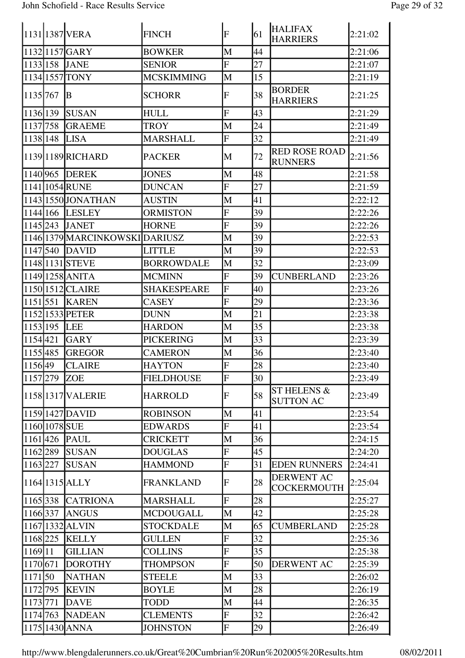|               | 1131 1387 VERA                 | <b>FINCH</b>       | $\mathbf F$               | 61           | <b>HALIFAX</b><br><b>HARRIERS</b>          | 2:21:02 |
|---------------|--------------------------------|--------------------|---------------------------|--------------|--------------------------------------------|---------|
|               | 1132 1157 GARY                 | <b>BOWKER</b>      | M                         | 44           |                                            | 2:21:06 |
| 1133 158      | <b>JANE</b>                    | <b>SENIOR</b>      | $\overline{F}$            | 27           |                                            | 2:21:07 |
| 1134 1557     | <b>TONY</b>                    | <b>MCSKIMMING</b>  | M                         | 15           |                                            | 2:21:19 |
| 1135 767      | B                              | <b>SCHORR</b>      | $\boldsymbol{\mathrm{F}}$ | 38           | <b>BORDER</b><br><b>HARRIERS</b>           | 2:21:25 |
| 1136 139      | <b>SUSAN</b>                   | <b>HULL</b>        | $\overline{\mathrm{F}}$   | 43           |                                            | 2:21:29 |
| 1137 758      | <b>GRAEME</b>                  | <b>TROY</b>        | M                         | 24           |                                            | 2:21:49 |
| 1138 148      | <b>LISA</b>                    | <b>MARSHALL</b>    | $\overline{F}$            | 32           |                                            | 2:21:49 |
|               | 1139 1189 RICHARD              | <b>PACKER</b>      | M                         | 72           | <b>RED ROSE ROAD</b><br><b>RUNNERS</b>     | 2:21:56 |
| 1140 965      | <b>DEREK</b>                   | <b>JONES</b>       | M                         | 48           |                                            | 2:21:58 |
|               | 1141 1054 RUNE                 | <b>DUNCAN</b>      | $\overline{F}$            | 27           |                                            | 2:21:59 |
|               | 1143 1550 JONATHAN             | <b>AUSTIN</b>      | M                         | 41           |                                            | 2:22:12 |
| 1144 166      | <b>LESLEY</b>                  | <b>ORMISTON</b>    | $\overline{F}$            | 39           |                                            | 2:22:26 |
| 1145 243      | <b>JANET</b>                   | <b>HORNE</b>       | $\overline{F}$            | 39           |                                            | 2:22:26 |
|               | 1146 1379 MARCINKOWSKI DARIUSZ |                    | M                         | 39           |                                            | 2:22:53 |
| 1147540       | <b>DAVID</b>                   | <b>LITTLE</b>      | M                         | 39           |                                            | 2:22:53 |
|               | 1148 1131 STEVE                | <b>BORROWDALE</b>  | M                         | 32           |                                            | 2:23:09 |
|               | 1149 1258 ANITA                | <b>MCMINN</b>      | $\overline{F}$            | 39           | CUNBERLAND                                 | 2:23:26 |
|               | 1150 1512 CLAIRE               | <b>SHAKESPEARE</b> | $\overline{F}$            | 40           |                                            | 2:23:26 |
| 1151 551      | <b>KAREN</b>                   | <b>CASEY</b>       | ${\bf F}$                 | 29           |                                            | 2:23:36 |
|               | 1152 1533 PETER                | <b>DUNN</b>        | M                         | 21           |                                            | 2:23:38 |
| 1153 195      | <b>LEE</b>                     | <b>HARDON</b>      | M                         | 35           |                                            | 2:23:38 |
| 1154421       | <b>GARY</b>                    | <b>PICKERING</b>   | M                         | $ 33\rangle$ |                                            | 2:23:39 |
| 1155 485      | <b>GREGOR</b>                  | <b>CAMERON</b>     | M                         | 36           |                                            | 2:23:40 |
| 1156 49       | CLAIRE                         | <b>HAYTON</b>      | $\mathbf F$               | 28           |                                            | 2:23:40 |
| 1157 279      | <b>ZOE</b>                     | <b>FIELDHOUSE</b>  | F                         | 30           |                                            | 2:23:49 |
|               | 1158 1317 VALERIE              | <b>HARROLD</b>     | F                         | 58           | <b>ST HELENS &amp;</b><br><b>SUTTON AC</b> | 2:23:49 |
|               | 1159 1427 DAVID                | <b>ROBINSON</b>    | M                         | 41           |                                            | 2:23:54 |
| 1160 1078 SUE |                                | <b>EDWARDS</b>     | $\overline{F}$            | 41           |                                            | 2:23:54 |
| 1161 426      | <b>PAUL</b>                    | <b>CRICKETT</b>    | M                         | 36           |                                            | 2:24:15 |
| 1162289       | <b>SUSAN</b>                   | <b>DOUGLAS</b>     | $\mathbf F$               | 45           |                                            | 2:24:20 |
| 1163 227      | <b>SUSAN</b>                   | <b>HAMMOND</b>     | ${\bf F}$                 | 31           | <b>EDEN RUNNERS</b>                        | 2:24:41 |
|               | 1164 1315 ALLY                 | <b>FRANKLAND</b>   | $\overline{\mathrm{F}}$   | 28           | <b>DERWENT AC</b><br><b>COCKERMOUTH</b>    | 2:25:04 |
| 1165 338      | <b>CATRIONA</b>                | <b>MARSHALL</b>    | $\overline{F}$            | 28           |                                            | 2:25:27 |
| 1166 337      | <b>ANGUS</b>                   | <b>MCDOUGALL</b>   | M                         | 42           |                                            | 2:25:28 |
|               | 11671332 ALVIN                 | <b>STOCKDALE</b>   | M                         | 65           | <b>CUMBERLAND</b>                          | 2:25:28 |
| 1168 225      | <b>KELLY</b>                   | <b>GULLEN</b>      | $\overline{F}$            | 32           |                                            | 2:25:36 |
| 1169 11       | <b>GILLIAN</b>                 | <b>COLLINS</b>     | $\overline{F}$            | 35           |                                            | 2:25:38 |
| 1170 671      | <b>DOROTHY</b>                 | <b>THOMPSON</b>    | $\mathbf F$               | 50           | <b>DERWENT AC</b>                          | 2:25:39 |
| 117150        | <b>NATHAN</b>                  | <b>STEELE</b>      | M                         | 33           |                                            | 2:26:02 |
| 1172 795      | <b>KEVIN</b>                   | <b>BOYLE</b>       | M                         | 28           |                                            | 2:26:19 |
| 1173 771      | <b>DAVE</b>                    | <b>TODD</b>        | M                         | 44           |                                            | 2:26:35 |
| 1174 763      | <b>NADEAN</b>                  | <b>CLEMENTS</b>    | ${\bf F}$                 | 32           |                                            | 2:26:42 |
|               | 1175 1430 ANNA                 | <b>JOHNSTON</b>    | $\overline{\mathrm{F}}$   | 29           |                                            | 2:26:49 |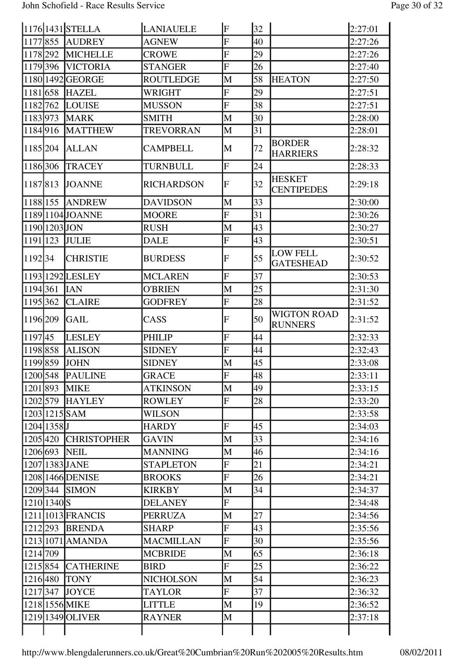|          |               | 1176 1431 STELLA     | <b>LANIAUELE</b>  | $\boldsymbol{\mathrm{F}}$ | 32 |                                      | 2:27:01 |
|----------|---------------|----------------------|-------------------|---------------------------|----|--------------------------------------|---------|
| 1177855  |               | <b>AUDREY</b>        | <b>AGNEW</b>      | F                         | 40 |                                      | 2:27:26 |
| 1178 292 |               | <b>MICHELLE</b>      | <b>CROWE</b>      | F                         | 29 |                                      | 2:27:26 |
| 1179 396 |               | <b>VICTORIA</b>      | STANGER           | F                         | 26 |                                      | 2:27:40 |
|          |               | 1180 1492 GEORGE     | <b>ROUTLEDGE</b>  | M                         | 58 | <b>HEATON</b>                        | 2:27:50 |
| 1181 658 |               | <b>HAZEL</b>         | WRIGHT            | F                         | 29 |                                      | 2:27:51 |
| 1182762  |               | <b>LOUISE</b>        | <b>MUSSON</b>     | F                         | 38 |                                      | 2:27:51 |
| 1183 973 |               | <b>MARK</b>          | <b>SMITH</b>      | M                         | 30 |                                      | 2:28:00 |
| 1184916  |               | <b>MATTHEW</b>       | <b>TREVORRAN</b>  | M                         | 31 |                                      | 2:28:01 |
| 1185 204 |               | <b>ALLAN</b>         | <b>CAMPBELL</b>   | M                         | 72 | <b>BORDER</b><br><b>HARRIERS</b>     | 2:28:32 |
| 1186 306 |               | <b>TRACEY</b>        | TURNBULL          | F                         | 24 |                                      | 2:28:33 |
| 1187813  |               | <b>JOANNE</b>        | <b>RICHARDSON</b> | $\boldsymbol{\mathrm{F}}$ | 32 | <b>HESKET</b><br><b>CENTIPEDES</b>   | 2:29:18 |
| 1188 155 |               | <b>ANDREW</b>        | <b>DAVIDSON</b>   | M                         | 33 |                                      | 2:30:00 |
|          |               | 11891104JJOANNE      | <b>MOORE</b>      | F                         | 31 |                                      | 2:30:26 |
|          | 1190 1203 JON |                      | <b>RUSH</b>       | M                         | 43 |                                      | 2:30:27 |
| 1191 123 |               | <b>JULIE</b>         | <b>DALE</b>       | F                         | 43 |                                      | 2:30:51 |
| 119234   |               | <b>CHRISTIE</b>      | <b>BURDESS</b>    | F                         | 55 | <b>LOW FELL</b><br><b>GATESHEAD</b>  | 2:30:52 |
|          |               | 1193 1292 LESLEY     | <b>MCLAREN</b>    | F                         | 37 |                                      | 2:30:53 |
| 1194 361 |               | <b>IAN</b>           | <b>O'BRIEN</b>    | M                         | 25 |                                      | 2:31:30 |
| 1195 362 |               | <b>CLAIRE</b>        | <b>GODFREY</b>    | F                         | 28 |                                      | 2:31:52 |
| 1196 209 |               | <b>GAIL</b>          | CASS              | F                         | 50 | <b>WIGTON ROAD</b><br><b>RUNNERS</b> | 2:31:52 |
| 119745   |               | <b>LESLEY</b>        | <b>PHILIP</b>     | F                         | 44 |                                      | 2:32:33 |
| 1198 858 |               | <b>ALISON</b>        | <b>SIDNEY</b>     | F                         | 44 |                                      | 2:32:43 |
| 1199859  |               | <b>JOHN</b>          | <b>SIDNEY</b>     | M                         | 45 |                                      | 2:33:08 |
|          | 1200 548      | <b>PAULINE</b>       | <b>GRACE</b>      | $\overline{\mathrm{F}}$   | 48 |                                      | 2:33:11 |
|          | 1201 893      | <b>MIKE</b>          | <b>ATKINSON</b>   | M                         | 49 |                                      | 2:33:15 |
|          |               | 1202 579 HAYLEY      | <b>ROWLEY</b>     | F                         | 28 |                                      | 2:33:20 |
|          |               | 1203 1215 SAM        | <b>WILSON</b>     |                           |    |                                      | 2:33:58 |
|          | 1204 1358 J   |                      | <b>HARDY</b>      | F                         | 45 |                                      | 2:34:03 |
|          |               | 1205 420 CHRISTOPHER | <b>GAVIN</b>      | M                         | 33 |                                      | 2:34:16 |
|          | 1206 693      | <b>NEIL</b>          | <b>MANNING</b>    | M                         | 46 |                                      | 2:34:16 |
|          |               | 1207 1383 JANE       | <b>STAPLETON</b>  | F                         | 21 |                                      | 2:34:21 |
|          |               | 1208 1466 DENISE     | <b>BROOKS</b>     | F                         | 26 |                                      | 2:34:21 |
|          |               | 1209 344 SIMON       | <b>KIRKBY</b>     | M                         | 34 |                                      | 2:34:37 |
|          | 1210 1340 S   |                      | <b>DELANEY</b>    | F                         |    |                                      | 2:34:48 |
|          |               | 1211 1013 FRANCIS    | <b>PERRUZA</b>    | M                         | 27 |                                      | 2:34:56 |
|          | 1212 293      | <b>BRENDA</b>        | <b>SHARP</b>      | F                         | 43 |                                      | 2:35:56 |
|          |               | 1213 1071 AMANDA     | <b>MACMILLAN</b>  | F                         | 30 |                                      | 2:35:56 |
|          |               |                      |                   |                           |    |                                      | 2:36:18 |
|          |               |                      | <b>MCBRIDE</b>    | M                         | 65 |                                      |         |
|          | 1215 854      | <b>CATHERINE</b>     | <b>BIRD</b>       | F                         | 25 |                                      | 2:36:22 |
|          | 1216 480      | <b>TONY</b>          | <b>NICHOLSON</b>  | M                         | 54 |                                      | 2:36:23 |
| 1214 709 | 1217 347      | <b>JOYCE</b>         | TAYLOR            | F                         | 37 |                                      | 2:36:32 |
|          |               | 1218 1556 MIKE       | <b>LITTLE</b>     | M                         | 19 |                                      | 2:36:52 |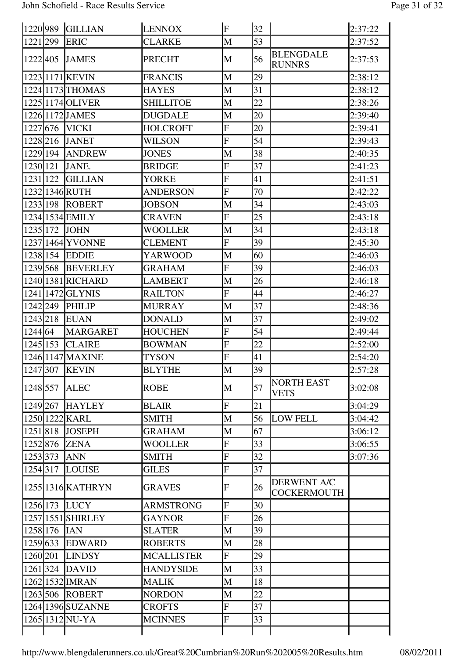### John Schofield - Race Results Service Page 31 of 32

| 1220 989         | <b>GILLIAN</b>    | <b>LENNOX</b>     | $\overline{\mathrm{F}}$   | 32 |                                   | 2:37:22 |
|------------------|-------------------|-------------------|---------------------------|----|-----------------------------------|---------|
| 1221 299         | <b>ERIC</b>       | <b>CLARKE</b>     | M                         | 53 |                                   | 2:37:52 |
| 1222 405         | <b>JAMES</b>      | <b>PRECHT</b>     | M                         | 56 | <b>BLENGDALE</b><br><b>RUNNRS</b> | 2:37:53 |
| 1223 1171 KEVIN  |                   | <b>FRANCIS</b>    | M                         | 29 |                                   | 2:38:12 |
|                  | 1224 1173 THOMAS  | <b>HAYES</b>      | M                         | 31 |                                   | 2:38:12 |
| 1225 1174 OLIVER |                   | <b>SHILLITOE</b>  | M                         | 22 |                                   | 2:38:26 |
| 1226 1172 JAMES  |                   | <b>DUGDALE</b>    | M                         | 20 |                                   | 2:39:40 |
| 1227 676 VICKI   |                   | <b>HOLCROFT</b>   | $\mathbf F$               | 20 |                                   | 2:39:41 |
| 1228 216         | <b>JANET</b>      | WILSON            | $\overline{F}$            | 54 |                                   | 2:39:43 |
| 1229 194         | <b>ANDREW</b>     | <b>JONES</b>      | M                         | 38 |                                   | 2:40:35 |
| 1230 121         | JANE.             | <b>BRIDGE</b>     | $\overline{F}$            | 37 |                                   | 2:41:23 |
| 1231 122         | <b>GILLIAN</b>    | YORKE             | $\mathbf F$               | 41 |                                   | 2:41:51 |
| 1232 1346 RUTH   |                   | <b>ANDERSON</b>   | $\overline{F}$            | 70 |                                   | 2:42:22 |
| 1233 198         | <b>ROBERT</b>     | <b>JOBSON</b>     | M                         | 34 |                                   | 2:43:03 |
| 1234 1534 EMILY  |                   | <b>CRAVEN</b>     | $\overline{F}$            | 25 |                                   | 2:43:18 |
| 1235 172         | <b>JOHN</b>       | WOOLLER           | M                         | 34 |                                   | 2:43:18 |
|                  | 1237 1464 YVONNE  | <b>CLEMENT</b>    | $\overline{F}$            | 39 |                                   | 2:45:30 |
| 1238 154         | <b>EDDIE</b>      | <b>YARWOOD</b>    | M                         | 60 |                                   | 2:46:03 |
| 1239 568         | <b>BEVERLEY</b>   | GRAHAM            | $\mathbf F$               | 39 |                                   | 2:46:03 |
|                  | 1240 1381 RICHARD | <b>LAMBERT</b>    | M                         | 26 |                                   | 2:46:18 |
| 1241 1472 GLYNIS |                   | <b>RAILTON</b>    | $\overline{F}$            | 44 |                                   | 2:46:27 |
| 1242 249         | <b>PHILIP</b>     | <b>MURRAY</b>     | M                         | 37 |                                   | 2:48:36 |
| 1243 218         | <b>EUAN</b>       | <b>DONALD</b>     | M                         | 37 |                                   | 2:49:02 |
| 124464           | <b>MARGARET</b>   | <b>HOUCHEN</b>    | $\overline{F}$            | 54 |                                   | 2:49:44 |
| 1245 153         | <b>CLAIRE</b>     | <b>BOWMAN</b>     | $\overline{\mathrm{F}}$   | 22 |                                   | 2:52:00 |
|                  | 1246 1147 MAXINE  | <b>TYSON</b>      | $\boldsymbol{\mathrm{F}}$ | 41 |                                   | 2:54:20 |
| 1247 307 KEVIN   |                   | <b>BLYTHE</b>     | M                         | 39 |                                   | 2:57:28 |
| 1248 557         | <b>ALEC</b>       | <b>ROBE</b>       | M                         | 57 | <b>NORTH EAST</b><br>VETS         | 3:02:08 |
| 1249 267         | <b>HAYLEY</b>     | <b>BLAIR</b>      | $\overline{F}$            | 21 |                                   | 3:04:29 |
| 1250 1222 KARL   |                   | <b>SMITH</b>      | M                         | 56 | <b>LOW FELL</b>                   | 3:04:42 |
| 1251818          | <b>JOSEPH</b>     | <b>GRAHAM</b>     | M                         | 67 |                                   | 3:06:12 |
| 1252 876         | <b>ZENA</b>       | WOOLLER           | $\overline{F}$            | 33 |                                   | 3:06:55 |
| 1253 373         | <b>ANN</b>        | <b>SMITH</b>      | $\overline{F}$            | 32 |                                   | 3:07:36 |
| 1254 317         | LOUISE            | <b>GILES</b>      | $\overline{F}$            | 37 |                                   |         |
|                  | 1255 1316 KATHRYN | <b>GRAVES</b>     | F                         | 26 | <b>DERWENT A/C</b><br>COCKERMOUTH |         |
| 1256 173         | <b>LUCY</b>       | ARMSTRONG         | $\overline{F}$            | 30 |                                   |         |
|                  | 1257 1551 SHIRLEY | <b>GAYNOR</b>     | $\overline{F}$            | 26 |                                   |         |
| 1258 176         | <b>IAN</b>        | <b>SLATER</b>     | M                         | 39 |                                   |         |
| 1259 633         | <b>EDWARD</b>     | <b>ROBERTS</b>    | M                         | 28 |                                   |         |
| 1260 201         | <b>LINDSY</b>     | <b>MCALLISTER</b> | $\mathbf F$               | 29 |                                   |         |
| 1261 324         | <b>DAVID</b>      | <b>HANDYSIDE</b>  | M                         | 33 |                                   |         |
| 1262 1532 IMRAN  |                   | <b>MALIK</b>      | M                         | 18 |                                   |         |
|                  | 1263 506 ROBERT   | <b>NORDON</b>     | M                         | 22 |                                   |         |
|                  | 1264 1396 SUZANNE | <b>CROFTS</b>     | $\overline{\mathrm{F}}$   | 37 |                                   |         |
| 1265 1312 NU-YA  |                   | <b>MCINNES</b>    | $\mathbf F$               | 33 |                                   |         |
|                  |                   |                   |                           |    |                                   |         |